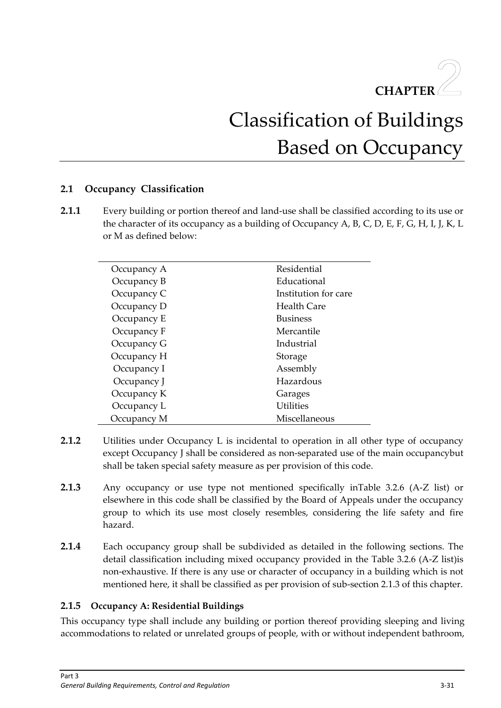

# Classification of Buildings Based on Occupancy

# **2.1 Occupancy Classification**

**2.1.1** Every building or portion thereof and land-use shall be classified according to its use or the character of its occupancy as a building of Occupancy A, B, C, D, E, F, G, H, I, J, K, L or M as defined below:

| Occupancy A | Residential          |
|-------------|----------------------|
| Occupancy B | Educational          |
| Occupancy C | Institution for care |
| Occupancy D | Health Care          |
| Occupancy E | <b>Business</b>      |
| Occupancy F | Mercantile           |
| Occupancy G | Industrial           |
| Occupancy H | Storage              |
| Occupancy I | Assembly             |
| Occupancy J | Hazardous            |
| Occupancy K | Garages              |
| Occupancy L | <b>Utilities</b>     |
| Occupancy M | Miscellaneous        |

- **2.1.2** Utilities under Occupancy L is incidental to operation in all other type of occupancy except Occupancy J shall be considered as non-separated use of the main occupancybut shall be taken special safety measure as per provision of this code.
- **2.1.3** Any occupancy or use type not mentioned specifically inTable 3.2.6 (A-Z list) or elsewhere in this code shall be classified by the Board of Appeals under the occupancy group to which its use most closely resembles, considering the life safety and fire hazard.
- **2.1.4** Each occupancy group shall be subdivided as detailed in the following sections. The detail classification including mixed occupancy provided in the Table 3.2.6 (A-Z list)is non-exhaustive. If there is any use or character of occupancy in a building which is not mentioned here, it shall be classified as per provision of sub-section 2.1.3 of this chapter.

# **2.1.5 Occupancy A: Residential Buildings**

This occupancy type shall include any building or portion thereof providing sleeping and living accommodations to related or unrelated groups of people, with or without independent bathroom,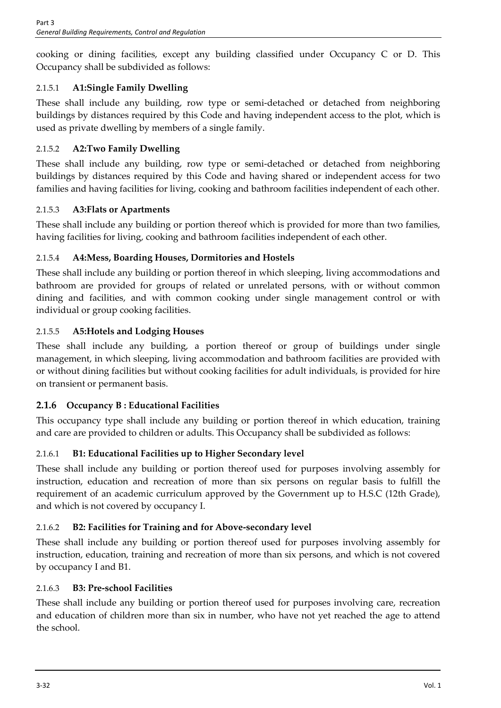cooking or dining facilities, except any building classified under Occupancy C or D. This Occupancy shall be subdivided as follows:

# 2.1.5.1 **A1:Single Family Dwelling**

These shall include any building, row type or semi-detached or detached from neighboring buildings by distances required by this Code and having independent access to the plot, which is used as private dwelling by members of a single family.

# 2.1.5.2 **A2:Two Family Dwelling**

These shall include any building, row type or semi-detached or detached from neighboring buildings by distances required by this Code and having shared or independent access for two families and having facilities for living, cooking and bathroom facilities independent of each other.

# 2.1.5.3 **A3:Flats or Apartments**

These shall include any building or portion thereof which is provided for more than two families, having facilities for living, cooking and bathroom facilities independent of each other.

# 2.1.5.4 **A4:Mess, Boarding Houses, Dormitories and Hostels**

These shall include any building or portion thereof in which sleeping, living accommodations and bathroom are provided for groups of related or unrelated persons, with or without common dining and facilities, and with common cooking under single management control or with individual or group cooking facilities.

# 2.1.5.5 **A5:Hotels and Lodging Houses**

These shall include any building, a portion thereof or group of buildings under single management, in which sleeping, living accommodation and bathroom facilities are provided with or without dining facilities but without cooking facilities for adult individuals, is provided for hire on transient or permanent basis.

# **2.1.6 Occupancy B : Educational Facilities**

This occupancy type shall include any building or portion thereof in which education, training and care are provided to children or adults. This Occupancy shall be subdivided as follows:

# 2.1.6.1 **B1: Educational Facilities up to Higher Secondary level**

These shall include any building or portion thereof used for purposes involving assembly for instruction, education and recreation of more than six persons on regular basis to fulfill the requirement of an academic curriculum approved by the Government up to H.S.C (12th Grade), and which is not covered by occupancy I.

# 2.1.6.2 **B2: Facilities for Training and for Above-secondary level**

These shall include any building or portion thereof used for purposes involving assembly for instruction, education, training and recreation of more than six persons, and which is not covered by occupancy I and B1.

# 2.1.6.3 **B3: Pre-school Facilities**

These shall include any building or portion thereof used for purposes involving care, recreation and education of children more than six in number, who have not yet reached the age to attend the school.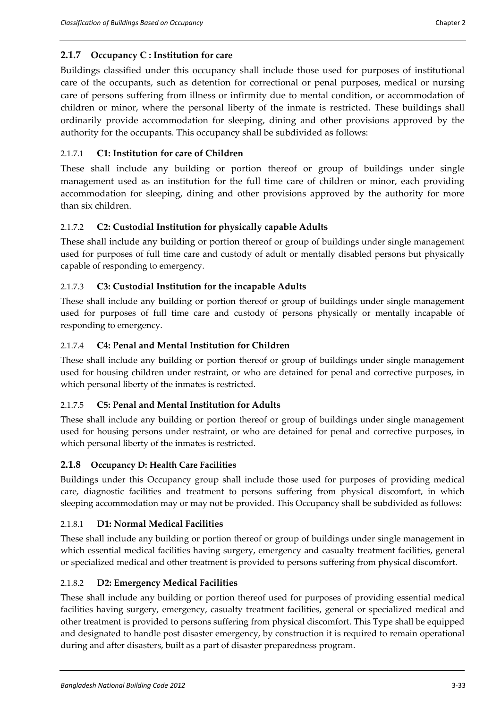## **2.1.7 Occupancy C : Institution for care**

Buildings classified under this occupancy shall include those used for purposes of institutional care of the occupants, such as detention for correctional or penal purposes, medical or nursing care of persons suffering from illness or infirmity due to mental condition, or accommodation of children or minor, where the personal liberty of the inmate is restricted. These buildings shall ordinarily provide accommodation for sleeping, dining and other provisions approved by the authority for the occupants. This occupancy shall be subdivided as follows:

## 2.1.7.1 **C1: Institution for care of Children**

These shall include any building or portion thereof or group of buildings under single management used as an institution for the full time care of children or minor, each providing accommodation for sleeping, dining and other provisions approved by the authority for more than six children.

## 2.1.7.2 **C2: Custodial Institution for physically capable Adults**

These shall include any building or portion thereof or group of buildings under single management used for purposes of full time care and custody of adult or mentally disabled persons but physically capable of responding to emergency.

## 2.1.7.3 **C3: Custodial Institution for the incapable Adults**

These shall include any building or portion thereof or group of buildings under single management used for purposes of full time care and custody of persons physically or mentally incapable of responding to emergency.

#### 2.1.7.4 **C4: Penal and Mental Institution for Children**

These shall include any building or portion thereof or group of buildings under single management used for housing children under restraint, or who are detained for penal and corrective purposes, in which personal liberty of the inmates is restricted.

#### 2.1.7.5 **C5: Penal and Mental Institution for Adults**

These shall include any building or portion thereof or group of buildings under single management used for housing persons under restraint, or who are detained for penal and corrective purposes, in which personal liberty of the inmates is restricted.

#### **2.1.8 Occupancy D: Health Care Facilities**

Buildings under this Occupancy group shall include those used for purposes of providing medical care, diagnostic facilities and treatment to persons suffering from physical discomfort, in which sleeping accommodation may or may not be provided. This Occupancy shall be subdivided as follows:

#### 2.1.8.1 **D1: Normal Medical Facilities**

These shall include any building or portion thereof or group of buildings under single management in which essential medical facilities having surgery, emergency and casualty treatment facilities, general or specialized medical and other treatment is provided to persons suffering from physical discomfort.

#### 2.1.8.2 **D2: Emergency Medical Facilities**

These shall include any building or portion thereof used for purposes of providing essential medical facilities having surgery, emergency, casualty treatment facilities, general or specialized medical and other treatment is provided to persons suffering from physical discomfort. This Type shall be equipped and designated to handle post disaster emergency, by construction it is required to remain operational during and after disasters, built as a part of disaster preparedness program.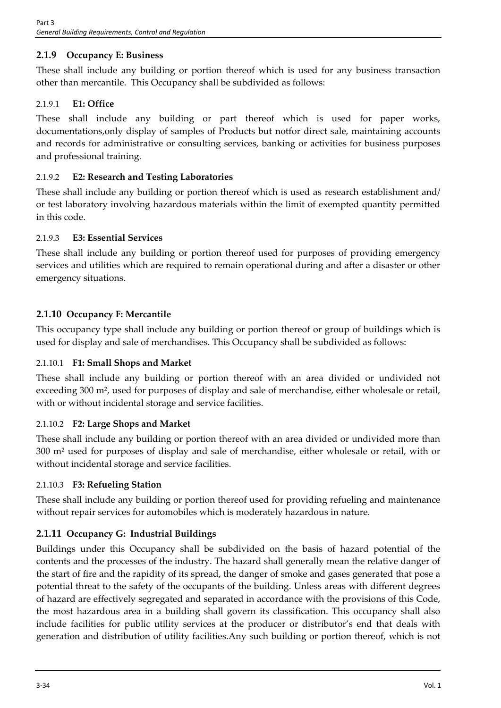# **2.1.9 Occupancy E: Business**

These shall include any building or portion thereof which is used for any business transaction other than mercantile. This Occupancy shall be subdivided as follows:

# 2.1.9.1 **E1: Office**

These shall include any building or part thereof which is used for paper works, documentations,only display of samples of Products but notfor direct sale, maintaining accounts and records for administrative or consulting services, banking or activities for business purposes and professional training.

# 2.1.9.2 **E2: Research and Testing Laboratories**

These shall include any building or portion thereof which is used as research establishment and/ or test laboratory involving hazardous materials within the limit of exempted quantity permitted in this code.

# 2.1.9.3 **E3: Essential Services**

These shall include any building or portion thereof used for purposes of providing emergency services and utilities which are required to remain operational during and after a disaster or other emergency situations.

# **2.1.10 Occupancy F: Mercantile**

This occupancy type shall include any building or portion thereof or group of buildings which is used for display and sale of merchandises. This Occupancy shall be subdivided as follows:

# 2.1.10.1 **F1: Small Shops and Market**

These shall include any building or portion thereof with an area divided or undivided not exceeding 300 m², used for purposes of display and sale of merchandise, either wholesale or retail, with or without incidental storage and service facilities.

# 2.1.10.2 **F2: Large Shops and Market**

These shall include any building or portion thereof with an area divided or undivided more than 300 m² used for purposes of display and sale of merchandise, either wholesale or retail, with or without incidental storage and service facilities.

# 2.1.10.3 **F3: Refueling Station**

These shall include any building or portion thereof used for providing refueling and maintenance without repair services for automobiles which is moderately hazardous in nature.

# **2.1.11 Occupancy G: Industrial Buildings**

Buildings under this Occupancy shall be subdivided on the basis of hazard potential of the contents and the processes of the industry. The hazard shall generally mean the relative danger of the start of fire and the rapidity of its spread, the danger of smoke and gases generated that pose a potential threat to the safety of the occupants of the building. Unless areas with different degrees of hazard are effectively segregated and separated in accordance with the provisions of this Code, the most hazardous area in a building shall govern its classification. This occupancy shall also include facilities for public utility services at the producer or distributor's end that deals with generation and distribution of utility facilities.Any such building or portion thereof, which is not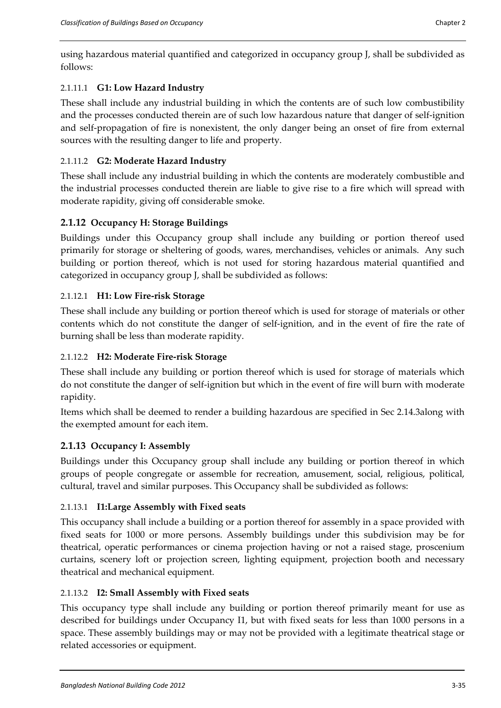using hazardous material quantified and categorized in occupancy group J, shall be subdivided as follows:

# 2.1.11.1 **G1: Low Hazard Industry**

These shall include any industrial building in which the contents are of such low combustibility and the processes conducted therein are of such low hazardous nature that danger of self-ignition and self-propagation of fire is nonexistent, the only danger being an onset of fire from external sources with the resulting danger to life and property.

# 2.1.11.2 **G2: Moderate Hazard Industry**

These shall include any industrial building in which the contents are moderately combustible and the industrial processes conducted therein are liable to give rise to a fire which will spread with moderate rapidity, giving off considerable smoke.

# **2.1.12 Occupancy H: Storage Buildings**

Buildings under this Occupancy group shall include any building or portion thereof used primarily for storage or sheltering of goods, wares, merchandises, vehicles or animals. Any such building or portion thereof, which is not used for storing hazardous material quantified and categorized in occupancy group J, shall be subdivided as follows:

# 2.1.12.1 **H1: Low Fire-risk Storage**

These shall include any building or portion thereof which is used for storage of materials or other contents which do not constitute the danger of self-ignition, and in the event of fire the rate of burning shall be less than moderate rapidity.

# 2.1.12.2 **H2: Moderate Fire-risk Storage**

These shall include any building or portion thereof which is used for storage of materials which do not constitute the danger of self-ignition but which in the event of fire will burn with moderate rapidity.

Items which shall be deemed to render a building hazardous are specified in Sec 2.14.3along with the exempted amount for each item.

# **2.1.13 Occupancy I: Assembly**

Buildings under this Occupancy group shall include any building or portion thereof in which groups of people congregate or assemble for recreation, amusement, social, religious, political, cultural, travel and similar purposes. This Occupancy shall be subdivided as follows:

# 2.1.13.1 **I1:Large Assembly with Fixed seats**

This occupancy shall include a building or a portion thereof for assembly in a space provided with fixed seats for 1000 or more persons. Assembly buildings under this subdivision may be for theatrical, operatic performances or cinema projection having or not a raised stage, proscenium curtains, scenery loft or projection screen, lighting equipment, projection booth and necessary theatrical and mechanical equipment.

# 2.1.13.2 **I2: Small Assembly with Fixed seats**

This occupancy type shall include any building or portion thereof primarily meant for use as described for buildings under Occupancy I1, but with fixed seats for less than 1000 persons in a space. These assembly buildings may or may not be provided with a legitimate theatrical stage or related accessories or equipment.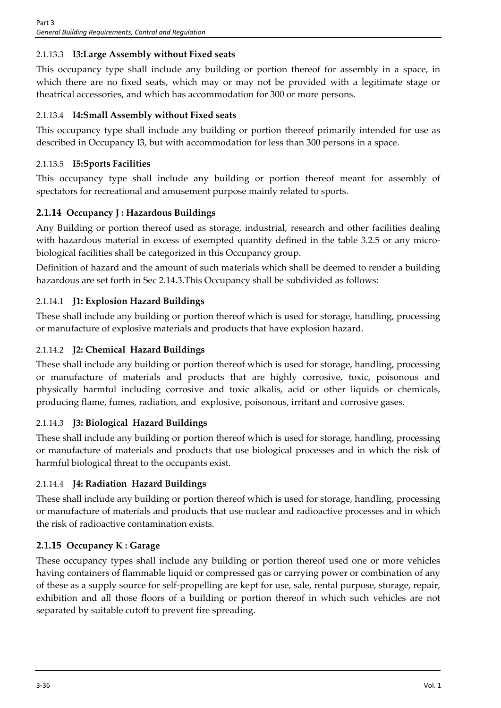# 2.1.13.3 **I3:Large Assembly without Fixed seats**

This occupancy type shall include any building or portion thereof for assembly in a space, in which there are no fixed seats, which may or may not be provided with a legitimate stage or theatrical accessories, and which has accommodation for 300 or more persons.

# 2.1.13.4 **I4:Small Assembly without Fixed seats**

This occupancy type shall include any building or portion thereof primarily intended for use as described in Occupancy I3, but with accommodation for less than 300 persons in a space.

# 2.1.13.5 **I5:Sports Facilities**

This occupancy type shall include any building or portion thereof meant for assembly of spectators for recreational and amusement purpose mainly related to sports.

# **2.1.14 Occupancy J : Hazardous Buildings**

Any Building or portion thereof used as storage, industrial, research and other facilities dealing with hazardous material in excess of exempted quantity defined in the table 3.2.5 or any microbiological facilities shall be categorized in this Occupancy group.

Definition of hazard and the amount of such materials which shall be deemed to render a building hazardous are set forth in Sec 2.14.3.This Occupancy shall be subdivided as follows:

# 2.1.14.1 **J1: Explosion Hazard Buildings**

These shall include any building or portion thereof which is used for storage, handling, processing or manufacture of explosive materials and products that have explosion hazard.

# 2.1.14.2 **J2: Chemical Hazard Buildings**

These shall include any building or portion thereof which is used for storage, handling, processing or manufacture of materials and products that are highly corrosive, toxic, poisonous and physically harmful including corrosive and toxic alkalis, acid or other liquids or chemicals, producing flame, fumes, radiation, and explosive, poisonous, irritant and corrosive gases.

# 2.1.14.3 **J3: Biological Hazard Buildings**

These shall include any building or portion thereof which is used for storage, handling, processing or manufacture of materials and products that use biological processes and in which the risk of harmful biological threat to the occupants exist.

# 2.1.14.4 **J4: Radiation Hazard Buildings**

These shall include any building or portion thereof which is used for storage, handling, processing or manufacture of materials and products that use nuclear and radioactive processes and in which the risk of radioactive contamination exists.

# **2.1.15 Occupancy K : Garage**

These occupancy types shall include any building or portion thereof used one or more vehicles having containers of flammable liquid or compressed gas or carrying power or combination of any of these as a supply source for self-propelling are kept for use, sale, rental purpose, storage, repair, exhibition and all those floors of a building or portion thereof in which such vehicles are not separated by suitable cutoff to prevent fire spreading.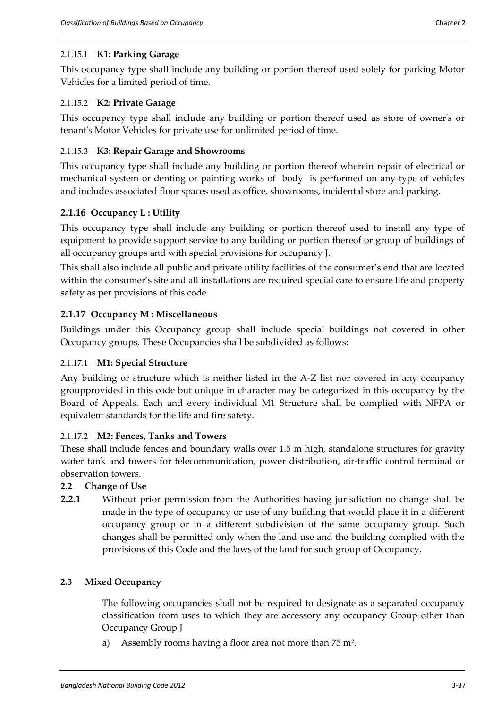# 2.1.15.1 **K1: Parking Garage**

This occupancy type shall include any building or portion thereof used solely for parking Motor Vehicles for a limited period of time.

# 2.1.15.2 **K2: Private Garage**

This occupancy type shall include any building or portion thereof used as store of owner's or tenant's Motor Vehicles for private use for unlimited period of time.

# 2.1.15.3 **K3: Repair Garage and Showrooms**

This occupancy type shall include any building or portion thereof wherein repair of electrical or mechanical system or denting or painting works of body is performed on any type of vehicles and includes associated floor spaces used as office, showrooms, incidental store and parking.

# **2.1.16 Occupancy L : Utility**

This occupancy type shall include any building or portion thereof used to install any type of equipment to provide support service to any building or portion thereof or group of buildings of all occupancy groups and with special provisions for occupancy J.

This shall also include all public and private utility facilities of the consumer's end that are located within the consumer's site and all installations are required special care to ensure life and property safety as per provisions of this code.

# **2.1.17 Occupancy M : Miscellaneous**

Buildings under this Occupancy group shall include special buildings not covered in other Occupancy groups. These Occupancies shall be subdivided as follows:

# 2.1.17.1 **M1: Special Structure**

Any building or structure which is neither listed in the A-Z list nor covered in any occupancy groupprovided in this code but unique in character may be categorized in this occupancy by the Board of Appeals. Each and every individual M1 Structure shall be complied with NFPA or equivalent standards for the life and fire safety.

# 2.1.17.2 **M2: Fences, Tanks and Towers**

These shall include fences and boundary walls over 1.5 m high, standalone structures for gravity water tank and towers for telecommunication, power distribution, air-traffic control terminal or observation towers.

# **2.2 Change of Use**

**2.2.1** Without prior permission from the Authorities having jurisdiction no change shall be made in the type of occupancy or use of any building that would place it in a different occupancy group or in a different subdivision of the same occupancy group. Such changes shall be permitted only when the land use and the building complied with the provisions of this Code and the laws of the land for such group of Occupancy.

# **2.3 Mixed Occupancy**

The following occupancies shall not be required to designate as a separated occupancy classification from uses to which they are accessory any occupancy Group other than Occupancy Group J

a) Assembly rooms having a floor area not more than 75 m².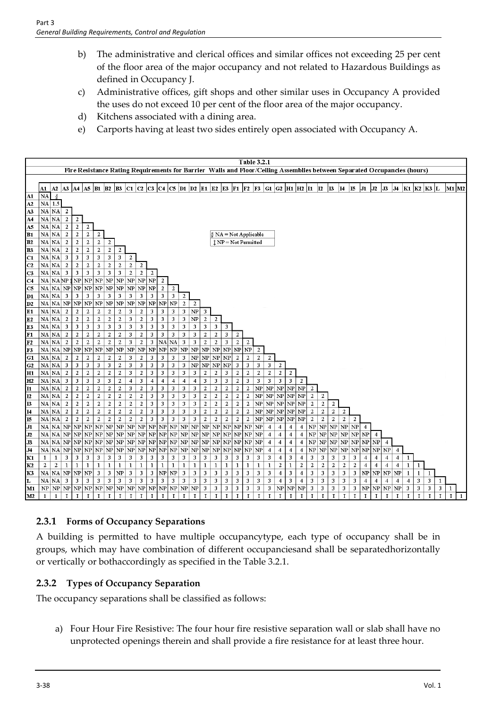- b) The administrative and clerical offices and similar offices not exceeding 25 per cent of the floor area of the major occupancy and not related to Hazardous Buildings as defined in Occupancy J.
- c) Administrative offices, gift shops and other similar uses in Occupancy A provided the uses do not exceed 10 per cent of the floor area of the major occupancy.
- d) Kitchens associated with a dining area.
- e) Carports having at least two sides entirely open associated with Occupancy A.



# **2.3.1 Forms of Occupancy Separations**

A building is permitted to have multiple occupancytype, each type of occupancy shall be in groups, which may have combination of different occupanciesand shall be separatedhorizontally or vertically or bothaccordingly as specified in the Table 3.2.1.

# **2.3.2 Types of Occupancy Separation**

The occupancy separations shall be classified as follows:

a) Four Hour Fire Resistive: The four hour fire resistive separation wall or slab shall have no unprotected openings therein and shall provide a fire resistance for at least three hour.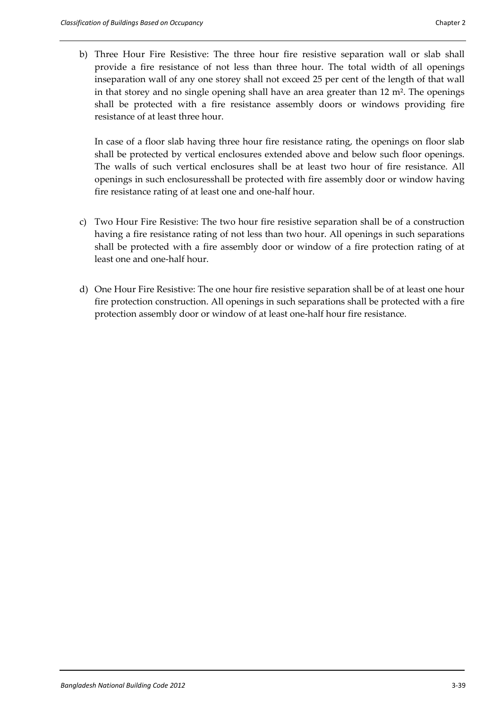b) Three Hour Fire Resistive: The three hour fire resistive separation wall or slab shall provide a fire resistance of not less than three hour. The total width of all openings inseparation wall of any one storey shall not exceed 25 per cent of the length of that wall in that storey and no single opening shall have an area greater than 12 m<sup>2</sup>. The openings shall be protected with a fire resistance assembly doors or windows providing fire resistance of at least three hour.

In case of a floor slab having three hour fire resistance rating, the openings on floor slab shall be protected by vertical enclosures extended above and below such floor openings. The walls of such vertical enclosures shall be at least two hour of fire resistance. All openings in such enclosuresshall be protected with fire assembly door or window having fire resistance rating of at least one and one-half hour.

- c) Two Hour Fire Resistive: The two hour fire resistive separation shall be of a construction having a fire resistance rating of not less than two hour. All openings in such separations shall be protected with a fire assembly door or window of a fire protection rating of at least one and one-half hour.
- d) One Hour Fire Resistive: The one hour fire resistive separation shall be of at least one hour fire protection construction. All openings in such separations shall be protected with a fire protection assembly door or window of at least one-half hour fire resistance.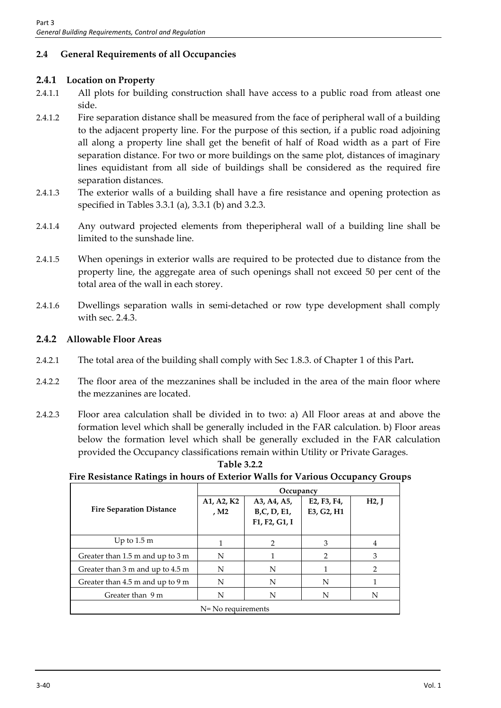# **2.4 General Requirements of all Occupancies**

# **2.4.1 Location on Property**

- 2.4.1.1 All plots for building construction shall have access to a public road from atleast one side.
- 2.4.1.2 Fire separation distance shall be measured from the face of peripheral wall of a building to the adjacent property line. For the purpose of this section, if a public road adjoining all along a property line shall get the benefit of half of Road width as a part of Fire separation distance. For two or more buildings on the same plot, distances of imaginary lines equidistant from all side of buildings shall be considered as the required fire separation distances.
- 2.4.1.3 The exterior walls of a building shall have a fire resistance and opening protection as specified in Tables 3.3.1 (a), 3.3.1 (b) and 3.2.3.
- 2.4.1.4 Any outward projected elements from theperipheral wall of a building line shall be limited to the sunshade line.
- 2.4.1.5 When openings in exterior walls are required to be protected due to distance from the property line, the aggregate area of such openings shall not exceed 50 per cent of the total area of the wall in each storey.
- 2.4.1.6 Dwellings separation walls in semi-detached or row type development shall comply with sec. 2.4.3.

## **2.4.2 Allowable Floor Areas**

- 2.4.2.1 The total area of the building shall comply with Sec 1.8.3. of Chapter 1 of this Part**.**
- 2.4.2.2 The floor area of the mezzanines shall be included in the area of the main floor where the mezzanines are located.
- 2.4.2.3 Floor area calculation shall be divided in to two: a) All Floor areas at and above the formation level which shall be generally included in the FAR calculation. b) Floor areas below the formation level which shall be generally excluded in the FAR calculation provided the Occupancy classifications remain within Utility or Private Garages.

#### **Table 3.2.2**

#### **Fire Resistance Ratings in hours of Exterior Walls for Various Occupancy Groups**

|                                  |                                | Occupancy                                          |                                                                  |               |  |
|----------------------------------|--------------------------------|----------------------------------------------------|------------------------------------------------------------------|---------------|--|
| <b>Fire Separation Distance</b>  | A1, A2, K2<br>, M <sub>2</sub> | A3, A4, A5,<br><b>B,C, D, E1,</b><br>F1, F2, G1, I | E <sub>2</sub> , F <sub>3</sub> , F <sub>4</sub> ,<br>E3, G2, H1 | H2, J         |  |
| Up to $1.5 \text{ m}$            |                                | $\mathcal{P}$                                      | 3                                                                | 4             |  |
| Greater than 1.5 m and up to 3 m | N                              |                                                    | $\mathcal{P}$                                                    | 3             |  |
| Greater than 3 m and up to 4.5 m | N                              | N                                                  |                                                                  | $\mathcal{P}$ |  |
| Greater than 4.5 m and up to 9 m | N                              | N                                                  | N                                                                |               |  |
| Greater than 9 m                 | N                              | N                                                  | N                                                                | N             |  |
|                                  | N= No requirements             |                                                    |                                                                  |               |  |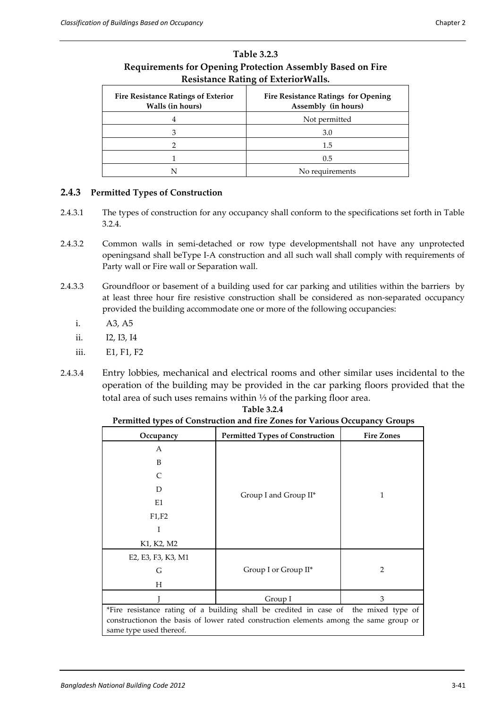| Resistance Rating of Exterior Walls.                           |                                                                   |  |  |
|----------------------------------------------------------------|-------------------------------------------------------------------|--|--|
| <b>Fire Resistance Ratings of Exterior</b><br>Walls (in hours) | <b>Fire Resistance Ratings for Opening</b><br>Assembly (in hours) |  |  |
|                                                                | Not permitted                                                     |  |  |
|                                                                | 3.0                                                               |  |  |
|                                                                | 1.5                                                               |  |  |
|                                                                | 0.5                                                               |  |  |
|                                                                | No requirements                                                   |  |  |

#### **Table 3.2.3 Requirements for Opening Protection Assembly Based on Fire Resistance Rating of ExteriorWalls.**

#### **2.4.3 Permitted Types of Construction**

- 2.4.3.1 The types of construction for any occupancy shall conform to the specifications set forth in Table 3.2.4.
- 2.4.3.2 Common walls in semi-detached or row type developmentshall not have any unprotected openingsand shall beType I-A construction and all such wall shall comply with requirements of Party wall or Fire wall or Separation wall.
- 2.4.3.3 Groundfloor or basement of a building used for car parking and utilities within the barriers by at least three hour fire resistive construction shall be considered as non-separated occupancy provided the building accommodate one or more of the following occupancies:
	- i. A3, A5
	- ii. I2, I3, I4
	- iii. E1, F1, F2
- 2.4.3.4 Entry lobbies, mechanical and electrical rooms and other similar uses incidental to the operation of the building may be provided in the car parking floors provided that the total area of such uses remains within ⅓ of the parking floor area.

| Occupancy                                                                             | <b>Permitted Types of Construction</b> | <b>Fire Zones</b> |
|---------------------------------------------------------------------------------------|----------------------------------------|-------------------|
| A                                                                                     |                                        |                   |
| B                                                                                     |                                        |                   |
| C                                                                                     |                                        |                   |
| D                                                                                     |                                        | 1                 |
| E1                                                                                    | Group I and Group II*                  |                   |
| F1, F2                                                                                |                                        |                   |
| I                                                                                     |                                        |                   |
| K1, K2, M2                                                                            |                                        |                   |
| E2, E3, F3, K3, M1                                                                    |                                        |                   |
| G                                                                                     | Group I or Group II*                   | 2                 |
| Н                                                                                     |                                        |                   |
|                                                                                       | Group I                                | 3                 |
| *Fire resistance rating of a building shall be credited in case of the mixed type of  |                                        |                   |
| constructionon the basis of lower rated construction elements among the same group or |                                        |                   |
| same type used thereof.                                                               |                                        |                   |
|                                                                                       |                                        |                   |

**Table 3.2.4 Permitted types of Construction and fire Zones for Various Occupancy Groups**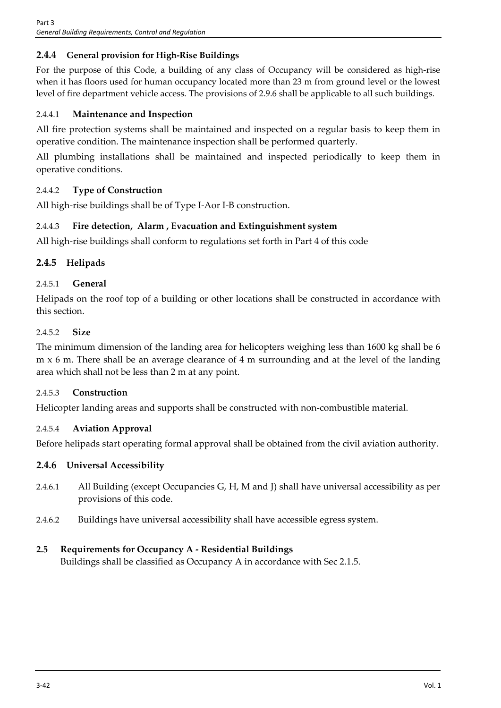# **2.4.4 General provision for High-Rise Buildings**

For the purpose of this Code, a building of any class of Occupancy will be considered as high-rise when it has floors used for human occupancy located more than 23 m from ground level or the lowest level of fire department vehicle access. The provisions of 2.9.6 shall be applicable to all such buildings.

## 2.4.4.1 **Maintenance and Inspection**

All fire protection systems shall be maintained and inspected on a regular basis to keep them in operative condition. The maintenance inspection shall be performed quarterly.

All plumbing installations shall be maintained and inspected periodically to keep them in operative conditions.

# 2.4.4.2 **Type of Construction**

All high-rise buildings shall be of Type I-Aor I-B construction.

## 2.4.4.3 **Fire detection, Alarm , Evacuation and Extinguishment system**

All high-rise buildings shall conform to regulations set forth in Part 4 of this code

## **2.4.5 Helipads**

## 2.4.5.1 **General**

Helipads on the roof top of a building or other locations shall be constructed in accordance with this section.

#### 2.4.5.2 **Size**

The minimum dimension of the landing area for helicopters weighing less than 1600 kg shall be 6 m x 6 m. There shall be an average clearance of 4 m surrounding and at the level of the landing area which shall not be less than 2 m at any point.

#### 2.4.5.3 **Construction**

Helicopter landing areas and supports shall be constructed with non-combustible material.

#### 2.4.5.4 **Aviation Approval**

Before helipads start operating formal approval shall be obtained from the civil aviation authority.

#### **2.4.6 Universal Accessibility**

- 2.4.6.1 All Building (except Occupancies G, H, M and J) shall have universal accessibility as per provisions of this code.
- 2.4.6.2 Buildings have universal accessibility shall have accessible egress system.

#### **2.5 Requirements for Occupancy A - Residential Buildings**

Buildings shall be classified as Occupancy A in accordance with Sec 2.1.5.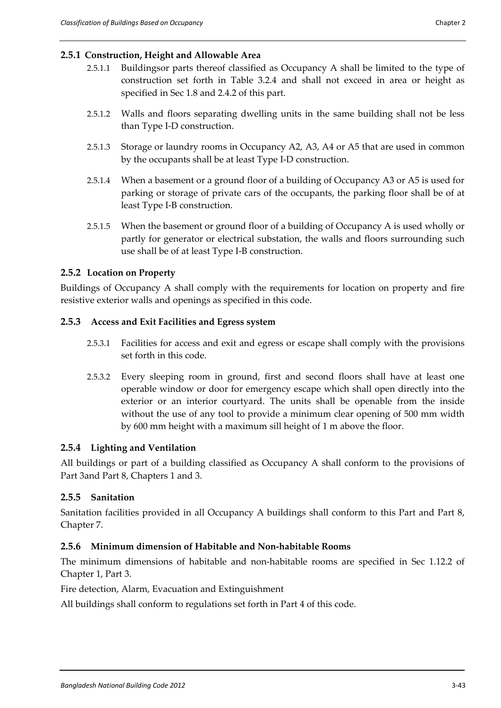- 2.5.1.1 Buildingsor parts thereof classified as Occupancy A shall be limited to the type of construction set forth in Table 3.2.4 and shall not exceed in area or height as specified in Sec 1.8 and 2.4.2 of this part.
- 2.5.1.2 Walls and floors separating dwelling units in the same building shall not be less than Type I-D construction.
- 2.5.1.3 Storage or laundry rooms in Occupancy A2, A3, A4 or A5 that are used in common by the occupants shall be at least Type I-D construction.
- 2.5.1.4 When a basement or a ground floor of a building of Occupancy A3 or A5 is used for parking or storage of private cars of the occupants, the parking floor shall be of at least Type I-B construction.
- 2.5.1.5 When the basement or ground floor of a building of Occupancy A is used wholly or partly for generator or electrical substation, the walls and floors surrounding such use shall be of at least Type I-B construction.

# **2.5.2 Location on Property**

Buildings of Occupancy A shall comply with the requirements for location on property and fire resistive exterior walls and openings as specified in this code.

## **2.5.3 Access and Exit Facilities and Egress system**

- 2.5.3.1 Facilities for access and exit and egress or escape shall comply with the provisions set forth in this code.
- 2.5.3.2 Every sleeping room in ground, first and second floors shall have at least one operable window or door for emergency escape which shall open directly into the exterior or an interior courtyard. The units shall be openable from the inside without the use of any tool to provide a minimum clear opening of 500 mm width by 600 mm height with a maximum sill height of 1 m above the floor.

# **2.5.4 Lighting and Ventilation**

All buildings or part of a building classified as Occupancy A shall conform to the provisions of Part 3and Part 8, Chapters 1 and 3.

# **2.5.5 Sanitation**

Sanitation facilities provided in all Occupancy A buildings shall conform to this Part and Part 8, Chapter 7.

#### **2.5.6 Minimum dimension of Habitable and Non-habitable Rooms**

The minimum dimensions of habitable and non-habitable rooms are specified in Sec 1.12.2 of Chapter 1, Part 3.

Fire detection, Alarm, Evacuation and Extinguishment

All buildings shall conform to regulations set forth in Part 4 of this code.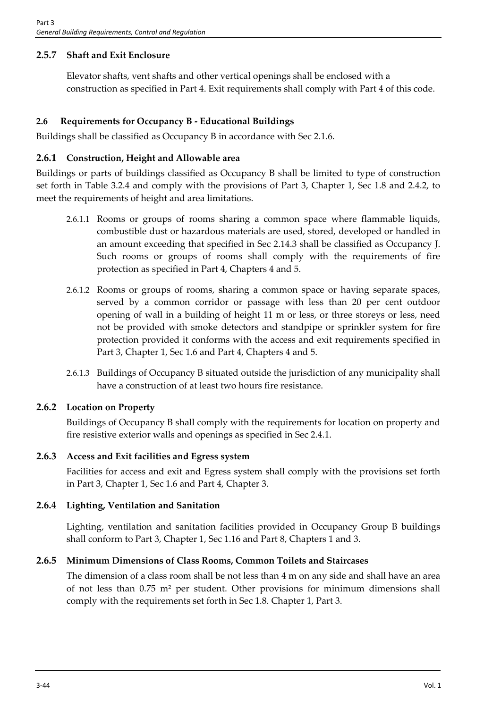# **2.5.7 Shaft and Exit Enclosure**

Elevator shafts, vent shafts and other vertical openings shall be enclosed with a construction as specified in Part 4. Exit requirements shall comply with Part 4 of this code.

# **2.6 Requirements for Occupancy B - Educational Buildings**

Buildings shall be classified as Occupancy B in accordance with Sec 2.1.6.

# **2.6.1 Construction, Height and Allowable area**

Buildings or parts of buildings classified as Occupancy B shall be limited to type of construction set forth in Table 3.2.4 and comply with the provisions of Part 3, Chapter 1, Sec 1.8 and 2.4.2, to meet the requirements of height and area limitations.

- 2.6.1.1 Rooms or groups of rooms sharing a common space where flammable liquids, combustible dust or hazardous materials are used, stored, developed or handled in an amount exceeding that specified in Sec 2.14.3 shall be classified as Occupancy J. Such rooms or groups of rooms shall comply with the requirements of fire protection as specified in Part 4, Chapters 4 and 5.
- 2.6.1.2 Rooms or groups of rooms, sharing a common space or having separate spaces, served by a common corridor or passage with less than 20 per cent outdoor opening of wall in a building of height 11 m or less, or three storeys or less, need not be provided with smoke detectors and standpipe or sprinkler system for fire protection provided it conforms with the access and exit requirements specified in Part 3, Chapter 1, Sec 1.6 and Part 4, Chapters 4 and 5.
- 2.6.1.3 Buildings of Occupancy B situated outside the jurisdiction of any municipality shall have a construction of at least two hours fire resistance.

# **2.6.2 Location on Property**

Buildings of Occupancy B shall comply with the requirements for location on property and fire resistive exterior walls and openings as specified in Sec 2.4.1.

# **2.6.3 Access and Exit facilities and Egress system**

Facilities for access and exit and Egress system shall comply with the provisions set forth in Part 3, Chapter 1, Sec 1.6 and Part 4, Chapter 3.

# **2.6.4 Lighting, Ventilation and Sanitation**

Lighting, ventilation and sanitation facilities provided in Occupancy Group B buildings shall conform to Part 3, Chapter 1, Sec 1.16 and Part 8, Chapters 1 and 3.

# **2.6.5 Minimum Dimensions of Class Rooms, Common Toilets and Staircases**

The dimension of a class room shall be not less than 4 m on any side and shall have an area of not less than 0.75 m² per student. Other provisions for minimum dimensions shall comply with the requirements set forth in Sec 1.8. Chapter 1, Part 3.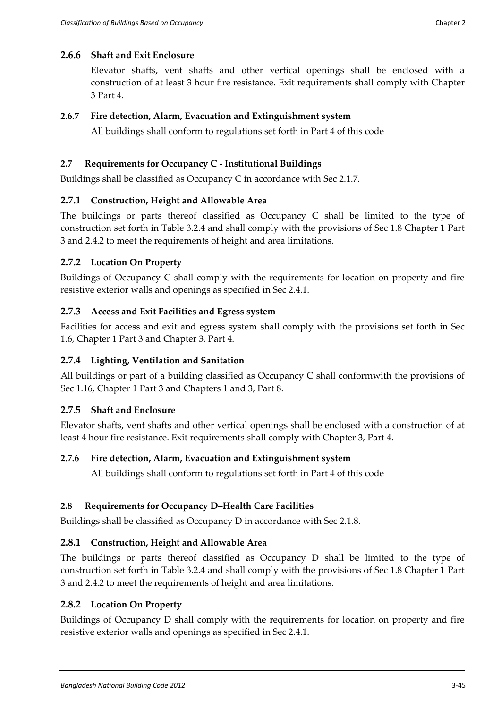## **2.6.6 Shaft and Exit Enclosure**

Elevator shafts, vent shafts and other vertical openings shall be enclosed with a construction of at least 3 hour fire resistance. Exit requirements shall comply with Chapter 3 Part 4.

#### **2.6.7 Fire detection, Alarm, Evacuation and Extinguishment system**

All buildings shall conform to regulations set forth in Part 4 of this code

## **2.7 Requirements for Occupancy C - Institutional Buildings**

Buildings shall be classified as Occupancy C in accordance with Sec 2.1.7.

## **2.7.1 Construction, Height and Allowable Area**

The buildings or parts thereof classified as Occupancy C shall be limited to the type of construction set forth in Table 3.2.4 and shall comply with the provisions of Sec 1.8 Chapter 1 Part 3 and 2.4.2 to meet the requirements of height and area limitations.

## **2.7.2 Location On Property**

Buildings of Occupancy C shall comply with the requirements for location on property and fire resistive exterior walls and openings as specified in Sec 2.4.1.

## **2.7.3 Access and Exit Facilities and Egress system**

Facilities for access and exit and egress system shall comply with the provisions set forth in Sec 1.6, Chapter 1 Part 3 and Chapter 3, Part 4.

# **2.7.4 Lighting, Ventilation and Sanitation**

All buildings or part of a building classified as Occupancy C shall conformwith the provisions of Sec 1.16, Chapter 1 Part 3 and Chapters 1 and 3, Part 8.

#### **2.7.5 Shaft and Enclosure**

Elevator shafts, vent shafts and other vertical openings shall be enclosed with a construction of at least 4 hour fire resistance. Exit requirements shall comply with Chapter 3, Part 4.

#### **2.7.6 Fire detection, Alarm, Evacuation and Extinguishment system**

All buildings shall conform to regulations set forth in Part 4 of this code

#### **2.8 Requirements for Occupancy D–Health Care Facilities**

Buildings shall be classified as Occupancy D in accordance with Sec 2.1.8.

# **2.8.1 Construction, Height and Allowable Area**

The buildings or parts thereof classified as Occupancy D shall be limited to the type of construction set forth in Table 3.2.4 and shall comply with the provisions of Sec 1.8 Chapter 1 Part 3 and 2.4.2 to meet the requirements of height and area limitations.

#### **2.8.2 Location On Property**

Buildings of Occupancy D shall comply with the requirements for location on property and fire resistive exterior walls and openings as specified in Sec 2.4.1.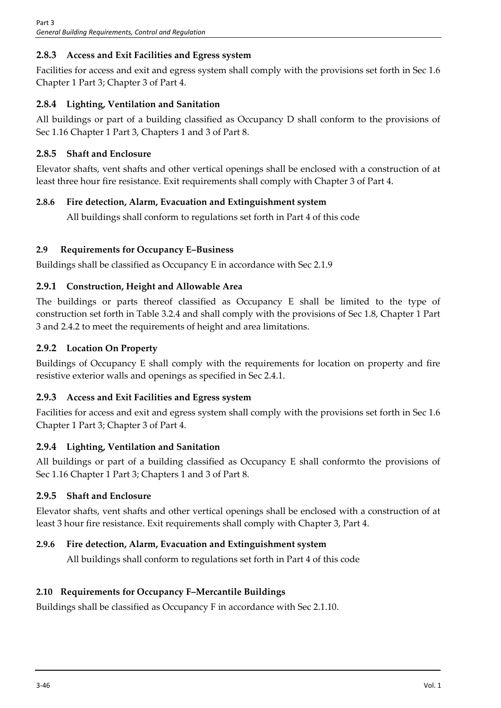# **2.8.3 Access and Exit Facilities and Egress system**

Facilities for access and exit and egress system shall comply with the provisions set forth in Sec 1.6 Chapter 1 Part 3; Chapter 3 of Part 4.

# **2.8.4 Lighting, Ventilation and Sanitation**

All buildings or part of a building classified as Occupancy D shall conform to the provisions of Sec 1.16 Chapter 1 Part 3, Chapters 1 and 3 of Part 8.

# **2.8.5 Shaft and Enclosure**

Elevator shafts, vent shafts and other vertical openings shall be enclosed with a construction of at least three hour fire resistance. Exit requirements shall comply with Chapter 3 of Part 4.

# **2.8.6 Fire detection, Alarm, Evacuation and Extinguishment system**

All buildings shall conform to regulations set forth in Part 4 of this code

# **2.9 Requirements for Occupancy E–Business**

Buildings shall be classified as Occupancy E in accordance with Sec 2.1.9

# **2.9.1 Construction, Height and Allowable Area**

The buildings or parts thereof classified as Occupancy E shall be limited to the type of construction set forth in Table 3.2.4 and shall comply with the provisions of Sec 1.8, Chapter 1 Part 3 and 2.4.2 to meet the requirements of height and area limitations.

# **2.9.2 Location On Property**

Buildings of Occupancy E shall comply with the requirements for location on property and fire resistive exterior walls and openings as specified in Sec 2.4.1.

# **2.9.3 Access and Exit Facilities and Egress system**

Facilities for access and exit and egress system shall comply with the provisions set forth in Sec 1.6 Chapter 1 Part 3; Chapter 3 of Part 4.

# **2.9.4 Lighting, Ventilation and Sanitation**

All buildings or part of a building classified as Occupancy E shall conformto the provisions of Sec 1.16 Chapter 1 Part 3; Chapters 1 and 3 of Part 8.

# **2.9.5 Shaft and Enclosure**

Elevator shafts, vent shafts and other vertical openings shall be enclosed with a construction of at least 3 hour fire resistance. Exit requirements shall comply with Chapter 3, Part 4.

# **2.9.6 Fire detection, Alarm, Evacuation and Extinguishment system**

All buildings shall conform to regulations set forth in Part 4 of this code

# **2.10 Requirements for Occupancy F–Mercantile Buildings**

Buildings shall be classified as Occupancy F in accordance with Sec 2.1.10.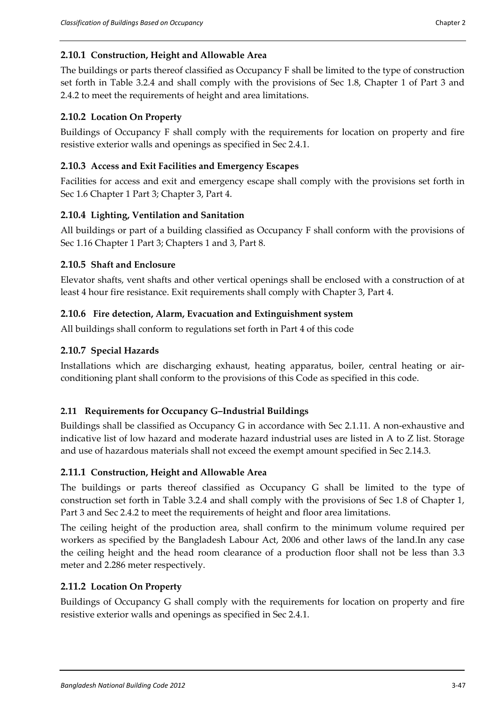## **2.10.1 Construction, Height and Allowable Area**

The buildings or parts thereof classified as Occupancy F shall be limited to the type of construction set forth in Table 3.2.4 and shall comply with the provisions of Sec 1.8, Chapter 1 of Part 3 and 2.4.2 to meet the requirements of height and area limitations.

## **2.10.2 Location On Property**

Buildings of Occupancy F shall comply with the requirements for location on property and fire resistive exterior walls and openings as specified in Sec 2.4.1.

#### **2.10.3 Access and Exit Facilities and Emergency Escapes**

Facilities for access and exit and emergency escape shall comply with the provisions set forth in Sec 1.6 Chapter 1 Part 3; Chapter 3, Part 4.

## **2.10.4 Lighting, Ventilation and Sanitation**

All buildings or part of a building classified as Occupancy F shall conform with the provisions of Sec 1.16 Chapter 1 Part 3; Chapters 1 and 3, Part 8.

#### **2.10.5 Shaft and Enclosure**

Elevator shafts, vent shafts and other vertical openings shall be enclosed with a construction of at least 4 hour fire resistance. Exit requirements shall comply with Chapter 3, Part 4.

## **2.10.6 Fire detection, Alarm, Evacuation and Extinguishment system**

All buildings shall conform to regulations set forth in Part 4 of this code

## **2.10.7 Special Hazards**

Installations which are discharging exhaust, heating apparatus, boiler, central heating or airconditioning plant shall conform to the provisions of this Code as specified in this code.

#### **2.11 Requirements for Occupancy G–Industrial Buildings**

Buildings shall be classified as Occupancy G in accordance with Sec 2.1.11. A non-exhaustive and indicative list of low hazard and moderate hazard industrial uses are listed in A to Z list. Storage and use of hazardous materials shall not exceed the exempt amount specified in Sec 2.14.3.

#### **2.11.1 Construction, Height and Allowable Area**

The buildings or parts thereof classified as Occupancy G shall be limited to the type of construction set forth in Table 3.2.4 and shall comply with the provisions of Sec 1.8 of Chapter 1, Part 3 and Sec 2.4.2 to meet the requirements of height and floor area limitations.

The ceiling height of the production area, shall confirm to the minimum volume required per workers as specified by the Bangladesh Labour Act, 2006 and other laws of the land.In any case the ceiling height and the head room clearance of a production floor shall not be less than 3.3 meter and 2.286 meter respectively.

#### **2.11.2 Location On Property**

Buildings of Occupancy G shall comply with the requirements for location on property and fire resistive exterior walls and openings as specified in Sec 2.4.1.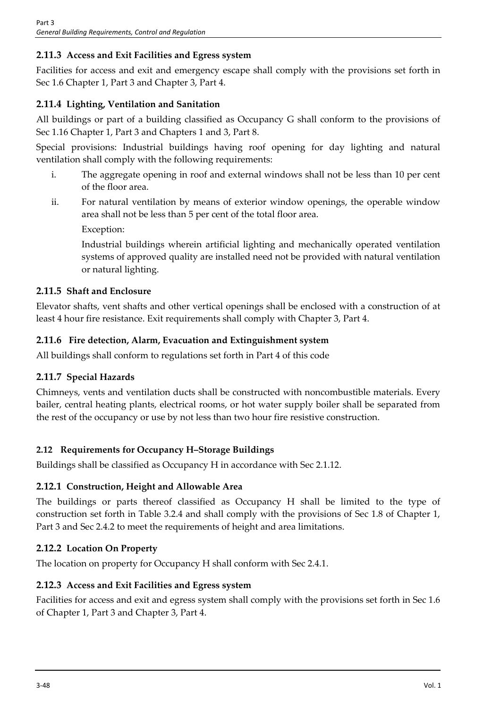# **2.11.3 Access and Exit Facilities and Egress system**

Facilities for access and exit and emergency escape shall comply with the provisions set forth in Sec 1.6 Chapter 1, Part 3 and Chapter 3, Part 4.

# **2.11.4 Lighting, Ventilation and Sanitation**

All buildings or part of a building classified as Occupancy G shall conform to the provisions of Sec 1.16 Chapter 1, Part 3 and Chapters 1 and 3, Part 8.

Special provisions: Industrial buildings having roof opening for day lighting and natural ventilation shall comply with the following requirements:

- i. The aggregate opening in roof and external windows shall not be less than 10 per cent of the floor area.
- ii. For natural ventilation by means of exterior window openings, the operable window area shall not be less than 5 per cent of the total floor area.

Exception:

Industrial buildings wherein artificial lighting and mechanically operated ventilation systems of approved quality are installed need not be provided with natural ventilation or natural lighting.

## **2.11.5 Shaft and Enclosure**

Elevator shafts, vent shafts and other vertical openings shall be enclosed with a construction of at least 4 hour fire resistance. Exit requirements shall comply with Chapter 3, Part 4.

# **2.11.6 Fire detection, Alarm, Evacuation and Extinguishment system**

All buildings shall conform to regulations set forth in Part 4 of this code

# **2.11.7 Special Hazards**

Chimneys, vents and ventilation ducts shall be constructed with noncombustible materials. Every bailer, central heating plants, electrical rooms, or hot water supply boiler shall be separated from the rest of the occupancy or use by not less than two hour fire resistive construction.

# **2.12 Requirements for Occupancy H–Storage Buildings**

Buildings shall be classified as Occupancy H in accordance with Sec 2.1.12.

# **2.12.1 Construction, Height and Allowable Area**

The buildings or parts thereof classified as Occupancy H shall be limited to the type of construction set forth in Table 3.2.4 and shall comply with the provisions of Sec 1.8 of Chapter 1, Part 3 and Sec 2.4.2 to meet the requirements of height and area limitations.

# **2.12.2 Location On Property**

The location on property for Occupancy H shall conform with Sec 2.4.1.

# **2.12.3 Access and Exit Facilities and Egress system**

Facilities for access and exit and egress system shall comply with the provisions set forth in Sec 1.6 of Chapter 1, Part 3 and Chapter 3, Part 4.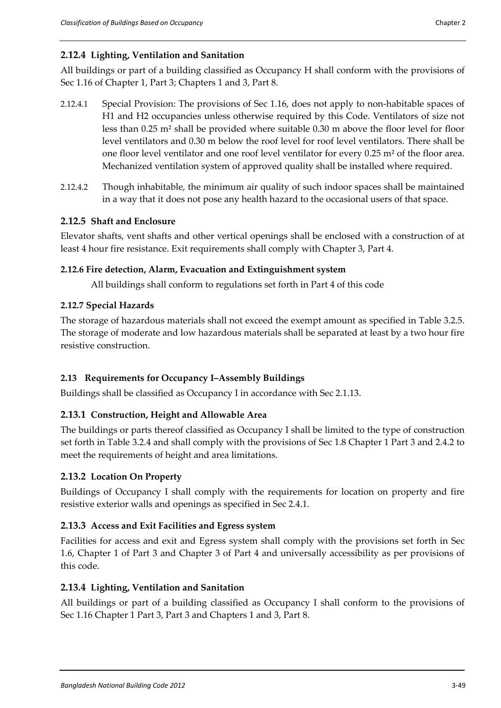# **2.12.4 Lighting, Ventilation and Sanitation**

All buildings or part of a building classified as Occupancy H shall conform with the provisions of Sec 1.16 of Chapter 1, Part 3; Chapters 1 and 3, Part 8.

- 2.12.4.1 Special Provision: The provisions of Sec 1.16, does not apply to non-habitable spaces of H1 and H2 occupancies unless otherwise required by this Code. Ventilators of size not less than 0.25 m² shall be provided where suitable 0.30 m above the floor level for floor level ventilators and 0.30 m below the roof level for roof level ventilators. There shall be one floor level ventilator and one roof level ventilator for every 0.25 m² of the floor area. Mechanized ventilation system of approved quality shall be installed where required.
- 2.12.4.2 Though inhabitable, the minimum air quality of such indoor spaces shall be maintained in a way that it does not pose any health hazard to the occasional users of that space.

# **2.12.5 Shaft and Enclosure**

Elevator shafts, vent shafts and other vertical openings shall be enclosed with a construction of at least 4 hour fire resistance. Exit requirements shall comply with Chapter 3, Part 4.

## **2.12.6 Fire detection, Alarm, Evacuation and Extinguishment system**

All buildings shall conform to regulations set forth in Part 4 of this code

## **2.12.7 Special Hazards**

The storage of hazardous materials shall not exceed the exempt amount as specified in Table 3.2.5. The storage of moderate and low hazardous materials shall be separated at least by a two hour fire resistive construction.

# **2.13 Requirements for Occupancy I–Assembly Buildings**

Buildings shall be classified as Occupancy I in accordance with Sec 2.1.13.

# **2.13.1 Construction, Height and Allowable Area**

The buildings or parts thereof classified as Occupancy I shall be limited to the type of construction set forth in Table 3.2.4 and shall comply with the provisions of Sec 1.8 Chapter 1 Part 3 and 2.4.2 to meet the requirements of height and area limitations.

# **2.13.2 Location On Property**

Buildings of Occupancy I shall comply with the requirements for location on property and fire resistive exterior walls and openings as specified in Sec 2.4.1.

# **2.13.3 Access and Exit Facilities and Egress system**

Facilities for access and exit and Egress system shall comply with the provisions set forth in Sec 1.6, Chapter 1 of Part 3 and Chapter 3 of Part 4 and universally accessibility as per provisions of this code.

# **2.13.4 Lighting, Ventilation and Sanitation**

All buildings or part of a building classified as Occupancy I shall conform to the provisions of Sec 1.16 Chapter 1 Part 3, Part 3 and Chapters 1 and 3, Part 8.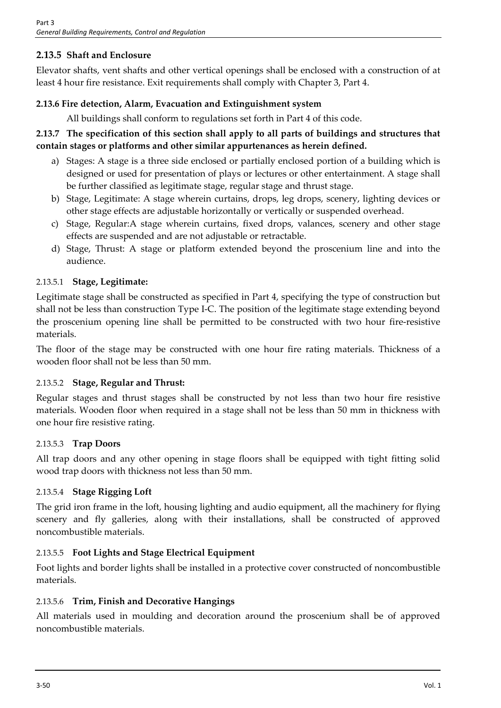# **2.13.5 Shaft and Enclosure**

Elevator shafts, vent shafts and other vertical openings shall be enclosed with a construction of at least 4 hour fire resistance. Exit requirements shall comply with Chapter 3, Part 4.

# **2.13.6 Fire detection, Alarm, Evacuation and Extinguishment system**

All buildings shall conform to regulations set forth in Part 4 of this code.

# **2.13.7 The specification of this section shall apply to all parts of buildings and structures that contain stages or platforms and other similar appurtenances as herein defined.**

- a) Stages: A stage is a three side enclosed or partially enclosed portion of a building which is designed or used for presentation of plays or lectures or other entertainment. A stage shall be further classified as legitimate stage, regular stage and thrust stage.
- b) Stage, Legitimate: A stage wherein curtains, drops, leg drops, scenery, lighting devices or other stage effects are adjustable horizontally or vertically or suspended overhead.
- c) Stage, Regular:A stage wherein curtains, fixed drops, valances, scenery and other stage effects are suspended and are not adjustable or retractable.
- d) Stage, Thrust: A stage or platform extended beyond the proscenium line and into the audience.

# 2.13.5.1 **Stage, Legitimate:**

Legitimate stage shall be constructed as specified in Part 4, specifying the type of construction but shall not be less than construction Type I-C. The position of the legitimate stage extending beyond the proscenium opening line shall be permitted to be constructed with two hour fire-resistive materials.

The floor of the stage may be constructed with one hour fire rating materials. Thickness of a wooden floor shall not be less than 50 mm.

# 2.13.5.2 **Stage, Regular and Thrust:**

Regular stages and thrust stages shall be constructed by not less than two hour fire resistive materials. Wooden floor when required in a stage shall not be less than 50 mm in thickness with one hour fire resistive rating.

# 2.13.5.3 **Trap Doors**

All trap doors and any other opening in stage floors shall be equipped with tight fitting solid wood trap doors with thickness not less than 50 mm.

# 2.13.5.4 **Stage Rigging Loft**

The grid iron frame in the loft, housing lighting and audio equipment, all the machinery for flying scenery and fly galleries, along with their installations, shall be constructed of approved noncombustible materials.

# 2.13.5.5 **Foot Lights and Stage Electrical Equipment**

Foot lights and border lights shall be installed in a protective cover constructed of noncombustible materials.

# 2.13.5.6 **Trim, Finish and Decorative Hangings**

All materials used in moulding and decoration around the proscenium shall be of approved noncombustible materials.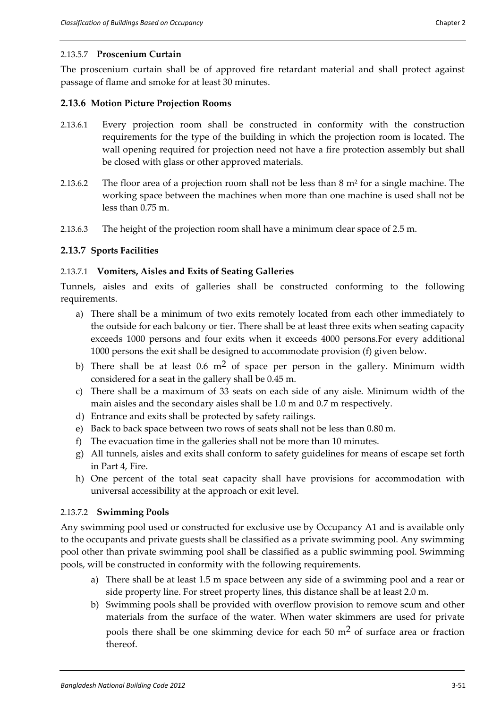The proscenium curtain shall be of approved fire retardant material and shall protect against passage of flame and smoke for at least 30 minutes.

## **2.13.6 Motion Picture Projection Rooms**

- 2.13.6.1 Every projection room shall be constructed in conformity with the construction requirements for the type of the building in which the projection room is located. The wall opening required for projection need not have a fire protection assembly but shall be closed with glass or other approved materials.
- 2.13.6.2 The floor area of a projection room shall not be less than 8 m<sup>2</sup> for a single machine. The working space between the machines when more than one machine is used shall not be less than 0.75 m.
- 2.13.6.3 The height of the projection room shall have a minimum clear space of 2.5 m.

## **2.13.7 Sports Facilities**

## 2.13.7.1 **Vomiters, Aisles and Exits of Seating Galleries**

Tunnels, aisles and exits of galleries shall be constructed conforming to the following requirements.

- a) There shall be a minimum of two exits remotely located from each other immediately to the outside for each balcony or tier. There shall be at least three exits when seating capacity exceeds 1000 persons and four exits when it exceeds 4000 persons.For every additional 1000 persons the exit shall be designed to accommodate provision (f) given below.
- b) There shall be at least 0.6  $m<sup>2</sup>$  of space per person in the gallery. Minimum width considered for a seat in the gallery shall be 0.45 m.
- c) There shall be a maximum of 33 seats on each side of any aisle. Minimum width of the main aisles and the secondary aisles shall be 1.0 m and 0.7 m respectively.
- d) Entrance and exits shall be protected by safety railings.
- e) Back to back space between two rows of seats shall not be less than 0.80 m.
- f) The evacuation time in the galleries shall not be more than 10 minutes.
- g) All tunnels, aisles and exits shall conform to safety guidelines for means of escape set forth in Part 4, Fire.
- h) One percent of the total seat capacity shall have provisions for accommodation with universal accessibility at the approach or exit level.

#### 2.13.7.2 **Swimming Pools**

Any swimming pool used or constructed for exclusive use by Occupancy A1 and is available only to the occupants and private guests shall be classified as a private swimming pool. Any swimming pool other than private swimming pool shall be classified as a public swimming pool. Swimming pools, will be constructed in conformity with the following requirements.

- a) There shall be at least 1.5 m space between any side of a swimming pool and a rear or side property line. For street property lines, this distance shall be at least 2.0 m.
- b) Swimming pools shall be provided with overflow provision to remove scum and other materials from the surface of the water. When water skimmers are used for private pools there shall be one skimming device for each  $50 \text{ m}^2$  of surface area or fraction thereof.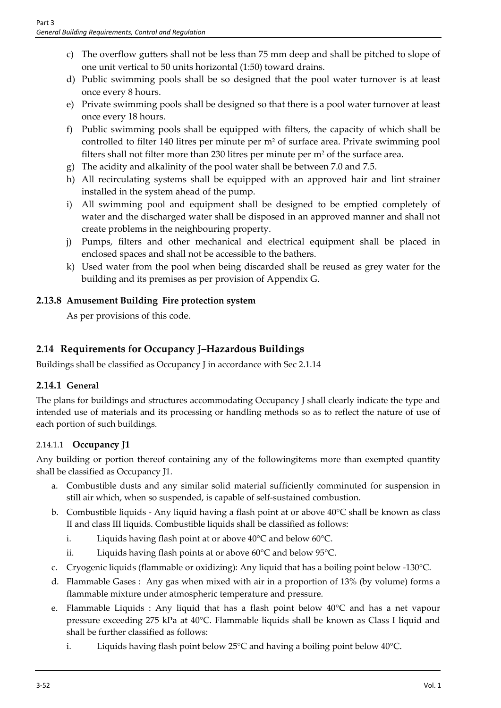- c) The overflow gutters shall not be less than 75 mm deep and shall be pitched to slope of one unit vertical to 50 units horizontal (1:50) toward drains.
- d) Public swimming pools shall be so designed that the pool water turnover is at least once every 8 hours.
- e) Private swimming pools shall be designed so that there is a pool water turnover at least once every 18 hours.
- f) Public swimming pools shall be equipped with filters, the capacity of which shall be controlled to filter 140 litres per minute per m<sup>2</sup> of surface area. Private swimming pool filters shall not filter more than 230 litres per minute per  $m<sup>2</sup>$  of the surface area.
- g) The acidity and alkalinity of the pool water shall be between 7.0 and 7.5.
- h) All recirculating systems shall be equipped with an approved hair and lint strainer installed in the system ahead of the pump.
- i) All swimming pool and equipment shall be designed to be emptied completely of water and the discharged water shall be disposed in an approved manner and shall not create problems in the neighbouring property.
- j) Pumps, filters and other mechanical and electrical equipment shall be placed in enclosed spaces and shall not be accessible to the bathers.
- k) Used water from the pool when being discarded shall be reused as grey water for the building and its premises as per provision of Appendix G.

# **2.13.8 Amusement Building Fire protection system**

As per provisions of this code.

# **2.14 Requirements for Occupancy J–Hazardous Buildings**

Buildings shall be classified as Occupancy J in accordance with Sec 2.1.14

# **2.14.1 General**

The plans for buildings and structures accommodating Occupancy J shall clearly indicate the type and intended use of materials and its processing or handling methods so as to reflect the nature of use of each portion of such buildings.

# 2.14.1.1 **Occupancy J1**

Any building or portion thereof containing any of the followingitems more than exempted quantity shall be classified as Occupancy J1.

- a. Combustible dusts and any similar solid material sufficiently comminuted for suspension in still air which, when so suspended, is capable of self-sustained combustion.
- b. Combustible liquids Any liquid having a flash point at or above 40°C shall be known as class II and class III liquids. Combustible liquids shall be classified as follows:
	- i. Liquids having flash point at or above 40°C and below 60°C.
	- ii. Liquids having flash points at or above 60°C and below 95°C.
- c. Cryogenic liquids (flammable or oxidizing): Any liquid that has a boiling point below -130°C.
- d. Flammable Gases : Any gas when mixed with air in a proportion of 13% (by volume) forms a flammable mixture under atmospheric temperature and pressure.
- e. Flammable Liquids : Any liquid that has a flash point below 40°C and has a net vapour pressure exceeding 275 kPa at 40°C. Flammable liquids shall be known as Class I liquid and shall be further classified as follows:
	- i. Liquids having flash point below 25°C and having a boiling point below 40°C.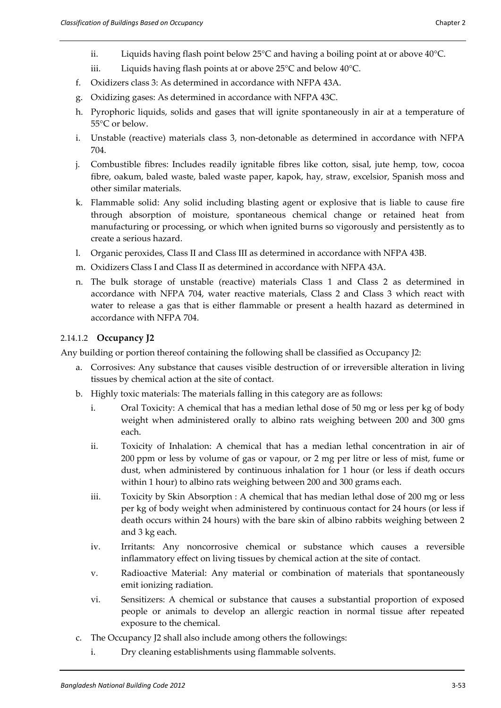- ii. Liquids having flash point below  $25^{\circ}$ C and having a boiling point at or above  $40^{\circ}$ C.
- iii. Liquids having flash points at or above 25°C and below 40°C.
- f. Oxidizers class 3: As determined in accordance with NFPA 43A.
- g. Oxidizing gases: As determined in accordance with NFPA 43C.
- h. Pyrophoric liquids, solids and gases that will ignite spontaneously in air at a temperature of 55°C or below.
- i. Unstable (reactive) materials class 3, non-detonable as determined in accordance with NFPA 704.
- j. Combustible fibres: Includes readily ignitable fibres like cotton, sisal, jute hemp, tow, cocoa fibre, oakum, baled waste, baled waste paper, kapok, hay, straw, excelsior, Spanish moss and other similar materials.
- k. Flammable solid: Any solid including blasting agent or explosive that is liable to cause fire through absorption of moisture, spontaneous chemical change or retained heat from manufacturing or processing, or which when ignited burns so vigorously and persistently as to create a serious hazard.
- l. Organic peroxides, Class II and Class III as determined in accordance with NFPA 43B.
- m. Oxidizers Class I and Class II as determined in accordance with NFPA 43A.
- n. The bulk storage of unstable (reactive) materials Class 1 and Class 2 as determined in accordance with NFPA 704, water reactive materials, Class 2 and Class 3 which react with water to release a gas that is either flammable or present a health hazard as determined in accordance with NFPA 704.

#### 2.14.1.2 **Occupancy J2**

Any building or portion thereof containing the following shall be classified as Occupancy J2:

- a. Corrosives: Any substance that causes visible destruction of or irreversible alteration in living tissues by chemical action at the site of contact.
- b. Highly toxic materials: The materials falling in this category are as follows:
	- i. Oral Toxicity: A chemical that has a median lethal dose of 50 mg or less per kg of body weight when administered orally to albino rats weighing between 200 and 300 gms each.
	- ii. Toxicity of Inhalation: A chemical that has a median lethal concentration in air of 200 ppm or less by volume of gas or vapour, or 2 mg per litre or less of mist, fume or dust, when administered by continuous inhalation for 1 hour (or less if death occurs within 1 hour) to albino rats weighing between 200 and 300 grams each.
	- iii. Toxicity by Skin Absorption : A chemical that has median lethal dose of 200 mg or less per kg of body weight when administered by continuous contact for 24 hours (or less if death occurs within 24 hours) with the bare skin of albino rabbits weighing between 2 and 3 kg each.
	- iv. Irritants: Any noncorrosive chemical or substance which causes a reversible inflammatory effect on living tissues by chemical action at the site of contact.
	- v. Radioactive Material: Any material or combination of materials that spontaneously emit ionizing radiation.
	- vi. Sensitizers: A chemical or substance that causes a substantial proportion of exposed people or animals to develop an allergic reaction in normal tissue after repeated exposure to the chemical.
- c. The Occupancy J2 shall also include among others the followings:
	- i. Dry cleaning establishments using flammable solvents.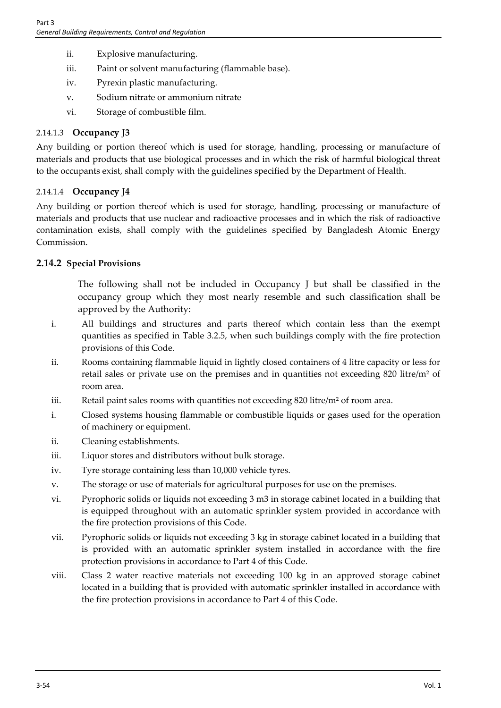- ii. Explosive manufacturing.
- iii. Paint or solvent manufacturing (flammable base).
- iv. Pyrexin plastic manufacturing.
- v. Sodium nitrate or ammonium nitrate
- vi. Storage of combustible film.

## 2.14.1.3 **Occupancy J3**

Any building or portion thereof which is used for storage, handling, processing or manufacture of materials and products that use biological processes and in which the risk of harmful biological threat to the occupants exist, shall comply with the guidelines specified by the Department of Health.

## 2.14.1.4 **Occupancy J4**

Any building or portion thereof which is used for storage, handling, processing or manufacture of materials and products that use nuclear and radioactive processes and in which the risk of radioactive contamination exists, shall comply with the guidelines specified by Bangladesh Atomic Energy Commission.

## **2.14.2 Special Provisions**

The following shall not be included in Occupancy J but shall be classified in the occupancy group which they most nearly resemble and such classification shall be approved by the Authority:

- i. All buildings and structures and parts thereof which contain less than the exempt quantities as specified in Table 3.2.5, when such buildings comply with the fire protection provisions of this Code.
- ii. Rooms containing flammable liquid in lightly closed containers of 4 litre capacity or less for retail sales or private use on the premises and in quantities not exceeding 820 litre/ $m<sup>2</sup>$  of room area.
- iii. Retail paint sales rooms with quantities not exceeding 820 litre/m<sup>2</sup> of room area.
- i. Closed systems housing flammable or combustible liquids or gases used for the operation of machinery or equipment.
- ii. Cleaning establishments.
- iii. Liquor stores and distributors without bulk storage.
- iv. Tyre storage containing less than 10,000 vehicle tyres.
- v. The storage or use of materials for agricultural purposes for use on the premises.
- vi. Pyrophoric solids or liquids not exceeding 3 m3 in storage cabinet located in a building that is equipped throughout with an automatic sprinkler system provided in accordance with the fire protection provisions of this Code.
- vii. Pyrophoric solids or liquids not exceeding 3 kg in storage cabinet located in a building that is provided with an automatic sprinkler system installed in accordance with the fire protection provisions in accordance to Part 4 of this Code.
- viii. Class 2 water reactive materials not exceeding 100 kg in an approved storage cabinet located in a building that is provided with automatic sprinkler installed in accordance with the fire protection provisions in accordance to Part 4 of this Code.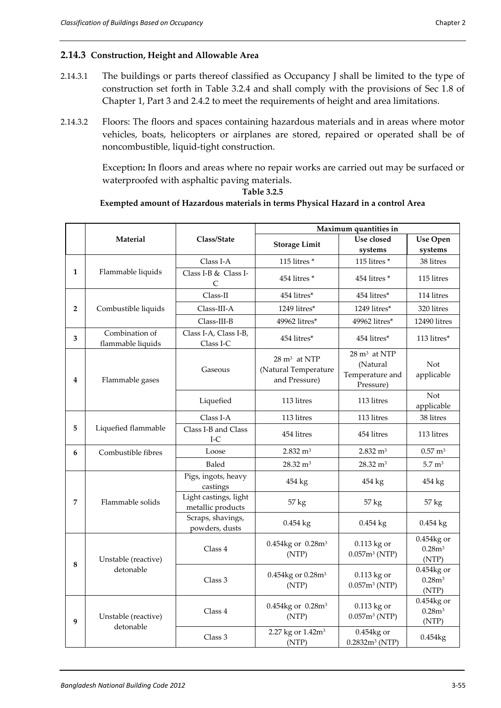#### **2.14.3 Construction, Height and Allowable Area**

- 2.14.3.1 The buildings or parts thereof classified as Occupancy J shall be limited to the type of construction set forth in Table 3.2.4 and shall comply with the provisions of Sec 1.8 of Chapter 1, Part 3 and 2.4.2 to meet the requirements of height and area limitations.
- 2.14.3.2 Floors: The floors and spaces containing hazardous materials and in areas where motor vehicles, boats, helicopters or airplanes are stored, repaired or operated shall be of noncombustible, liquid-tight construction.

Exception**:** In floors and areas where no repair works are carried out may be surfaced or waterproofed with asphaltic paving materials.

**Table 3.2.5**

#### **Exempted amount of Hazardous materials in terms Physical Hazard in a control Area**

|                |                                     |                                            | Maximum quantities in                                            |                                                                     |                                           |
|----------------|-------------------------------------|--------------------------------------------|------------------------------------------------------------------|---------------------------------------------------------------------|-------------------------------------------|
|                | Material                            | Class/State                                | <b>Storage Limit</b>                                             | Use closed                                                          | <b>Use Open</b>                           |
|                |                                     |                                            |                                                                  | systems                                                             | systems                                   |
|                |                                     | Class I-A                                  | 115 litres*                                                      | 115 litres $*$                                                      | 38 litres                                 |
| $\mathbf{1}$   | Flammable liquids                   | Class I-B & Class I-<br>$\mathsf{C}$       | 454 litres*                                                      | 454 litres*                                                         | 115 litres                                |
|                |                                     | Class-II                                   | 454 litres*                                                      | 454 litres*                                                         | 114 litres                                |
| $\overline{2}$ | Combustible liquids                 | $Class-III-A$                              | 1249 litres*                                                     | 1249 litres*                                                        | 320 litres                                |
|                |                                     | Class-III-B                                | 49962 litres*                                                    | 49962 litres*                                                       | 12490 litres                              |
| 3              | Combination of<br>flammable liquids | Class I-A, Class I-B,<br>Class I-C         | 454 litres*                                                      | 454 litres*                                                         | 113 litres*                               |
| 4              | Flammable gases                     | Gaseous                                    | $28 \text{ m}^3$ at NTP<br>(Natural Temperature<br>and Pressure) | $28 \text{ m}^3$ at NTP<br>(Natural<br>Temperature and<br>Pressure) | Not<br>applicable                         |
|                |                                     | Liquefied                                  | 113 litres                                                       | 113 litres                                                          | Not<br>applicable                         |
|                |                                     | Class I-A                                  | 113 litres                                                       | 113 litres                                                          | 38 litres                                 |
| 5              | Liquefied flammable                 | Class I-B and Class<br>$I-C$               | 454 litres                                                       | 454 litres                                                          | 113 litres                                |
| 6              | Combustible fibres                  | Loose                                      | $2.832 \text{ m}^3$                                              | $2.832 \text{ m}^3$                                                 | $0.57 \text{ m}^3$                        |
|                |                                     | Baled                                      | $28.32 \text{ m}^3$                                              | $28.32 \text{ m}^3$                                                 | $5.7 \text{ m}^3$                         |
|                |                                     | Pigs, ingots, heavy<br>castings            | 454 kg                                                           | 454 kg                                                              | 454 kg                                    |
| 7              | Flammable solids                    | Light castings, light<br>metallic products | 57 kg                                                            | 57 kg                                                               | 57 kg                                     |
|                |                                     | Scraps, shavings,<br>powders, dusts        | $0.454$ kg                                                       | $0.454$ kg                                                          | $0.454$ kg                                |
| 8              | Unstable (reactive)                 | Class 4                                    | 0.454kg or 0.28m <sup>3</sup><br>(NTP)                           | 0.113 kg or<br>0.057m <sup>3</sup> (NTP)                            | 0.454kg or<br>0.28m <sup>3</sup><br>(NTP) |
|                | detonable                           | Class 3                                    | 0.454kg or 0.28m <sup>3</sup><br>(NTP)                           | 0.113 kg or<br>0.057m <sup>3</sup> (NTP)                            | 0.454kg or<br>0.28m <sup>3</sup><br>(NTP) |
| 9              | Unstable (reactive)                 | Class 4                                    | 0.454kg or 0.28m <sup>3</sup><br>(NTP)                           | 0.113 kg or<br>0.057m <sup>3</sup> (NTP)                            | 0.454kg or<br>0.28m <sup>3</sup><br>(NTP) |
|                | detonable                           | Class 3                                    | 2.27 kg or 1.42m <sup>3</sup><br>(NTP)                           | 0.454kg or<br>$0.2832m3$ (NTP)                                      | 0.454kg                                   |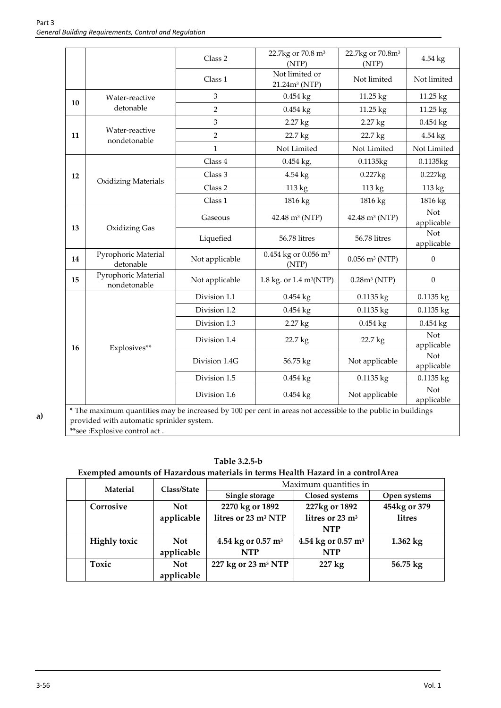|        |                                                                                                               | Class 2        | 22.7kg or 70.8 m <sup>3</sup><br>(NTP)      | 22.7kg or 70.8m <sup>3</sup><br>(NTP) | 4.54 kg                  |
|--------|---------------------------------------------------------------------------------------------------------------|----------------|---------------------------------------------|---------------------------------------|--------------------------|
|        |                                                                                                               | Class 1        | Not limited or<br>21.24m <sup>3</sup> (NTP) | Not limited                           | Not limited              |
| 10     | Water-reactive                                                                                                | 3              | $0.454$ kg                                  | 11.25 kg                              | 11.25 kg                 |
|        | detonable                                                                                                     | $\overline{2}$ | $0.454$ kg                                  | 11.25 kg                              | 11.25 kg                 |
|        |                                                                                                               | 3              | 2.27 kg                                     | 2.27 kg                               | $0.454$ kg               |
| 11     | Water-reactive<br>nondetonable                                                                                | $\overline{c}$ | 22.7 kg                                     | 22.7 kg                               | 4.54 kg                  |
|        |                                                                                                               | $\mathbf{1}$   | Not Limited                                 | Not Limited                           | Not Limited              |
|        |                                                                                                               | Class 4        | $0.454$ kg,                                 | 0.1135kg                              | 0.1135kg                 |
| 12     |                                                                                                               | Class 3        | 4.54 kg                                     | $0.227$ $kg$                          | 0.227kg                  |
|        | <b>Oxidizing Materials</b>                                                                                    | Class 2        | 113 kg                                      | 113 kg                                | 113 kg                   |
|        |                                                                                                               | Class 1        | 1816 kg                                     | 1816 kg                               | 1816 kg                  |
| 13     |                                                                                                               | Gaseous        | 42.48 m <sup>3</sup> (NTP)                  | 42.48 m <sup>3</sup> (NTP)            | Not<br>applicable        |
|        | Oxidizing Gas                                                                                                 | Liquefied      | 56.78 litres                                | 56.78 litres                          | Not<br>applicable        |
| 14     | Pyrophoric Material<br>detonable                                                                              | Not applicable | 0.454 kg or 0.056 m <sup>3</sup><br>(NTP)   | $0.056$ m <sup>3</sup> (NTP)          | $\boldsymbol{0}$         |
| $15\,$ | Pyrophoric Material<br>nondetonable                                                                           | Not applicable | 1.8 kg. or 1.4 m <sup>3</sup> (NTP)         | $0.28m3$ (NTP)                        | $\boldsymbol{0}$         |
|        |                                                                                                               | Division 1.1   | $0.454$ kg                                  | $0.1135$ kg                           | $0.1135$ kg              |
|        |                                                                                                               | Division 1.2   | 0.454 kg                                    | 0.1135 kg                             | 0.1135 kg                |
|        |                                                                                                               | Division 1.3   | 2.27 kg                                     | $0.454$ kg                            | $0.454$ kg               |
| 16     | Explosives**                                                                                                  | Division 1.4   | 22.7 kg                                     | 22.7 kg                               | <b>Not</b><br>applicable |
|        |                                                                                                               | Division 1.4G  | 56.75 kg                                    | Not applicable                        | Not<br>applicable        |
|        |                                                                                                               | Division 1.5   | $0.454$ kg                                  | 0.1135 kg                             | 0.1135 kg                |
|        |                                                                                                               | Division 1.6   | $0.454$ kg                                  | Not applicable                        | Not<br>applicable        |
|        | * The maximum quantities may be increased by 100 per cent in greas not accessible to the public in buildings. |                |                                             |                                       |                          |

**a)**

The maximum quantities may be increased by 100 per cent in areas not accessible to the public in buildings provided with automatic sprinkler system.

\*\*see :Explosive control act .

**Table 3.2.5-b**

#### **Exempted amounts of Hazardous materials in terms Health Hazard in a controlArea**

| <b>Material</b>     | Class/State | Maximum quantities in           |                                |                    |
|---------------------|-------------|---------------------------------|--------------------------------|--------------------|
|                     |             | Single storage                  | Closed systems                 | Open systems       |
| Corrosive           | <b>Not</b>  | 2270 kg or 1892                 | 227kg or 1892                  | 454kg or 379       |
|                     | applicable  | litres or 23 m <sup>3</sup> NTP | litres or 23 m <sup>3</sup>    | litres             |
|                     |             |                                 | <b>NTP</b>                     |                    |
| <b>Highly toxic</b> | <b>Not</b>  | 4.54 kg or 0.57 m <sup>3</sup>  | 4.54 kg or 0.57 m <sup>3</sup> | $1.362$ kg         |
|                     | applicable  | <b>NTP</b>                      | <b>NTP</b>                     |                    |
| Toxic               | <b>Not</b>  | 227 kg or 23 m <sup>3</sup> NTP | 227 kg                         | $56.75 \text{ kg}$ |
|                     | applicable  |                                 |                                |                    |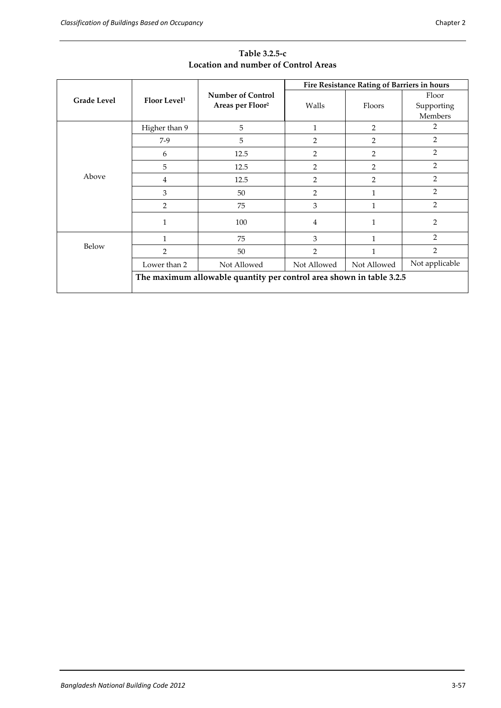|                    |                                                                      |                                                          |                | Fire Resistance Rating of Barriers in hours |                                |
|--------------------|----------------------------------------------------------------------|----------------------------------------------------------|----------------|---------------------------------------------|--------------------------------|
| <b>Grade Level</b> | Floor Level <sup>1</sup>                                             | <b>Number of Control</b><br>Areas per Floor <sup>2</sup> | Walls          | Floors                                      | Floor<br>Supporting<br>Members |
|                    | Higher than 9                                                        | 5                                                        |                | $\overline{2}$                              | 2                              |
|                    | $7-9$                                                                | 5                                                        | $\overline{2}$ | $\overline{2}$                              | 2                              |
|                    | 6                                                                    | 12.5                                                     | 2              | 2                                           | 2                              |
|                    | 5                                                                    | 12.5                                                     | $\overline{2}$ | $\overline{2}$                              | $\overline{2}$                 |
| Above              | $\overline{4}$                                                       | 12.5                                                     | 2              | $\overline{2}$                              | $\overline{2}$                 |
|                    | 3                                                                    | 50                                                       | 2              | 1                                           | $\overline{2}$                 |
|                    | 2                                                                    | 75                                                       | 3              | 1                                           | $\overline{2}$                 |
|                    | $\mathbf{1}$                                                         | 100                                                      | 4              | 1                                           | $\overline{2}$                 |
|                    | 1                                                                    | 75                                                       | 3              | 1                                           | $\overline{2}$                 |
| Below              | $\overline{2}$                                                       | 50                                                       | 2              | 1                                           | $\overline{2}$                 |
|                    | Lower than 2                                                         | Not Allowed                                              | Not Allowed    | Not Allowed                                 | Not applicable                 |
|                    | The maximum allowable quantity per control area shown in table 3.2.5 |                                                          |                |                                             |                                |

**Table 3.2.5-c Location and number of Control Areas**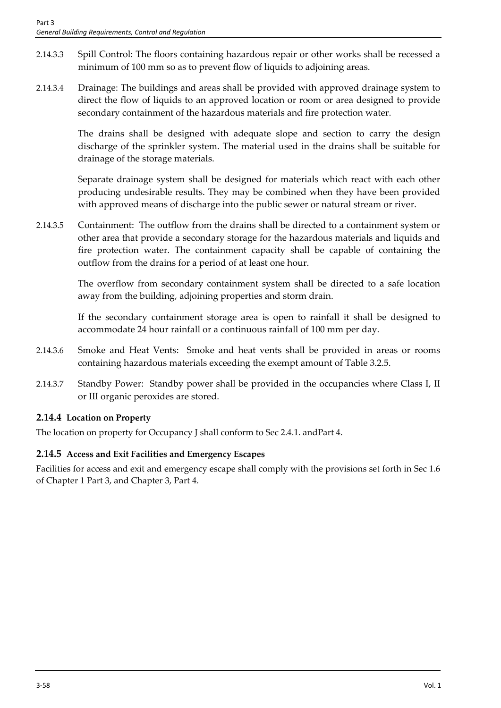- 2.14.3.3 Spill Control: The floors containing hazardous repair or other works shall be recessed a minimum of 100 mm so as to prevent flow of liquids to adjoining areas.
- 2.14.3.4 Drainage: The buildings and areas shall be provided with approved drainage system to direct the flow of liquids to an approved location or room or area designed to provide secondary containment of the hazardous materials and fire protection water.

The drains shall be designed with adequate slope and section to carry the design discharge of the sprinkler system. The material used in the drains shall be suitable for drainage of the storage materials.

Separate drainage system shall be designed for materials which react with each other producing undesirable results. They may be combined when they have been provided with approved means of discharge into the public sewer or natural stream or river.

2.14.3.5 Containment: The outflow from the drains shall be directed to a containment system or other area that provide a secondary storage for the hazardous materials and liquids and fire protection water. The containment capacity shall be capable of containing the outflow from the drains for a period of at least one hour.

> The overflow from secondary containment system shall be directed to a safe location away from the building, adjoining properties and storm drain.

> If the secondary containment storage area is open to rainfall it shall be designed to accommodate 24 hour rainfall or a continuous rainfall of 100 mm per day.

- 2.14.3.6 Smoke and Heat Vents: Smoke and heat vents shall be provided in areas or rooms containing hazardous materials exceeding the exempt amount of Table 3.2.5.
- 2.14.3.7 Standby Power: Standby power shall be provided in the occupancies where Class I, II or III organic peroxides are stored.

# **2.14.4 Location on Property**

The location on property for Occupancy J shall conform to Sec 2.4.1. andPart 4.

# **2.14.5 Access and Exit Facilities and Emergency Escapes**

Facilities for access and exit and emergency escape shall comply with the provisions set forth in Sec 1.6 of Chapter 1 Part 3, and Chapter 3, Part 4.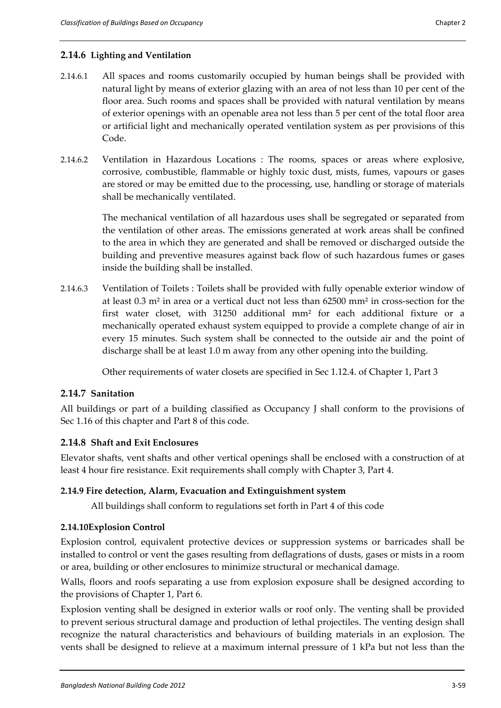#### **2.14.6 Lighting and Ventilation**

- 2.14.6.1 All spaces and rooms customarily occupied by human beings shall be provided with natural light by means of exterior glazing with an area of not less than 10 per cent of the floor area. Such rooms and spaces shall be provided with natural ventilation by means of exterior openings with an openable area not less than 5 per cent of the total floor area or artificial light and mechanically operated ventilation system as per provisions of this Code.
- 2.14.6.2 Ventilation in Hazardous Locations : The rooms, spaces or areas where explosive, corrosive, combustible, flammable or highly toxic dust, mists, fumes, vapours or gases are stored or may be emitted due to the processing, use, handling or storage of materials shall be mechanically ventilated.

The mechanical ventilation of all hazardous uses shall be segregated or separated from the ventilation of other areas. The emissions generated at work areas shall be confined to the area in which they are generated and shall be removed or discharged outside the building and preventive measures against back flow of such hazardous fumes or gases inside the building shall be installed.

2.14.6.3 Ventilation of Toilets : Toilets shall be provided with fully openable exterior window of at least 0.3 m² in area or a vertical duct not less than 62500 mm² in cross-section for the first water closet, with 31250 additional mm² for each additional fixture or a mechanically operated exhaust system equipped to provide a complete change of air in every 15 minutes. Such system shall be connected to the outside air and the point of discharge shall be at least 1.0 m away from any other opening into the building.

Other requirements of water closets are specified in Sec 1.12.4. of Chapter 1, Part 3

#### **2.14.7 Sanitation**

All buildings or part of a building classified as Occupancy J shall conform to the provisions of Sec 1.16 of this chapter and Part 8 of this code.

#### **2.14.8 Shaft and Exit Enclosures**

Elevator shafts, vent shafts and other vertical openings shall be enclosed with a construction of at least 4 hour fire resistance. Exit requirements shall comply with Chapter 3, Part 4.

#### **2.14.9 Fire detection, Alarm, Evacuation and Extinguishment system**

All buildings shall conform to regulations set forth in Part 4 of this code

#### **2.14.10Explosion Control**

Explosion control, equivalent protective devices or suppression systems or barricades shall be installed to control or vent the gases resulting from deflagrations of dusts, gases or mists in a room or area, building or other enclosures to minimize structural or mechanical damage.

Walls, floors and roofs separating a use from explosion exposure shall be designed according to the provisions of Chapter 1, Part 6.

Explosion venting shall be designed in exterior walls or roof only. The venting shall be provided to prevent serious structural damage and production of lethal projectiles. The venting design shall recognize the natural characteristics and behaviours of building materials in an explosion. The vents shall be designed to relieve at a maximum internal pressure of 1 kPa but not less than the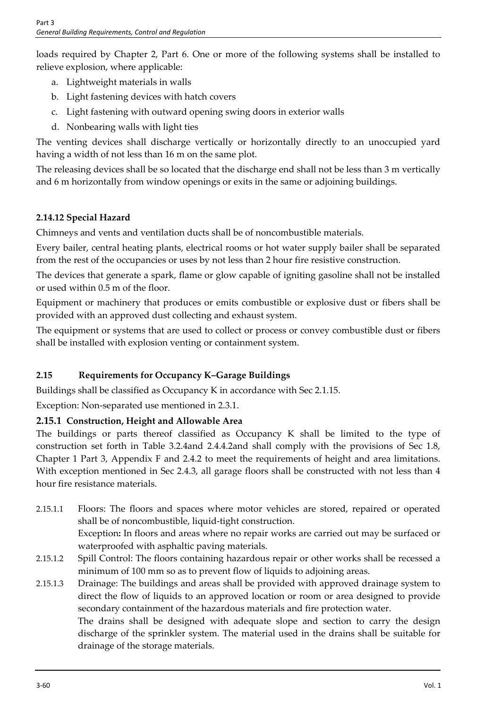loads required by Chapter 2, Part 6. One or more of the following systems shall be installed to relieve explosion, where applicable:

- a. Lightweight materials in walls
- b. Light fastening devices with hatch covers
- c. Light fastening with outward opening swing doors in exterior walls
- d. Nonbearing walls with light ties

The venting devices shall discharge vertically or horizontally directly to an unoccupied yard having a width of not less than 16 m on the same plot.

The releasing devices shall be so located that the discharge end shall not be less than 3 m vertically and 6 m horizontally from window openings or exits in the same or adjoining buildings.

# **2.14.12 Special Hazard**

Chimneys and vents and ventilation ducts shall be of noncombustible materials.

Every bailer, central heating plants, electrical rooms or hot water supply bailer shall be separated from the rest of the occupancies or uses by not less than 2 hour fire resistive construction.

The devices that generate a spark, flame or glow capable of igniting gasoline shall not be installed or used within 0.5 m of the floor.

Equipment or machinery that produces or emits combustible or explosive dust or fibers shall be provided with an approved dust collecting and exhaust system.

The equipment or systems that are used to collect or process or convey combustible dust or fibers shall be installed with explosion venting or containment system.

# **2.15 Requirements for Occupancy K–Garage Buildings**

Buildings shall be classified as Occupancy K in accordance with Sec 2.1.15.

Exception: Non-separated use mentioned in 2.3.1.

# **2.15.1 Construction, Height and Allowable Area**

The buildings or parts thereof classified as Occupancy K shall be limited to the type of construction set forth in Table 3.2.4and 2.4.4.2and shall comply with the provisions of Sec 1.8, Chapter 1 Part 3, Appendix F and 2.4.2 to meet the requirements of height and area limitations. With exception mentioned in Sec 2.4.3, all garage floors shall be constructed with not less than 4 hour fire resistance materials.

- 2.15.1.1 Floors: The floors and spaces where motor vehicles are stored, repaired or operated shall be of noncombustible, liquid-tight construction. Exception**:** In floors and areas where no repair works are carried out may be surfaced or waterproofed with asphaltic paving materials.
- 2.15.1.2 Spill Control: The floors containing hazardous repair or other works shall be recessed a minimum of 100 mm so as to prevent flow of liquids to adjoining areas.
- 2.15.1.3 Drainage: The buildings and areas shall be provided with approved drainage system to direct the flow of liquids to an approved location or room or area designed to provide secondary containment of the hazardous materials and fire protection water.

The drains shall be designed with adequate slope and section to carry the design discharge of the sprinkler system. The material used in the drains shall be suitable for drainage of the storage materials.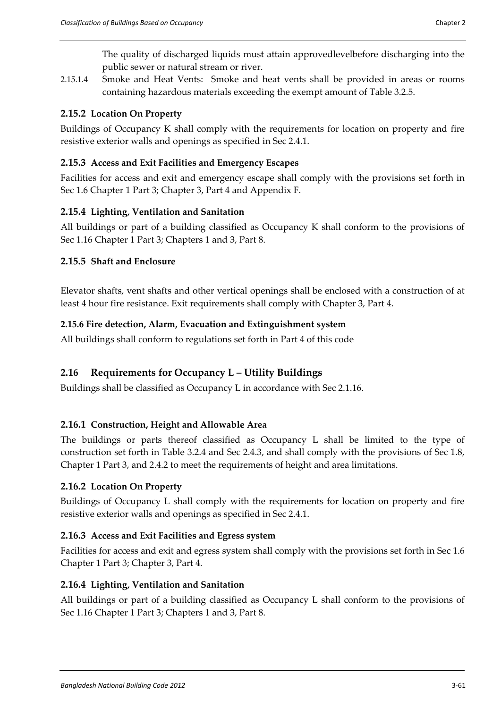The quality of discharged liquids must attain approvedlevelbefore discharging into the public sewer or natural stream or river.

2.15.1.4 Smoke and Heat Vents: Smoke and heat vents shall be provided in areas or rooms containing hazardous materials exceeding the exempt amount of Table 3.2.5.

# **2.15.2 Location On Property**

Buildings of Occupancy K shall comply with the requirements for location on property and fire resistive exterior walls and openings as specified in Sec 2.4.1.

# **2.15.3 Access and Exit Facilities and Emergency Escapes**

Facilities for access and exit and emergency escape shall comply with the provisions set forth in Sec 1.6 Chapter 1 Part 3; Chapter 3, Part 4 and Appendix F.

# **2.15.4 Lighting, Ventilation and Sanitation**

All buildings or part of a building classified as Occupancy K shall conform to the provisions of Sec 1.16 Chapter 1 Part 3; Chapters 1 and 3, Part 8.

# **2.15.5 Shaft and Enclosure**

Elevator shafts, vent shafts and other vertical openings shall be enclosed with a construction of at least 4 hour fire resistance. Exit requirements shall comply with Chapter 3, Part 4.

# **2.15.6 Fire detection, Alarm, Evacuation and Extinguishment system**

All buildings shall conform to regulations set forth in Part 4 of this code

# **2.16 Requirements for Occupancy L – Utility Buildings**

Buildings shall be classified as Occupancy L in accordance with Sec 2.1.16.

# **2.16.1 Construction, Height and Allowable Area**

The buildings or parts thereof classified as Occupancy L shall be limited to the type of construction set forth in Table 3.2.4 and Sec 2.4.3, and shall comply with the provisions of Sec 1.8, Chapter 1 Part 3, and 2.4.2 to meet the requirements of height and area limitations.

# **2.16.2 Location On Property**

Buildings of Occupancy L shall comply with the requirements for location on property and fire resistive exterior walls and openings as specified in Sec 2.4.1.

# **2.16.3 Access and Exit Facilities and Egress system**

Facilities for access and exit and egress system shall comply with the provisions set forth in Sec 1.6 Chapter 1 Part 3; Chapter 3, Part 4.

# **2.16.4 Lighting, Ventilation and Sanitation**

All buildings or part of a building classified as Occupancy L shall conform to the provisions of Sec 1.16 Chapter 1 Part 3; Chapters 1 and 3, Part 8.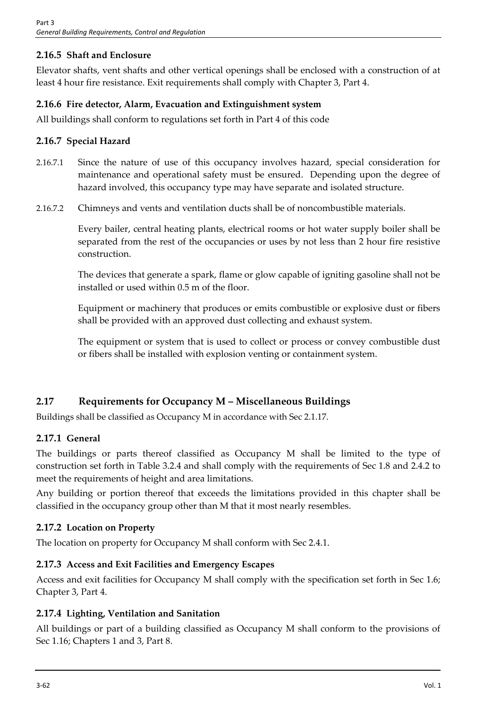# **2.16.5 Shaft and Enclosure**

Elevator shafts, vent shafts and other vertical openings shall be enclosed with a construction of at least 4 hour fire resistance. Exit requirements shall comply with Chapter 3, Part 4.

# **2.16.6 Fire detector, Alarm, Evacuation and Extinguishment system**

All buildings shall conform to regulations set forth in Part 4 of this code

# **2.16.7 Special Hazard**

- 2.16.7.1 Since the nature of use of this occupancy involves hazard, special consideration for maintenance and operational safety must be ensured. Depending upon the degree of hazard involved, this occupancy type may have separate and isolated structure.
- 2.16.7.2 Chimneys and vents and ventilation ducts shall be of noncombustible materials.

Every bailer, central heating plants, electrical rooms or hot water supply boiler shall be separated from the rest of the occupancies or uses by not less than 2 hour fire resistive construction.

The devices that generate a spark, flame or glow capable of igniting gasoline shall not be installed or used within 0.5 m of the floor.

Equipment or machinery that produces or emits combustible or explosive dust or fibers shall be provided with an approved dust collecting and exhaust system.

The equipment or system that is used to collect or process or convey combustible dust or fibers shall be installed with explosion venting or containment system.

# **2.17 Requirements for Occupancy M – Miscellaneous Buildings**

Buildings shall be classified as Occupancy M in accordance with Sec 2.1.17.

# **2.17.1 General**

The buildings or parts thereof classified as Occupancy M shall be limited to the type of construction set forth in Table 3.2.4 and shall comply with the requirements of Sec 1.8 and 2.4.2 to meet the requirements of height and area limitations.

Any building or portion thereof that exceeds the limitations provided in this chapter shall be classified in the occupancy group other than M that it most nearly resembles.

# **2.17.2 Location on Property**

The location on property for Occupancy M shall conform with Sec 2.4.1.

# **2.17.3 Access and Exit Facilities and Emergency Escapes**

Access and exit facilities for Occupancy M shall comply with the specification set forth in Sec 1.6; Chapter 3, Part 4.

# **2.17.4 Lighting, Ventilation and Sanitation**

All buildings or part of a building classified as Occupancy M shall conform to the provisions of Sec 1.16; Chapters 1 and 3, Part 8.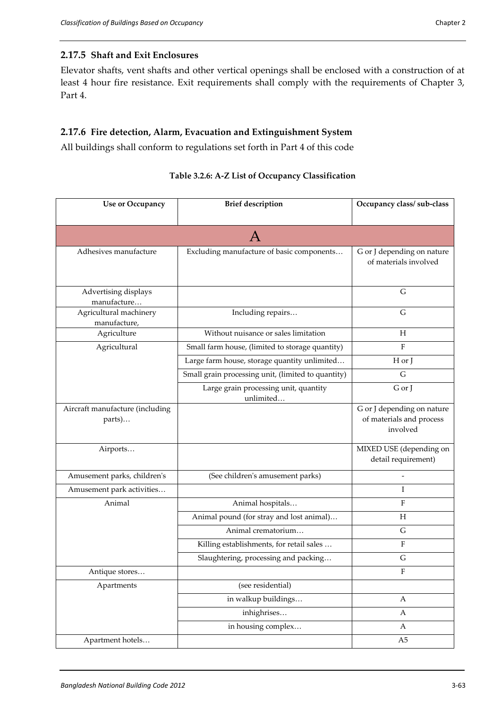# **2.17.5 Shaft and Exit Enclosures**

Elevator shafts, vent shafts and other vertical openings shall be enclosed with a construction of at least 4 hour fire resistance. Exit requirements shall comply with the requirements of Chapter 3, Part 4.

## **2.17.6 Fire detection, Alarm, Evacuation and Extinguishment System**

All buildings shall conform to regulations set forth in Part 4 of this code

| <b>Use or Occupancy</b>                   | <b>Brief description</b>                           | Occupancy class/ sub-class                                         |
|-------------------------------------------|----------------------------------------------------|--------------------------------------------------------------------|
|                                           |                                                    |                                                                    |
|                                           |                                                    |                                                                    |
| Adhesives manufacture                     | Excluding manufacture of basic components          | G or J depending on nature<br>of materials involved                |
| Advertising displays<br>manufacture       |                                                    | ${\bf G}$                                                          |
| Agricultural machinery<br>manufacture,    | Including repairs                                  | G                                                                  |
| Agriculture                               | Without nuisance or sales limitation               | H                                                                  |
| Agricultural                              | Small farm house, (limited to storage quantity)    | F                                                                  |
|                                           | Large farm house, storage quantity unlimited       | H or J                                                             |
|                                           | Small grain processing unit, (limited to quantity) | G                                                                  |
|                                           | Large grain processing unit, quantity<br>unlimited | G or J                                                             |
| Aircraft manufacture (including<br>parts) |                                                    | G or J depending on nature<br>of materials and process<br>involved |
| Airports                                  |                                                    | MIXED USE (depending on<br>detail requirement)                     |
| Amusement parks, children's               | (See children's amusement parks)                   |                                                                    |
| Amusement park activities                 |                                                    | I                                                                  |
| Animal                                    | Animal hospitals                                   | F                                                                  |
|                                           | Animal pound (for stray and lost animal)           | H                                                                  |
|                                           | Animal crematorium                                 | G                                                                  |
|                                           | Killing establishments, for retail sales           | F                                                                  |
|                                           | Slaughtering, processing and packing               | G                                                                  |
| Antique stores                            |                                                    | F                                                                  |
| Apartments                                | (see residential)                                  |                                                                    |
|                                           | in walkup buildings                                | $\boldsymbol{A}$                                                   |
|                                           | inhighrises                                        | A                                                                  |
|                                           | in housing complex                                 | A                                                                  |
| Apartment hotels                          |                                                    | A5                                                                 |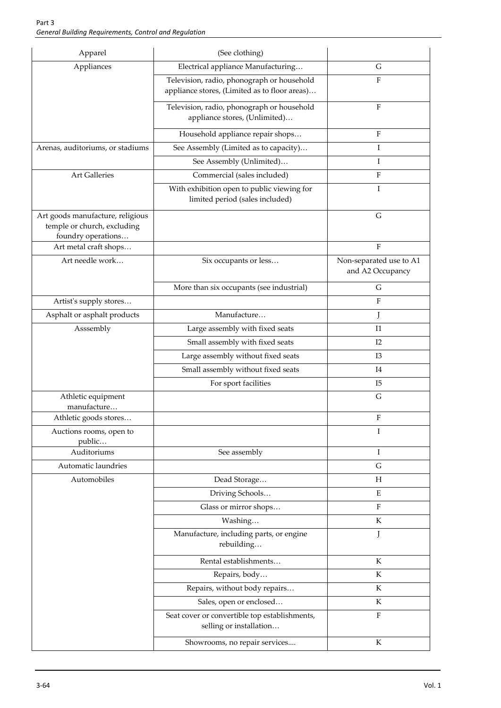| Apparel                                                                               | (See clothing)                                                                              |                                             |
|---------------------------------------------------------------------------------------|---------------------------------------------------------------------------------------------|---------------------------------------------|
| Appliances                                                                            | Electrical appliance Manufacturing                                                          | G                                           |
|                                                                                       | Television, radio, phonograph or household<br>appliance stores, (Limited as to floor areas) | F                                           |
|                                                                                       | Television, radio, phonograph or household<br>appliance stores, (Unlimited)                 | $\rm F$                                     |
|                                                                                       | Household appliance repair shops                                                            | $\rm F$                                     |
| Arenas, auditoriums, or stadiums                                                      | See Assembly (Limited as to capacity)                                                       | I                                           |
|                                                                                       | See Assembly (Unlimited)                                                                    | Ι                                           |
| <b>Art Galleries</b>                                                                  | Commercial (sales included)                                                                 | ${\rm F}$                                   |
|                                                                                       | With exhibition open to public viewing for<br>limited period (sales included)               | I                                           |
| Art goods manufacture, religious<br>temple or church, excluding<br>foundry operations |                                                                                             | $\mathsf G$                                 |
| Art metal craft shops                                                                 |                                                                                             | ${\bf F}$                                   |
| Art needle work                                                                       | Six occupants or less                                                                       | Non-separated use to A1<br>and A2 Occupancy |
|                                                                                       | More than six occupants (see industrial)                                                    | G                                           |
| Artist's supply stores                                                                |                                                                                             | F                                           |
| Asphalt or asphalt products                                                           | Manufacture                                                                                 | J                                           |
| Asssembly                                                                             | Large assembly with fixed seats                                                             | I <sub>1</sub>                              |
|                                                                                       | Small assembly with fixed seats                                                             | I2                                          |
|                                                                                       | Large assembly without fixed seats                                                          | I3                                          |
|                                                                                       | Small assembly without fixed seats                                                          | I4                                          |
|                                                                                       | For sport facilities                                                                        | I5                                          |
| Athletic equipment<br>manufacture                                                     |                                                                                             | $\mathsf G$                                 |
| Athletic goods stores                                                                 |                                                                                             | $\rm F$                                     |
| Auctions rooms, open to                                                               |                                                                                             | Ι                                           |
| public                                                                                |                                                                                             |                                             |
| Auditoriums                                                                           | See assembly                                                                                | Ι                                           |
| Automatic laundries                                                                   |                                                                                             | G                                           |
| Automobiles                                                                           | Dead Storage                                                                                | H                                           |
|                                                                                       | Driving Schools                                                                             | E                                           |
|                                                                                       | Glass or mirror shops                                                                       | ${\bf F}$                                   |
|                                                                                       | Washing                                                                                     | $\rm K$                                     |
|                                                                                       | Manufacture, including parts, or engine<br>rebuilding                                       | J                                           |
|                                                                                       | Rental establishments                                                                       | K                                           |
|                                                                                       | Repairs, body                                                                               | K                                           |
|                                                                                       | Repairs, without body repairs                                                               | ${\bf K}$                                   |
|                                                                                       | Sales, open or enclosed                                                                     | K                                           |
|                                                                                       | Seat cover or convertible top establishments,<br>selling or installation                    | ${\rm F}$                                   |
|                                                                                       | Showrooms, no repair services                                                               | K                                           |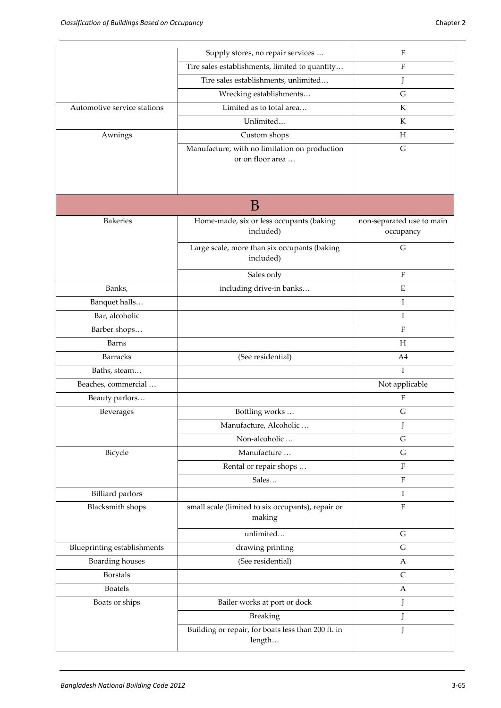|                             | Supply stores, no repair services                                 | $\mathbf{F}$              |
|-----------------------------|-------------------------------------------------------------------|---------------------------|
|                             | Tire sales establishments, limited to quantity                    | $\rm F$                   |
|                             | Tire sales establishments, unlimited                              | J                         |
|                             | Wrecking establishments                                           | G                         |
| Automotive service stations | Limited as to total area                                          | K                         |
|                             | Unlimited                                                         | K                         |
| Awnings                     | Custom shops                                                      | H                         |
|                             | Manufacture, with no limitation on production<br>or on floor area | $\mathsf G$               |
|                             | B                                                                 |                           |
| <b>Bakeries</b>             | Home-made, six or less occupants (baking                          | non-separated use to main |
|                             | included)                                                         | occupancy                 |
|                             | Large scale, more than six occupants (baking<br>included)         | G                         |
|                             | Sales only                                                        | $\rm F$                   |
| Banks,                      | including drive-in banks                                          | $\mathbf E$               |
| Banquet halls               |                                                                   | Ι                         |
| Bar, alcoholic              |                                                                   | I                         |
| Barber shops                |                                                                   | F                         |
| Barns                       |                                                                   | H                         |
| <b>Barracks</b>             | (See residential)                                                 | A4                        |
| Baths, steam                |                                                                   | T                         |
| Beaches, commercial         |                                                                   | Not applicable            |
| Beauty parlors              |                                                                   | F                         |
| Beverages                   | Bottling works                                                    | G                         |
|                             | Manufacture, Alcoholic                                            | J                         |
|                             | Non-alcoholic                                                     | G                         |
| Bicycle                     | Manufacture                                                       | G                         |
|                             | Rental or repair shops                                            | $\rm F$                   |
|                             | Sales                                                             | $\rm F$                   |
| <b>Billiard</b> parlors     |                                                                   | Ι                         |
| Blacksmith shops            | small scale (limited to six occupants), repair or<br>making       | $\rm F$                   |
|                             | unlimited                                                         | G                         |
| Blueprinting establishments | drawing printing                                                  | G                         |
| Boarding houses             | (See residential)                                                 | A                         |
| <b>Borstals</b>             |                                                                   | $\mathsf C$               |
| <b>Boatels</b>              |                                                                   | А                         |
| Boats or ships              | Bailer works at port or dock                                      | J                         |
|                             | <b>Breaking</b>                                                   | J                         |
|                             | Building or repair, for boats less than 200 ft. in<br>length      | J                         |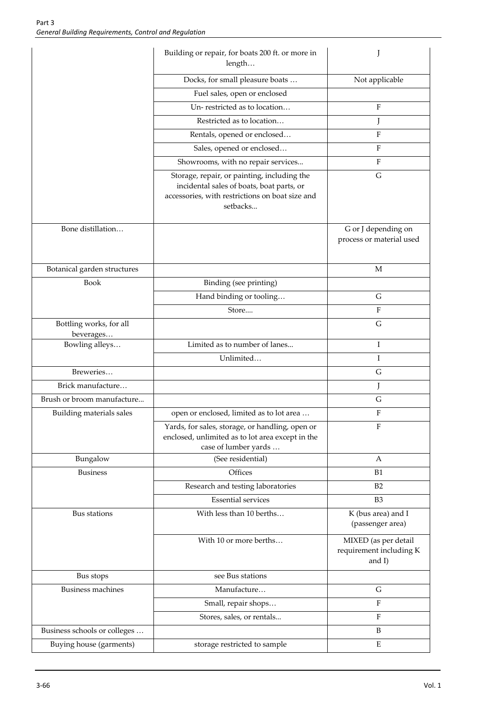|                                      | Building or repair, for boats 200 ft. or more in<br>length                                                                                              |                                                              |
|--------------------------------------|---------------------------------------------------------------------------------------------------------------------------------------------------------|--------------------------------------------------------------|
|                                      | Docks, for small pleasure boats                                                                                                                         | Not applicable                                               |
|                                      | Fuel sales, open or enclosed                                                                                                                            |                                                              |
|                                      | Un-restricted as to location                                                                                                                            | $\mathbf F$                                                  |
|                                      | Restricted as to location                                                                                                                               | J                                                            |
|                                      | Rentals, opened or enclosed                                                                                                                             | $\rm F$                                                      |
|                                      | Sales, opened or enclosed                                                                                                                               | $\rm F$                                                      |
|                                      | Showrooms, with no repair services                                                                                                                      | $\mathbf{F}$                                                 |
|                                      | Storage, repair, or painting, including the<br>incidental sales of boats, boat parts, or<br>accessories, with restrictions on boat size and<br>setbacks | G                                                            |
| Bone distillation                    |                                                                                                                                                         | G or J depending on<br>process or material used              |
| Botanical garden structures          |                                                                                                                                                         | M                                                            |
| <b>Book</b>                          | Binding (see printing)                                                                                                                                  |                                                              |
|                                      | Hand binding or tooling                                                                                                                                 | G                                                            |
|                                      | Store                                                                                                                                                   | $\mathbf{F}$                                                 |
| Bottling works, for all<br>beverages |                                                                                                                                                         | G                                                            |
| Bowling alleys                       | Limited as to number of lanes                                                                                                                           | Ι                                                            |
|                                      | Unlimited                                                                                                                                               | I                                                            |
| Breweries                            |                                                                                                                                                         | G                                                            |
| Brick manufacture                    |                                                                                                                                                         | J                                                            |
| Brush or broom manufacture           |                                                                                                                                                         | G                                                            |
| Building materials sales             | open or enclosed, limited as to lot area                                                                                                                | ${\bf F}$                                                    |
|                                      | Yards, for sales, storage, or handling, open or<br>enclosed, unlimited as to lot area except in the<br>case of lumber yards                             | F                                                            |
| Bungalow                             | (See residential)                                                                                                                                       | А                                                            |
| <b>Business</b>                      | Offices                                                                                                                                                 | <b>B1</b>                                                    |
|                                      | Research and testing laboratories                                                                                                                       | B2                                                           |
|                                      | <b>Essential services</b>                                                                                                                               | B <sub>3</sub>                                               |
| Bus stations                         | With less than 10 berths                                                                                                                                | K (bus area) and I<br>(passenger area)                       |
|                                      | With 10 or more berths                                                                                                                                  | MIXED (as per detail<br>requirement including K<br>and $I$ ) |
| Bus stops                            | see Bus stations                                                                                                                                        |                                                              |
| <b>Business machines</b>             | Manufacture                                                                                                                                             | G                                                            |
|                                      | Small, repair shops                                                                                                                                     | $\mathbf{F}$                                                 |
|                                      | Stores, sales, or rentals                                                                                                                               | $\mathbf F$                                                  |
| Business schools or colleges         |                                                                                                                                                         | B                                                            |
| Buying house (garments)              | storage restricted to sample                                                                                                                            | E                                                            |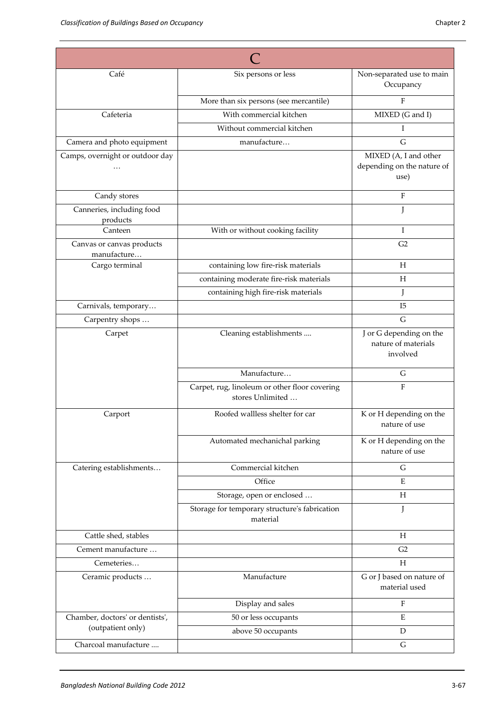| Café                                     | Six persons or less                                               | Non-separated use to main<br>Occupancy                      |
|------------------------------------------|-------------------------------------------------------------------|-------------------------------------------------------------|
|                                          | More than six persons (see mercantile)                            | F                                                           |
| Cafeteria                                | With commercial kitchen                                           | MIXED (G and I)                                             |
|                                          | Without commercial kitchen                                        | Ι                                                           |
| Camera and photo equipment               | manufacture                                                       | G                                                           |
| Camps, overnight or outdoor day          |                                                                   | MIXED (A, I and other<br>depending on the nature of<br>use) |
| Candy stores                             |                                                                   | F                                                           |
| Canneries, including food<br>products    |                                                                   | J                                                           |
| Canteen                                  | With or without cooking facility                                  | Ι                                                           |
| Canvas or canvas products<br>manufacture |                                                                   | G <sub>2</sub>                                              |
| Cargo terminal                           | containing low fire-risk materials                                | H                                                           |
|                                          | containing moderate fire-risk materials                           | H                                                           |
|                                          | containing high fire-risk materials                               | J                                                           |
| Carnivals, temporary                     |                                                                   | I5                                                          |
| Carpentry shops                          |                                                                   | G                                                           |
| Carpet                                   | Cleaning establishments                                           | J or G depending on the<br>nature of materials<br>involved  |
|                                          | Manufacture                                                       | G                                                           |
|                                          | Carpet, rug, linoleum or other floor covering<br>stores Unlimited | $\rm F$                                                     |
| Carport                                  | Roofed wallless shelter for car                                   | K or H depending on the<br>nature of use                    |
|                                          | Automated mechanichal parking                                     | K or H depending on the<br>nature of use                    |
| Catering establishments                  | Commercial kitchen                                                | G                                                           |
|                                          | Office                                                            | E                                                           |
|                                          | Storage, open or enclosed                                         | Н                                                           |
|                                          | Storage for temporary structure's fabrication<br>material         | J                                                           |
| Cattle shed, stables                     |                                                                   | H                                                           |
| Cement manufacture                       |                                                                   | G <sub>2</sub>                                              |
| Cemeteries                               |                                                                   | H                                                           |
| Ceramic products                         | Manufacture                                                       | G or J based on nature of<br>material used                  |
|                                          | Display and sales                                                 | F                                                           |
| Chamber, doctors' or dentists',          | 50 or less occupants                                              | E                                                           |
| (outpatient only)                        | above 50 occupants                                                | D                                                           |
| Charcoal manufacture                     |                                                                   | G                                                           |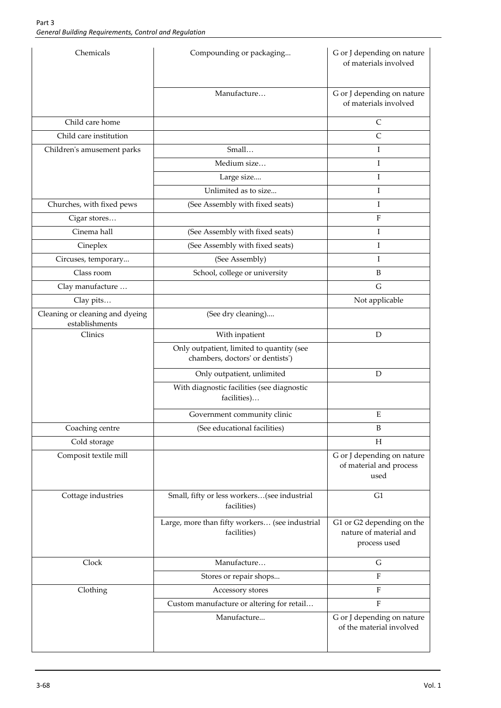| Chemicals                                         | Compounding or packaging                                                      | G or J depending on nature<br>of materials involved                 |
|---------------------------------------------------|-------------------------------------------------------------------------------|---------------------------------------------------------------------|
|                                                   | Manufacture                                                                   | G or J depending on nature<br>of materials involved                 |
| Child care home                                   |                                                                               | C                                                                   |
| Child care institution                            |                                                                               | $\mathsf{C}$                                                        |
| Children's amusement parks                        | Small                                                                         | Ι                                                                   |
|                                                   | Medium size                                                                   | I                                                                   |
|                                                   | Large size                                                                    | I                                                                   |
|                                                   | Unlimited as to size                                                          | I                                                                   |
| Churches, with fixed pews                         | (See Assembly with fixed seats)                                               | I                                                                   |
| Cigar stores                                      |                                                                               | $\mathbf{F}$                                                        |
| Cinema hall                                       | (See Assembly with fixed seats)                                               | Ι                                                                   |
| Cineplex                                          | (See Assembly with fixed seats)                                               | I                                                                   |
| Circuses, temporary                               | (See Assembly)                                                                | I                                                                   |
| Class room                                        | School, college or university                                                 | B                                                                   |
| Clay manufacture                                  |                                                                               | G                                                                   |
| Clay pits                                         |                                                                               | Not applicable                                                      |
| Cleaning or cleaning and dyeing<br>establishments | (See dry cleaning)                                                            |                                                                     |
| Clinics                                           | With inpatient                                                                | $\mathbf D$                                                         |
|                                                   | Only outpatient, limited to quantity (see<br>chambers, doctors' or dentists') |                                                                     |
|                                                   | Only outpatient, unlimited                                                    | D                                                                   |
|                                                   | With diagnostic facilities (see diagnostic<br>facilities)                     |                                                                     |
|                                                   | Government community clinic                                                   | ${\bf E}$                                                           |
| Coaching centre                                   | (See educational facilities)                                                  | B                                                                   |
| Cold storage                                      |                                                                               | $H_{\rm}$                                                           |
| Composit textile mill                             |                                                                               | G or J depending on nature<br>of material and process<br>used       |
| Cottage industries                                | Small, fifty or less workers(see industrial<br>facilities)                    | G <sub>1</sub>                                                      |
|                                                   | Large, more than fifty workers (see industrial<br>facilities)                 | G1 or G2 depending on the<br>nature of material and<br>process used |
| Clock                                             | Manufacture                                                                   | ${\cal G}$                                                          |
|                                                   | Stores or repair shops                                                        | $\boldsymbol{\mathrm{F}}$                                           |
| Clothing                                          | Accessory stores                                                              | F                                                                   |
|                                                   | Custom manufacture or altering for retail                                     | $\rm F$                                                             |
|                                                   | Manufacture                                                                   | G or J depending on nature<br>of the material involved              |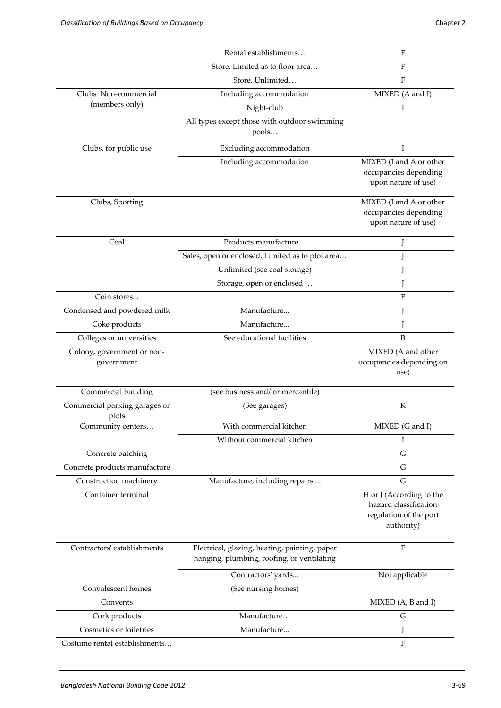|                                          | Rental establishments                                                                       | F                                                                                         |
|------------------------------------------|---------------------------------------------------------------------------------------------|-------------------------------------------------------------------------------------------|
|                                          | Store, Limited as to floor area                                                             | F                                                                                         |
|                                          | Store, Unlimited                                                                            | F                                                                                         |
| Clubs Non-commercial                     | Including accommodation                                                                     | MIXED (A and I)                                                                           |
| (members only)                           | Night-club                                                                                  | T                                                                                         |
|                                          | All types except those with outdoor swimming<br>pools                                       |                                                                                           |
| Clubs, for public use                    | Excluding accommodation                                                                     | I                                                                                         |
|                                          | Including accommodation                                                                     | MIXED (I and A or other<br>occupancies depending<br>upon nature of use)                   |
| Clubs, Sporting                          |                                                                                             | MIXED (I and A or other<br>occupancies depending<br>upon nature of use)                   |
| Coal                                     | Products manufacture                                                                        | J                                                                                         |
|                                          | Sales, open or enclosed, Limited as to plot area                                            | J                                                                                         |
|                                          | Unlimited (see coal storage)                                                                | J                                                                                         |
|                                          | Storage, open or enclosed                                                                   | J                                                                                         |
| Coin stores                              |                                                                                             | $\rm F$                                                                                   |
| Condensed and powdered milk              | Manufacture                                                                                 | J                                                                                         |
| Coke products                            | Manufacture                                                                                 | J                                                                                         |
| Colleges or universities                 | See educational facilities                                                                  | B                                                                                         |
| Colony, government or non-<br>government |                                                                                             | MIXED (A and other<br>occupancies depending on<br>use)                                    |
| Commercial building                      | (see business and/ or mercantile)                                                           |                                                                                           |
| Commercial parking garages or<br>plots   | (See garages)                                                                               | К                                                                                         |
|                                          |                                                                                             |                                                                                           |
| Community centers                        | With commercial kitchen                                                                     | MIXED (G and I)                                                                           |
|                                          | Without commercial kitchen                                                                  | L                                                                                         |
| Concrete batching                        |                                                                                             | G                                                                                         |
| Concrete products manufacture            |                                                                                             | G                                                                                         |
| Construction machinery                   | Manufacture, including repairs                                                              | G                                                                                         |
| Container terminal                       |                                                                                             | H or J (According to the<br>hazard classification<br>regulation of the port<br>authority) |
| Contractors' establishments              | Electrical, glazing, heating, painting, paper<br>hanging, plumbing, roofing, or ventilating | $\rm F$                                                                                   |
|                                          | Contractors' yards                                                                          | Not applicable                                                                            |
| Convalescent homes                       | (See nursing homes)                                                                         |                                                                                           |
| Convents                                 |                                                                                             | MIXED (A, B and I)                                                                        |
| Cork products                            | Manufacture                                                                                 | $\mathsf G$                                                                               |
| Cosmetics or toiletries                  | Manufacture                                                                                 | L                                                                                         |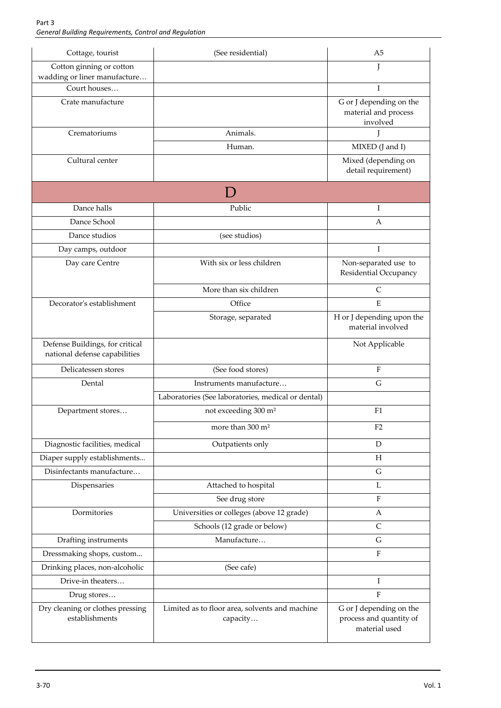| Cottage, tourist                                                 | (See residential)                                          | A5                                                                  |
|------------------------------------------------------------------|------------------------------------------------------------|---------------------------------------------------------------------|
| Cotton ginning or cotton<br>wadding or liner manufacture         |                                                            | J                                                                   |
| Court houses                                                     |                                                            | T                                                                   |
| Crate manufacture                                                |                                                            | G or J depending on the<br>material and process<br>involved         |
| Crematoriums                                                     | Animals.                                                   | L                                                                   |
|                                                                  | Human.                                                     | MIXED (J and I)                                                     |
| Cultural center                                                  |                                                            | Mixed (depending on<br>detail requirement)                          |
|                                                                  |                                                            |                                                                     |
| Dance halls                                                      | Public                                                     | Ι                                                                   |
| Dance School                                                     |                                                            | А                                                                   |
| Dance studios                                                    | (see studios)                                              |                                                                     |
| Day camps, outdoor                                               |                                                            | I                                                                   |
| Day care Centre                                                  | With six or less children                                  | Non-separated use to<br>Residential Occupancy                       |
|                                                                  | More than six children                                     | $\mathsf{C}$                                                        |
| Decorator's establishment                                        | Office                                                     | E                                                                   |
|                                                                  | Storage, separated                                         | H or J depending upon the<br>material involved                      |
| Defense Buildings, for critical<br>national defense capabilities |                                                            | Not Applicable                                                      |
| Delicatessen stores                                              | (See food stores)                                          | $\rm F$                                                             |
| Dental                                                           | Instruments manufacture                                    | $\mathsf G$                                                         |
|                                                                  | Laboratories (See laboratories, medical or dental)         |                                                                     |
| Department stores                                                | not exceeding 300 m <sup>2</sup>                           | F1                                                                  |
|                                                                  | more than 300 m <sup>2</sup>                               | F <sub>2</sub>                                                      |
| Diagnostic facilities, medical                                   | Outpatients only                                           | D                                                                   |
| Diaper supply establishments                                     |                                                            | $H_{\rm}$                                                           |
| Disinfectants manufacture                                        |                                                            | $\mathsf G$                                                         |
| Dispensaries                                                     | Attached to hospital                                       | L                                                                   |
|                                                                  | See drug store                                             | $\mathbf F$                                                         |
| Dormitories                                                      | Universities or colleges (above 12 grade)                  | A                                                                   |
|                                                                  | Schools (12 grade or below)                                | $\mathsf{C}$                                                        |
| Drafting instruments                                             | Manufacture                                                | G                                                                   |
| Dressmaking shops, custom                                        |                                                            | $\rm F$                                                             |
| Drinking places, non-alcoholic                                   | (See cafe)                                                 |                                                                     |
| Drive-in theaters                                                |                                                            | Ι                                                                   |
| Drug stores                                                      |                                                            | $\rm F$                                                             |
| Dry cleaning or clothes pressing<br>establishments               | Limited as to floor area, solvents and machine<br>capacity | G or J depending on the<br>process and quantity of<br>material used |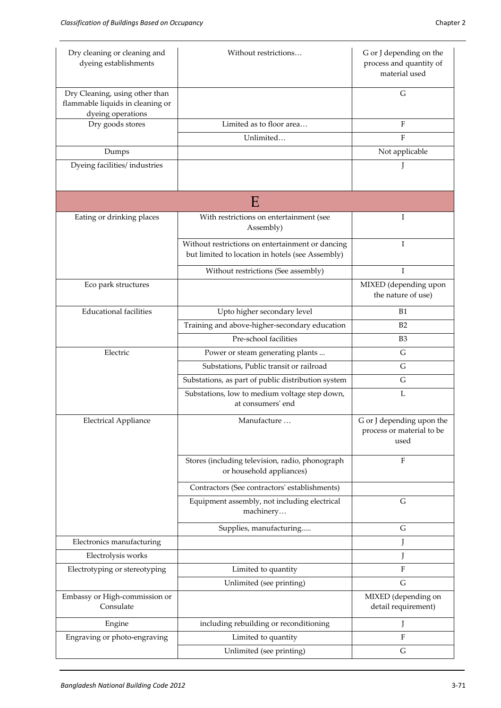| Dry cleaning or cleaning and<br>dyeing establishments                                   | Without restrictions                                                                                 | G or J depending on the<br>process and quantity of<br>material used |
|-----------------------------------------------------------------------------------------|------------------------------------------------------------------------------------------------------|---------------------------------------------------------------------|
| Dry Cleaning, using other than<br>flammable liquids in cleaning or<br>dyeing operations |                                                                                                      | G                                                                   |
| Dry goods stores                                                                        | Limited as to floor area                                                                             | F                                                                   |
|                                                                                         | Unlimited                                                                                            | F                                                                   |
| Dumps                                                                                   |                                                                                                      | Not applicable                                                      |
| Dyeing facilities/industries                                                            |                                                                                                      |                                                                     |
|                                                                                         | Ε                                                                                                    |                                                                     |
| Eating or drinking places                                                               | With restrictions on entertainment (see<br>Assembly)                                                 | Ι                                                                   |
|                                                                                         | Without restrictions on entertainment or dancing<br>but limited to location in hotels (see Assembly) | I                                                                   |
|                                                                                         | Without restrictions (See assembly)                                                                  | T                                                                   |
| Eco park structures                                                                     |                                                                                                      | MIXED (depending upon<br>the nature of use)                         |
| <b>Educational facilities</b>                                                           | Upto higher secondary level                                                                          | <b>B1</b>                                                           |
|                                                                                         | Training and above-higher-secondary education                                                        | B2                                                                  |
|                                                                                         | Pre-school facilities                                                                                | B <sub>3</sub>                                                      |
| Electric                                                                                | Power or steam generating plants                                                                     | G                                                                   |
|                                                                                         | Substations, Public transit or railroad                                                              | G                                                                   |
|                                                                                         | Substations, as part of public distribution system                                                   | G                                                                   |
|                                                                                         | Substations, low to medium voltage step down,<br>at consumers' end                                   | L                                                                   |
| <b>Electrical Appliance</b>                                                             | Manufacture                                                                                          | G or J depending upon the<br>process or material to be<br>used      |
|                                                                                         | Stores (including television, radio, phonograph<br>or household appliances)                          | F                                                                   |
|                                                                                         | Contractors (See contractors' establishments)                                                        |                                                                     |
|                                                                                         | Equipment assembly, not including electrical<br>machinery                                            | G                                                                   |
|                                                                                         | Supplies, manufacturing                                                                              | G                                                                   |
| Electronics manufacturing                                                               |                                                                                                      | L                                                                   |
| Electrolysis works                                                                      |                                                                                                      | J                                                                   |
| Electrotyping or stereotyping                                                           | Limited to quantity                                                                                  | F                                                                   |
|                                                                                         | Unlimited (see printing)                                                                             | G                                                                   |
| Embassy or High-commission or<br>Consulate                                              |                                                                                                      | MIXED (depending on<br>detail requirement)                          |
| Engine                                                                                  | including rebuilding or reconditioning                                                               | J                                                                   |
| Engraving or photo-engraving                                                            | Limited to quantity                                                                                  | F                                                                   |
|                                                                                         | Unlimited (see printing)                                                                             | G                                                                   |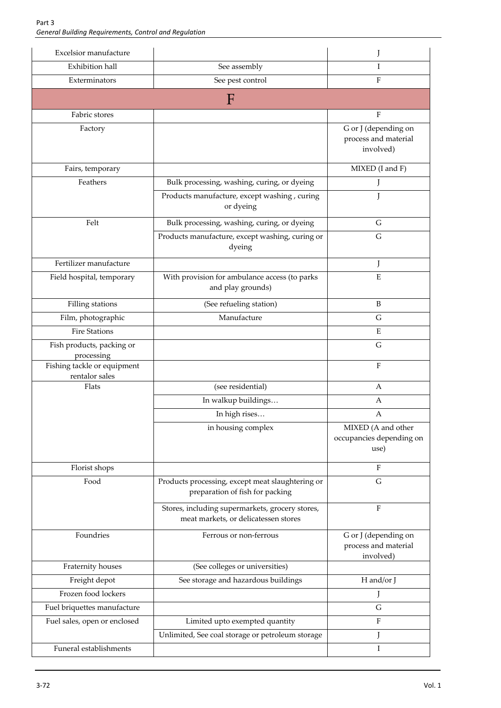| Excelsior manufacture                         |                                                                                         |                                                           |
|-----------------------------------------------|-----------------------------------------------------------------------------------------|-----------------------------------------------------------|
| <b>Exhibition hall</b>                        | See assembly                                                                            | Ι                                                         |
| Exterminators                                 | See pest control                                                                        | F                                                         |
|                                               | F                                                                                       |                                                           |
| Fabric stores                                 |                                                                                         | $\rm F$                                                   |
| Factory                                       |                                                                                         | G or J (depending on<br>process and material<br>involved) |
| Fairs, temporary                              |                                                                                         | MIXED (I and F)                                           |
| Feathers                                      | Bulk processing, washing, curing, or dyeing                                             |                                                           |
|                                               | Products manufacture, except washing, curing<br>or dyeing                               | J                                                         |
| Felt                                          | Bulk processing, washing, curing, or dyeing                                             | G                                                         |
|                                               | Products manufacture, except washing, curing or<br>dyeing                               | G                                                         |
| Fertilizer manufacture                        |                                                                                         | J                                                         |
| Field hospital, temporary                     | With provision for ambulance access (to parks<br>and play grounds)                      | ${\bf E}$                                                 |
| Filling stations                              | (See refueling station)                                                                 | $\, {\bf B}$                                              |
| Film, photographic                            | Manufacture                                                                             | G                                                         |
| <b>Fire Stations</b>                          |                                                                                         | E                                                         |
| Fish products, packing or<br>processing       |                                                                                         | G                                                         |
| Fishing tackle or equipment<br>rentalor sales |                                                                                         | $\rm F$                                                   |
| Flats                                         | (see residential)                                                                       | A                                                         |
|                                               | In walkup buildings                                                                     | А                                                         |
|                                               | In high rises                                                                           | А                                                         |
|                                               | in housing complex                                                                      | MIXED (A and other<br>occupancies depending on<br>use)    |
| Florist shops                                 |                                                                                         | F                                                         |
| Food                                          | Products processing, except meat slaughtering or<br>preparation of fish for packing     | G                                                         |
|                                               | Stores, including supermarkets, grocery stores,<br>meat markets, or delicatessen stores | $\rm F$                                                   |
| Foundries                                     | Ferrous or non-ferrous                                                                  | G or J (depending on<br>process and material<br>involved) |
| Fraternity houses                             | (See colleges or universities)                                                          |                                                           |
| Freight depot                                 | See storage and hazardous buildings                                                     | H and/or J                                                |
| Frozen food lockers                           |                                                                                         | J                                                         |
| Fuel briquettes manufacture                   |                                                                                         | G                                                         |
| Fuel sales, open or enclosed                  | Limited upto exempted quantity                                                          | $\rm F$                                                   |
|                                               | Unlimited, See coal storage or petroleum storage                                        | J                                                         |
| Funeral establishments                        |                                                                                         | I                                                         |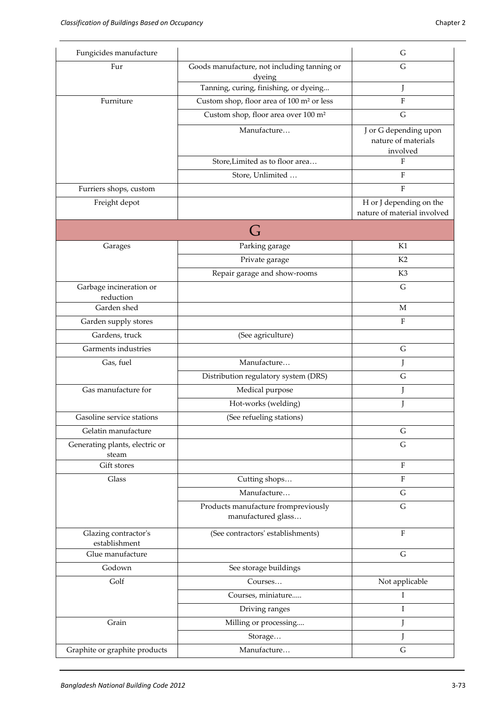| Fungicides manufacture                  |                                                           | G                                                        |
|-----------------------------------------|-----------------------------------------------------------|----------------------------------------------------------|
| Fur                                     | Goods manufacture, not including tanning or<br>dyeing     | G                                                        |
|                                         | Tanning, curing, finishing, or dyeing                     | J                                                        |
| Furniture                               | Custom shop, floor area of 100 m <sup>2</sup> or less     | $\rm F$                                                  |
|                                         | Custom shop, floor area over 100 m <sup>2</sup>           | $\mathsf G$                                              |
|                                         | Manufacture                                               | J or G depending upon<br>nature of materials<br>involved |
|                                         | Store, Limited as to floor area                           | F                                                        |
|                                         | Store, Unlimited                                          | $\rm F$                                                  |
| Furriers shops, custom                  |                                                           | $\rm F$                                                  |
| Freight depot                           |                                                           | H or J depending on the<br>nature of material involved   |
|                                         | G                                                         |                                                          |
| Garages                                 | Parking garage                                            | K1                                                       |
|                                         | Private garage                                            | K <sub>2</sub>                                           |
|                                         | Repair garage and show-rooms                              | K3                                                       |
| Garbage incineration or<br>reduction    |                                                           | G                                                        |
| Garden shed                             |                                                           | M                                                        |
| Garden supply stores                    |                                                           | $\rm F$                                                  |
| Gardens, truck                          | (See agriculture)                                         |                                                          |
| Garments industries                     |                                                           | G                                                        |
| Gas, fuel                               | Manufacture                                               | J                                                        |
|                                         | Distribution regulatory system (DRS)                      | G                                                        |
| Gas manufacture for                     | Medical purpose                                           | J                                                        |
|                                         | Hot-works (welding)                                       | J                                                        |
| Gasoline service stations               | (See refueling stations)                                  |                                                          |
| Gelatin manufacture                     |                                                           | G                                                        |
| Generating plants, electric or<br>steam |                                                           | G                                                        |
| Gift stores                             |                                                           | $\rm F$                                                  |
| Glass                                   | Cutting shops                                             | $\rm F$                                                  |
|                                         | Manufacture                                               | $\mathsf G$                                              |
|                                         | Products manufacture frompreviously<br>manufactured glass | G                                                        |
| Glazing contractor's<br>establishment   | (See contractors' establishments)                         | $\rm F$                                                  |
| Glue manufacture                        |                                                           | ${\bf G}$                                                |
| Godown                                  | See storage buildings                                     |                                                          |
| Golf                                    | Courses                                                   | Not applicable                                           |
|                                         | Courses, miniature                                        | Ι                                                        |
|                                         | Driving ranges                                            | I                                                        |
| Grain                                   | Milling or processing                                     | J                                                        |
|                                         | Storage                                                   | J                                                        |
| Graphite or graphite products           | Manufacture                                               | G                                                        |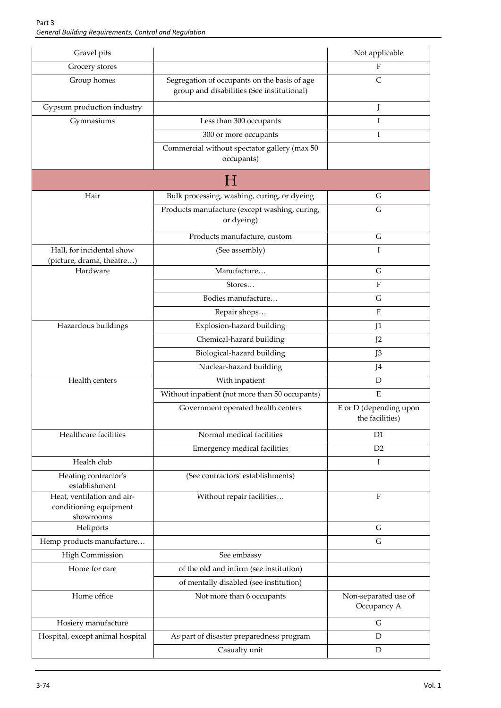| Gravel pits                                                       |                                                                                            | Not applicable                            |
|-------------------------------------------------------------------|--------------------------------------------------------------------------------------------|-------------------------------------------|
| Grocery stores                                                    |                                                                                            | F                                         |
| Group homes                                                       | Segregation of occupants on the basis of age<br>group and disabilities (See institutional) | C                                         |
| Gypsum production industry                                        |                                                                                            | J                                         |
| Gymnasiums                                                        | Less than 300 occupants                                                                    | T                                         |
|                                                                   | 300 or more occupants                                                                      | I                                         |
|                                                                   | Commercial without spectator gallery (max 50<br>occupants)                                 |                                           |
|                                                                   | H                                                                                          |                                           |
| Hair                                                              | Bulk processing, washing, curing, or dyeing                                                | G                                         |
|                                                                   | Products manufacture (except washing, curing,<br>or dyeing)                                | $\mathsf G$                               |
|                                                                   | Products manufacture, custom                                                               | G                                         |
| Hall, for incidental show<br>(picture, drama, theatre)            | (See assembly)                                                                             | I                                         |
| Hardware                                                          | Manufacture                                                                                | G                                         |
|                                                                   | Stores                                                                                     | F                                         |
|                                                                   | Bodies manufacture                                                                         | G                                         |
|                                                                   | Repair shops                                                                               | F                                         |
| Hazardous buildings                                               | Explosion-hazard building                                                                  | J1                                        |
|                                                                   | Chemical-hazard building                                                                   | J2                                        |
|                                                                   | Biological-hazard building                                                                 | J3                                        |
|                                                                   | Nuclear-hazard building                                                                    | J4                                        |
| Health centers                                                    | With inpatient                                                                             | $\mathbf D$                               |
|                                                                   | Without inpatient (not more than 50 occupants)                                             | E                                         |
|                                                                   | Government operated health centers                                                         | E or D (depending upon<br>the facilities) |
| Healthcare facilities                                             | Normal medical facilities                                                                  | D <sub>1</sub>                            |
|                                                                   | Emergency medical facilities                                                               | D <sub>2</sub>                            |
| Health club                                                       |                                                                                            | Ι                                         |
| Heating contractor's<br>establishment                             | (See contractors' establishments)                                                          |                                           |
| Heat, ventilation and air-<br>conditioning equipment<br>showrooms | Without repair facilities                                                                  | F                                         |
| Heliports                                                         |                                                                                            | G                                         |
| Hemp products manufacture                                         |                                                                                            | G                                         |
| <b>High Commission</b>                                            | See embassy                                                                                |                                           |
| Home for care                                                     | of the old and infirm (see institution)                                                    |                                           |
|                                                                   | of mentally disabled (see institution)                                                     |                                           |
| Home office                                                       | Not more than 6 occupants                                                                  | Non-separated use of<br>Occupancy A       |
| Hosiery manufacture                                               |                                                                                            | G                                         |
| Hospital, except animal hospital                                  | As part of disaster preparedness program                                                   | D                                         |
|                                                                   | Casualty unit                                                                              | D                                         |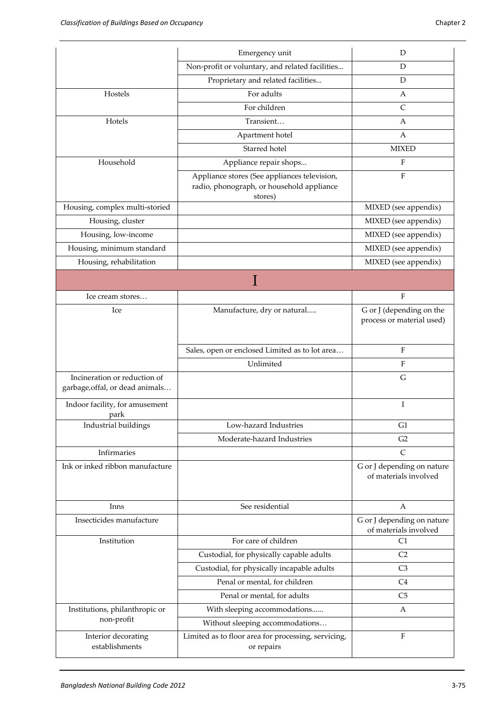|                                                                 | Emergency unit                                                                                       | D                                                     |
|-----------------------------------------------------------------|------------------------------------------------------------------------------------------------------|-------------------------------------------------------|
|                                                                 | Non-profit or voluntary, and related facilities                                                      | D                                                     |
|                                                                 | Proprietary and related facilities                                                                   | D                                                     |
| Hostels                                                         | For adults                                                                                           | А                                                     |
|                                                                 | For children                                                                                         | $\mathsf{C}$                                          |
| Hotels                                                          | Transient                                                                                            | А                                                     |
|                                                                 | Apartment hotel                                                                                      | A                                                     |
|                                                                 | Starred hotel                                                                                        | <b>MIXED</b>                                          |
| Household                                                       | Appliance repair shops                                                                               | F                                                     |
|                                                                 | Appliance stores (See appliances television,<br>radio, phonograph, or household appliance<br>stores) | $\mathbf{F}$                                          |
| Housing, complex multi-storied                                  |                                                                                                      | MIXED (see appendix)                                  |
| Housing, cluster                                                |                                                                                                      | MIXED (see appendix)                                  |
| Housing, low-income                                             |                                                                                                      | MIXED (see appendix)                                  |
| Housing, minimum standard                                       |                                                                                                      | MIXED (see appendix)                                  |
| Housing, rehabilitation                                         |                                                                                                      | MIXED (see appendix)                                  |
|                                                                 |                                                                                                      |                                                       |
| Ice cream stores                                                |                                                                                                      | $\rm F$                                               |
| Ice                                                             | Manufacture, dry or natural                                                                          | G or J (depending on the<br>process or material used) |
|                                                                 | Sales, open or enclosed Limited as to lot area                                                       | F                                                     |
|                                                                 | Unlimited                                                                                            | F                                                     |
| Incineration or reduction of<br>garbage, offal, or dead animals |                                                                                                      | G                                                     |
| Indoor facility, for amusement<br>park                          |                                                                                                      | I                                                     |
| Industrial buildings                                            | Low-hazard Industries                                                                                | G1                                                    |
|                                                                 | Moderate-hazard Industries                                                                           | G2                                                    |
| Infirmaries                                                     |                                                                                                      | $\mathsf{C}$                                          |
| Ink or inked ribbon manufacture                                 |                                                                                                      | G or J depending on nature<br>of materials involved   |
| Inns                                                            | See residential                                                                                      | А                                                     |
| Insecticides manufacture                                        |                                                                                                      | G or J depending on nature<br>of materials involved   |
| Institution                                                     | For care of children                                                                                 | C1                                                    |
|                                                                 | Custodial, for physically capable adults                                                             | C <sub>2</sub>                                        |
|                                                                 | Custodial, for physically incapable adults                                                           | C <sub>3</sub>                                        |
|                                                                 | Penal or mental, for children                                                                        | C <sub>4</sub>                                        |
|                                                                 | Penal or mental, for adults                                                                          | C <sub>5</sub>                                        |
| Institutions, philanthropic or                                  | With sleeping accommodations                                                                         | А                                                     |
| non-profit                                                      | Without sleeping accommodations                                                                      |                                                       |
| Interior decorating<br>establishments                           | Limited as to floor area for processing, servicing,<br>or repairs                                    | ${\bf F}$                                             |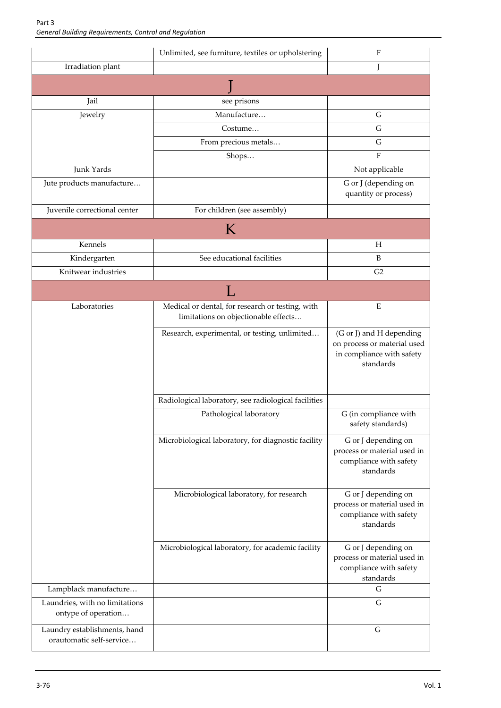|                                                          | Unlimited, see furniture, textiles or upholstering                                       | F                                                                                                 |
|----------------------------------------------------------|------------------------------------------------------------------------------------------|---------------------------------------------------------------------------------------------------|
| Irradiation plant                                        |                                                                                          | L                                                                                                 |
|                                                          |                                                                                          |                                                                                                   |
| Jail                                                     | see prisons                                                                              |                                                                                                   |
| Jewelry                                                  | Manufacture                                                                              | $\mathsf G$                                                                                       |
|                                                          | Costume                                                                                  | G                                                                                                 |
|                                                          | From precious metals                                                                     | $\mathsf G$                                                                                       |
|                                                          | Shops                                                                                    | F                                                                                                 |
| Junk Yards                                               |                                                                                          | Not applicable                                                                                    |
| Jute products manufacture                                |                                                                                          | G or J (depending on<br>quantity or process)                                                      |
| Juvenile correctional center                             | For children (see assembly)                                                              |                                                                                                   |
|                                                          | K                                                                                        |                                                                                                   |
| Kennels                                                  |                                                                                          | Н                                                                                                 |
| Kindergarten                                             | See educational facilities                                                               | B                                                                                                 |
| Knitwear industries                                      |                                                                                          | G2                                                                                                |
|                                                          | L                                                                                        |                                                                                                   |
| Laboratories                                             | Medical or dental, for research or testing, with<br>limitations on objectionable effects | E                                                                                                 |
|                                                          | Research, experimental, or testing, unlimited                                            | (G or J) and H depending<br>on process or material used<br>in compliance with safety<br>standards |
|                                                          | Radiological laboratory, see radiological facilities                                     |                                                                                                   |
|                                                          | Pathological laboratory                                                                  | G (in compliance with<br>safety standards)                                                        |
|                                                          | Microbiological laboratory, for diagnostic facility                                      | G or J depending on<br>process or material used in<br>compliance with safety<br>standards         |
|                                                          | Microbiological laboratory, for research                                                 | G or J depending on<br>process or material used in<br>compliance with safety<br>standards         |
|                                                          | Microbiological laboratory, for academic facility                                        | G or J depending on<br>process or material used in<br>compliance with safety<br>standards         |
| Lampblack manufacture                                    |                                                                                          | G                                                                                                 |
| Laundries, with no limitations<br>ontype of operation    |                                                                                          | G                                                                                                 |
| Laundry establishments, hand<br>orautomatic self-service |                                                                                          | $\mathsf G$                                                                                       |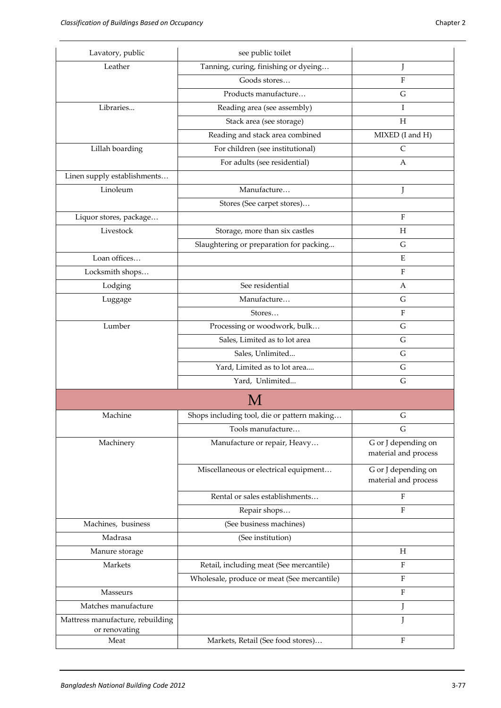| Lavatory, public                                  | see public toilet                           |                                             |
|---------------------------------------------------|---------------------------------------------|---------------------------------------------|
| Leather                                           | Tanning, curing, finishing or dyeing        | J                                           |
|                                                   | Goods stores                                | F                                           |
|                                                   | Products manufacture                        | G                                           |
| Libraries                                         | Reading area (see assembly)                 | I                                           |
|                                                   | Stack area (see storage)                    | Н                                           |
|                                                   | Reading and stack area combined             | MIXED (I and H)                             |
| Lillah boarding                                   | For children (see institutional)            | $\mathsf{C}$                                |
|                                                   | For adults (see residential)                | А                                           |
| Linen supply establishments                       |                                             |                                             |
| Linoleum                                          | Manufacture                                 | J                                           |
|                                                   | Stores (See carpet stores)                  |                                             |
| Liquor stores, package                            |                                             | $\boldsymbol{\mathrm{F}}$                   |
| Livestock                                         | Storage, more than six castles              | H                                           |
|                                                   | Slaughtering or preparation for packing     | G                                           |
| Loan offices                                      |                                             | E                                           |
| Locksmith shops                                   |                                             | F                                           |
| Lodging                                           | See residential                             | A                                           |
| Luggage                                           | Manufacture                                 | G                                           |
|                                                   | Stores                                      | $\rm F$                                     |
| Lumber                                            | Processing or woodwork, bulk                | $\mathsf G$                                 |
|                                                   | Sales, Limited as to lot area               | G                                           |
|                                                   | Sales, Unlimited                            | G                                           |
|                                                   | Yard, Limited as to lot area                | G                                           |
|                                                   | Yard, Unlimited                             | G                                           |
|                                                   | M                                           |                                             |
| Machine                                           | Shops including tool, die or pattern making | G                                           |
|                                                   | Tools manufacture                           | G                                           |
| Machinery                                         | Manufacture or repair, Heavy                | G or J depending on<br>material and process |
|                                                   | Miscellaneous or electrical equipment       | G or J depending on<br>material and process |
|                                                   | Rental or sales establishments              | $\rm F$                                     |
|                                                   | Repair shops                                | $\mathbf F$                                 |
| Machines, business                                | (See business machines)                     |                                             |
| Madrasa                                           | (See institution)                           |                                             |
| Manure storage                                    |                                             | Н                                           |
| Markets                                           | Retail, including meat (See mercantile)     | $\mathbf F$                                 |
|                                                   | Wholesale, produce or meat (See mercantile) | $\rm F$                                     |
| Masseurs                                          |                                             | $\rm F$                                     |
| Matches manufacture                               |                                             | J                                           |
| Mattress manufacture, rebuilding<br>or renovating |                                             | J                                           |
| Meat                                              | Markets, Retail (See food stores)           | $\mathbf{F}$                                |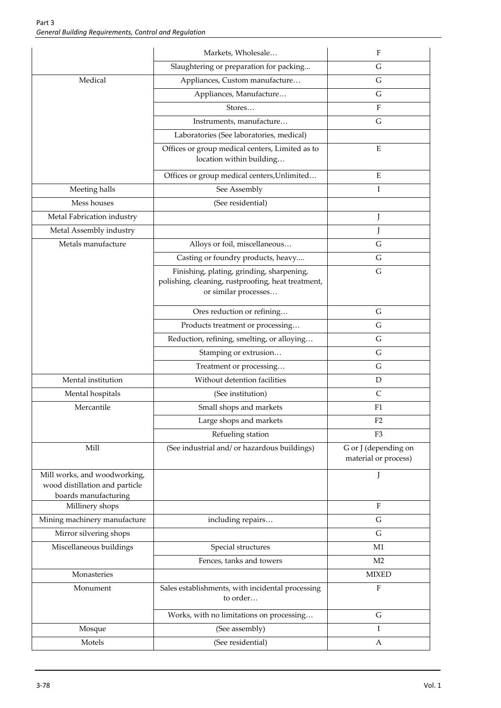|                                                                                        | Markets, Wholesale                                                                                                      | F                                            |
|----------------------------------------------------------------------------------------|-------------------------------------------------------------------------------------------------------------------------|----------------------------------------------|
|                                                                                        | Slaughtering or preparation for packing                                                                                 | G                                            |
| Medical                                                                                | Appliances, Custom manufacture                                                                                          | $\mathsf G$                                  |
|                                                                                        | Appliances, Manufacture                                                                                                 | G                                            |
|                                                                                        | Stores                                                                                                                  | F                                            |
|                                                                                        | Instruments, manufacture                                                                                                | $\mathsf G$                                  |
|                                                                                        | Laboratories (See laboratories, medical)                                                                                |                                              |
|                                                                                        | Offices or group medical centers, Limited as to<br>location within building                                             | E                                            |
|                                                                                        | Offices or group medical centers, Unlimited                                                                             | E                                            |
| Meeting halls                                                                          | See Assembly                                                                                                            | I                                            |
| Mess houses                                                                            | (See residential)                                                                                                       |                                              |
| Metal Fabrication industry                                                             |                                                                                                                         | J                                            |
| Metal Assembly industry                                                                |                                                                                                                         | L                                            |
| Metals manufacture                                                                     | Alloys or foil, miscellaneous                                                                                           | G                                            |
|                                                                                        | Casting or foundry products, heavy                                                                                      | G                                            |
|                                                                                        | Finishing, plating, grinding, sharpening,<br>polishing, cleaning, rustproofing, heat treatment,<br>or similar processes | $\mathsf G$                                  |
|                                                                                        | Ores reduction or refining                                                                                              | G                                            |
|                                                                                        | Products treatment or processing                                                                                        | G                                            |
|                                                                                        | Reduction, refining, smelting, or alloying                                                                              | $\mathsf G$                                  |
|                                                                                        | Stamping or extrusion                                                                                                   | G                                            |
|                                                                                        | Treatment or processing                                                                                                 | G                                            |
| Mental institution                                                                     | Without detention facilities                                                                                            | $\mathbf D$                                  |
| Mental hospitals                                                                       | (See institution)                                                                                                       | $\mathsf{C}$                                 |
| Mercantile                                                                             | Small shops and markets                                                                                                 | F1                                           |
|                                                                                        | Large shops and markets                                                                                                 | F <sub>2</sub>                               |
|                                                                                        | Refueling station                                                                                                       | F <sub>3</sub>                               |
| Mill                                                                                   | (See industrial and/ or hazardous buildings)                                                                            | G or J (depending on<br>material or process) |
| Mill works, and woodworking,<br>wood distillation and particle<br>boards manufacturing |                                                                                                                         |                                              |
| Millinery shops                                                                        |                                                                                                                         | F                                            |
| Mining machinery manufacture                                                           | including repairs                                                                                                       | $\mathsf G$                                  |
| Mirror silvering shops                                                                 |                                                                                                                         | G                                            |
| Miscellaneous buildings                                                                | Special structures                                                                                                      | M1                                           |
|                                                                                        | Fences, tanks and towers                                                                                                | M <sub>2</sub>                               |
| Monasteries                                                                            |                                                                                                                         | <b>MIXED</b>                                 |
| Monument                                                                               | Sales establishments, with incidental processing<br>to order                                                            | $\rm F$                                      |
|                                                                                        | Works, with no limitations on processing                                                                                | $\mathsf G$                                  |
| Mosque                                                                                 | (See assembly)                                                                                                          | Ι                                            |
| Motels                                                                                 | (See residential)                                                                                                       | A                                            |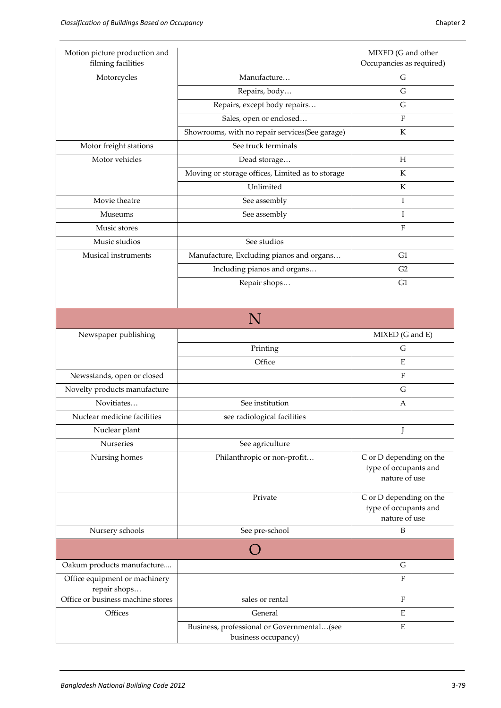| Motion picture production and<br>filming facilities |                                                                   | MIXED (G and other<br>Occupancies as required)                    |
|-----------------------------------------------------|-------------------------------------------------------------------|-------------------------------------------------------------------|
| Motorcycles                                         | Manufacture                                                       | G                                                                 |
|                                                     | Repairs, body                                                     | G                                                                 |
|                                                     | Repairs, except body repairs                                      | G                                                                 |
|                                                     | Sales, open or enclosed                                           | F                                                                 |
|                                                     | Showrooms, with no repair services(See garage)                    | $\rm K$                                                           |
| Motor freight stations                              | See truck terminals                                               |                                                                   |
| Motor vehicles                                      | Dead storage                                                      | Η                                                                 |
|                                                     | Moving or storage offices, Limited as to storage                  | K                                                                 |
|                                                     | Unlimited                                                         | K                                                                 |
| Movie theatre                                       | See assembly                                                      | I                                                                 |
| Museums                                             | See assembly                                                      | I                                                                 |
| Music stores                                        |                                                                   | F                                                                 |
| Music studios                                       | See studios                                                       |                                                                   |
| Musical instruments                                 | Manufacture, Excluding pianos and organs                          | G1                                                                |
|                                                     | Including pianos and organs                                       | G2                                                                |
|                                                     | Repair shops                                                      | G1                                                                |
|                                                     |                                                                   |                                                                   |
|                                                     | N                                                                 |                                                                   |
| Newspaper publishing                                |                                                                   | MIXED (G and E)                                                   |
|                                                     | Printing                                                          | G                                                                 |
|                                                     | Office                                                            | ${\bf E}$                                                         |
| Newsstands, open or closed                          |                                                                   | ${\bf F}$                                                         |
| Novelty products manufacture                        |                                                                   | G                                                                 |
| Novitiates                                          | See institution                                                   | A                                                                 |
| Nuclear medicine facilities                         | see radiological facilities                                       |                                                                   |
| Nuclear plant                                       |                                                                   |                                                                   |
| Nurseries                                           | See agriculture                                                   |                                                                   |
| Nursing homes                                       | Philanthropic or non-profit                                       | C or D depending on the<br>type of occupants and<br>nature of use |
|                                                     | Private                                                           | C or D depending on the<br>type of occupants and<br>nature of use |
| Nursery schools                                     | See pre-school                                                    | B                                                                 |
|                                                     |                                                                   |                                                                   |
| Oakum products manufacture                          |                                                                   | G                                                                 |
| Office equipment or machinery                       |                                                                   | ${\bf F}$                                                         |
| repair shops<br>Office or business machine stores   | sales or rental                                                   | ${\bf F}$                                                         |
| Offices                                             | General                                                           | E                                                                 |
|                                                     |                                                                   | E                                                                 |
|                                                     | Business, professional or Governmental(see<br>business occupancy) |                                                                   |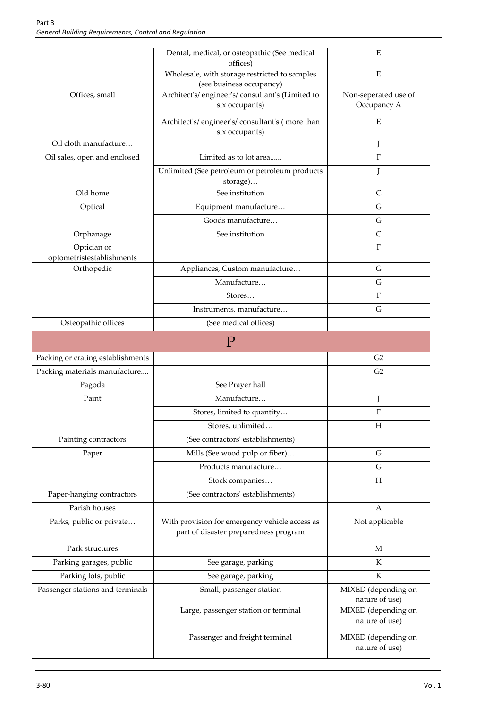|                                          | Dental, medical, or osteopathic (See medical<br>offices)                                | Ε                                     |
|------------------------------------------|-----------------------------------------------------------------------------------------|---------------------------------------|
|                                          | Wholesale, with storage restricted to samples<br>(see business occupancy)               | E                                     |
| Offices, small                           | Architect's/engineer's/consultant's (Limited to<br>six occupants)                       | Non-seperated use of<br>Occupancy A   |
|                                          | Architect's/engineer's/consultant's (more than<br>six occupants)                        | Ε                                     |
| Oil cloth manufacture                    |                                                                                         | J                                     |
| Oil sales, open and enclosed             | Limited as to lot area                                                                  | F                                     |
|                                          | Unlimited (See petroleum or petroleum products<br>storage)                              | J                                     |
| Old home                                 | See institution                                                                         | C                                     |
| Optical                                  | Equipment manufacture                                                                   | G                                     |
|                                          | Goods manufacture                                                                       | G                                     |
| Orphanage                                | See institution                                                                         | C                                     |
| Optician or<br>optometristestablishments |                                                                                         | $\mathbf{F}$                          |
| Orthopedic                               | Appliances, Custom manufacture                                                          | G                                     |
|                                          | Manufacture                                                                             | G                                     |
|                                          | Stores                                                                                  | F                                     |
|                                          | Instruments, manufacture                                                                | G                                     |
| Osteopathic offices                      | (See medical offices)                                                                   |                                       |
|                                          | P                                                                                       |                                       |
| Packing or crating establishments        |                                                                                         | G2                                    |
| Packing materials manufacture            |                                                                                         | G2                                    |
| Pagoda                                   | See Prayer hall                                                                         |                                       |
| Paint                                    | Manufacture                                                                             | J                                     |
|                                          | Stores, limited to quantity                                                             | F                                     |
|                                          | Stores, unlimited                                                                       | $H_{\rm 2}$                           |
| Painting contractors                     | (See contractors' establishments)                                                       |                                       |
| Paper                                    | Mills (See wood pulp or fiber)                                                          | G                                     |
|                                          | Products manufacture                                                                    | $\mathsf G$                           |
|                                          | Stock companies                                                                         | H                                     |
| Paper-hanging contractors                | (See contractors' establishments)                                                       |                                       |
| Parish houses                            |                                                                                         | A                                     |
| Parks, public or private                 | With provision for emergency vehicle access as<br>part of disaster preparedness program | Not applicable                        |
| Park structures                          |                                                                                         | M                                     |
| Parking garages, public                  | See garage, parking                                                                     | K                                     |
| Parking lots, public                     | See garage, parking                                                                     | K                                     |
| Passenger stations and terminals         | Small, passenger station                                                                | MIXED (depending on<br>nature of use) |
|                                          | Large, passenger station or terminal                                                    | MIXED (depending on<br>nature of use) |
|                                          | Passenger and freight terminal                                                          | MIXED (depending on<br>nature of use) |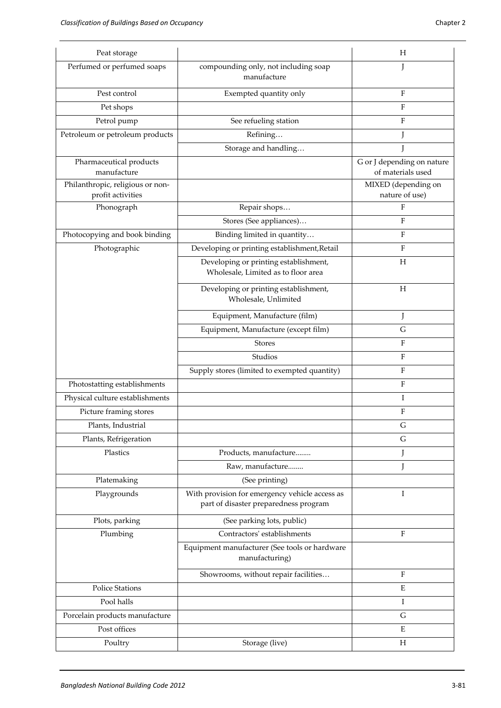| Perfumed or perfumed soaps<br>compounding only, not including soap<br>I<br>manufacture<br>$\rm F$<br>Pest control<br>Exempted quantity only<br>$\rm F$<br>Pet shops<br>$\rm F$<br>Petrol pump<br>See refueling station<br>Petroleum or petroleum products<br>Refining<br>J<br>Storage and handling<br>J<br>G or J depending on nature<br>Pharmaceutical products<br>manufacture<br>of materials used<br>Philanthropic, religious or non-<br>MIXED (depending on<br>profit activities<br>nature of use)<br>F<br>Phonograph<br>Repair shops<br>F<br>Stores (See appliances)<br>$\rm F$<br>Photocopying and book binding<br>Binding limited in quantity<br>Photographic<br>Developing or printing establishment, Retail<br>$\boldsymbol{\mathrm{F}}$<br>H<br>Developing or printing establishment,<br>Wholesale, Limited as to floor area<br>Developing or printing establishment,<br>H<br>Wholesale, Unlimited<br>Equipment, Manufacture (film)<br>J<br>G<br>Equipment, Manufacture (except film)<br>$\mathbf{F}$<br><b>Stores</b><br>Studios<br>$\mathbf{F}$<br>$\rm F$<br>Supply stores (limited to exempted quantity)<br>Photostatting establishments<br>$\mathbf{F}$<br>I<br>Physical culture establishments<br>F<br>Picture framing stores<br>Plants, Industrial<br>G<br>Plants, Refrigeration<br>G<br>Plastics<br>Products, manufacture<br>J<br>J<br>Raw, manufacture<br>Platemaking<br>(See printing)<br>With provision for emergency vehicle access as<br>Playgrounds<br>Ι<br>part of disaster preparedness program<br>Plots, parking<br>(See parking lots, public)<br>Plumbing<br>Contractors' establishments<br>$\mathbf{F}$<br>Equipment manufacturer (See tools or hardware<br>manufacturing)<br>Showrooms, without repair facilities<br>$\rm F$<br>$\mathbf E$<br><b>Police Stations</b><br>Pool halls<br>Ι<br>Porcelain products manufacture<br>G<br>Post offices<br>E | Peat storage |                | Н |
|------------------------------------------------------------------------------------------------------------------------------------------------------------------------------------------------------------------------------------------------------------------------------------------------------------------------------------------------------------------------------------------------------------------------------------------------------------------------------------------------------------------------------------------------------------------------------------------------------------------------------------------------------------------------------------------------------------------------------------------------------------------------------------------------------------------------------------------------------------------------------------------------------------------------------------------------------------------------------------------------------------------------------------------------------------------------------------------------------------------------------------------------------------------------------------------------------------------------------------------------------------------------------------------------------------------------------------------------------------------------------------------------------------------------------------------------------------------------------------------------------------------------------------------------------------------------------------------------------------------------------------------------------------------------------------------------------------------------------------------------------------------------------------------------------------------------------------------------------------------------------------|--------------|----------------|---|
|                                                                                                                                                                                                                                                                                                                                                                                                                                                                                                                                                                                                                                                                                                                                                                                                                                                                                                                                                                                                                                                                                                                                                                                                                                                                                                                                                                                                                                                                                                                                                                                                                                                                                                                                                                                                                                                                                    |              |                |   |
|                                                                                                                                                                                                                                                                                                                                                                                                                                                                                                                                                                                                                                                                                                                                                                                                                                                                                                                                                                                                                                                                                                                                                                                                                                                                                                                                                                                                                                                                                                                                                                                                                                                                                                                                                                                                                                                                                    |              |                |   |
|                                                                                                                                                                                                                                                                                                                                                                                                                                                                                                                                                                                                                                                                                                                                                                                                                                                                                                                                                                                                                                                                                                                                                                                                                                                                                                                                                                                                                                                                                                                                                                                                                                                                                                                                                                                                                                                                                    |              |                |   |
|                                                                                                                                                                                                                                                                                                                                                                                                                                                                                                                                                                                                                                                                                                                                                                                                                                                                                                                                                                                                                                                                                                                                                                                                                                                                                                                                                                                                                                                                                                                                                                                                                                                                                                                                                                                                                                                                                    |              |                |   |
|                                                                                                                                                                                                                                                                                                                                                                                                                                                                                                                                                                                                                                                                                                                                                                                                                                                                                                                                                                                                                                                                                                                                                                                                                                                                                                                                                                                                                                                                                                                                                                                                                                                                                                                                                                                                                                                                                    |              |                |   |
|                                                                                                                                                                                                                                                                                                                                                                                                                                                                                                                                                                                                                                                                                                                                                                                                                                                                                                                                                                                                                                                                                                                                                                                                                                                                                                                                                                                                                                                                                                                                                                                                                                                                                                                                                                                                                                                                                    |              |                |   |
|                                                                                                                                                                                                                                                                                                                                                                                                                                                                                                                                                                                                                                                                                                                                                                                                                                                                                                                                                                                                                                                                                                                                                                                                                                                                                                                                                                                                                                                                                                                                                                                                                                                                                                                                                                                                                                                                                    |              |                |   |
|                                                                                                                                                                                                                                                                                                                                                                                                                                                                                                                                                                                                                                                                                                                                                                                                                                                                                                                                                                                                                                                                                                                                                                                                                                                                                                                                                                                                                                                                                                                                                                                                                                                                                                                                                                                                                                                                                    |              |                |   |
|                                                                                                                                                                                                                                                                                                                                                                                                                                                                                                                                                                                                                                                                                                                                                                                                                                                                                                                                                                                                                                                                                                                                                                                                                                                                                                                                                                                                                                                                                                                                                                                                                                                                                                                                                                                                                                                                                    |              |                |   |
|                                                                                                                                                                                                                                                                                                                                                                                                                                                                                                                                                                                                                                                                                                                                                                                                                                                                                                                                                                                                                                                                                                                                                                                                                                                                                                                                                                                                                                                                                                                                                                                                                                                                                                                                                                                                                                                                                    |              |                |   |
|                                                                                                                                                                                                                                                                                                                                                                                                                                                                                                                                                                                                                                                                                                                                                                                                                                                                                                                                                                                                                                                                                                                                                                                                                                                                                                                                                                                                                                                                                                                                                                                                                                                                                                                                                                                                                                                                                    |              |                |   |
|                                                                                                                                                                                                                                                                                                                                                                                                                                                                                                                                                                                                                                                                                                                                                                                                                                                                                                                                                                                                                                                                                                                                                                                                                                                                                                                                                                                                                                                                                                                                                                                                                                                                                                                                                                                                                                                                                    |              |                |   |
|                                                                                                                                                                                                                                                                                                                                                                                                                                                                                                                                                                                                                                                                                                                                                                                                                                                                                                                                                                                                                                                                                                                                                                                                                                                                                                                                                                                                                                                                                                                                                                                                                                                                                                                                                                                                                                                                                    |              |                |   |
|                                                                                                                                                                                                                                                                                                                                                                                                                                                                                                                                                                                                                                                                                                                                                                                                                                                                                                                                                                                                                                                                                                                                                                                                                                                                                                                                                                                                                                                                                                                                                                                                                                                                                                                                                                                                                                                                                    |              |                |   |
|                                                                                                                                                                                                                                                                                                                                                                                                                                                                                                                                                                                                                                                                                                                                                                                                                                                                                                                                                                                                                                                                                                                                                                                                                                                                                                                                                                                                                                                                                                                                                                                                                                                                                                                                                                                                                                                                                    |              |                |   |
|                                                                                                                                                                                                                                                                                                                                                                                                                                                                                                                                                                                                                                                                                                                                                                                                                                                                                                                                                                                                                                                                                                                                                                                                                                                                                                                                                                                                                                                                                                                                                                                                                                                                                                                                                                                                                                                                                    |              |                |   |
|                                                                                                                                                                                                                                                                                                                                                                                                                                                                                                                                                                                                                                                                                                                                                                                                                                                                                                                                                                                                                                                                                                                                                                                                                                                                                                                                                                                                                                                                                                                                                                                                                                                                                                                                                                                                                                                                                    |              |                |   |
|                                                                                                                                                                                                                                                                                                                                                                                                                                                                                                                                                                                                                                                                                                                                                                                                                                                                                                                                                                                                                                                                                                                                                                                                                                                                                                                                                                                                                                                                                                                                                                                                                                                                                                                                                                                                                                                                                    |              |                |   |
|                                                                                                                                                                                                                                                                                                                                                                                                                                                                                                                                                                                                                                                                                                                                                                                                                                                                                                                                                                                                                                                                                                                                                                                                                                                                                                                                                                                                                                                                                                                                                                                                                                                                                                                                                                                                                                                                                    |              |                |   |
|                                                                                                                                                                                                                                                                                                                                                                                                                                                                                                                                                                                                                                                                                                                                                                                                                                                                                                                                                                                                                                                                                                                                                                                                                                                                                                                                                                                                                                                                                                                                                                                                                                                                                                                                                                                                                                                                                    |              |                |   |
|                                                                                                                                                                                                                                                                                                                                                                                                                                                                                                                                                                                                                                                                                                                                                                                                                                                                                                                                                                                                                                                                                                                                                                                                                                                                                                                                                                                                                                                                                                                                                                                                                                                                                                                                                                                                                                                                                    |              |                |   |
|                                                                                                                                                                                                                                                                                                                                                                                                                                                                                                                                                                                                                                                                                                                                                                                                                                                                                                                                                                                                                                                                                                                                                                                                                                                                                                                                                                                                                                                                                                                                                                                                                                                                                                                                                                                                                                                                                    |              |                |   |
|                                                                                                                                                                                                                                                                                                                                                                                                                                                                                                                                                                                                                                                                                                                                                                                                                                                                                                                                                                                                                                                                                                                                                                                                                                                                                                                                                                                                                                                                                                                                                                                                                                                                                                                                                                                                                                                                                    |              |                |   |
|                                                                                                                                                                                                                                                                                                                                                                                                                                                                                                                                                                                                                                                                                                                                                                                                                                                                                                                                                                                                                                                                                                                                                                                                                                                                                                                                                                                                                                                                                                                                                                                                                                                                                                                                                                                                                                                                                    |              |                |   |
|                                                                                                                                                                                                                                                                                                                                                                                                                                                                                                                                                                                                                                                                                                                                                                                                                                                                                                                                                                                                                                                                                                                                                                                                                                                                                                                                                                                                                                                                                                                                                                                                                                                                                                                                                                                                                                                                                    |              |                |   |
|                                                                                                                                                                                                                                                                                                                                                                                                                                                                                                                                                                                                                                                                                                                                                                                                                                                                                                                                                                                                                                                                                                                                                                                                                                                                                                                                                                                                                                                                                                                                                                                                                                                                                                                                                                                                                                                                                    |              |                |   |
|                                                                                                                                                                                                                                                                                                                                                                                                                                                                                                                                                                                                                                                                                                                                                                                                                                                                                                                                                                                                                                                                                                                                                                                                                                                                                                                                                                                                                                                                                                                                                                                                                                                                                                                                                                                                                                                                                    |              |                |   |
|                                                                                                                                                                                                                                                                                                                                                                                                                                                                                                                                                                                                                                                                                                                                                                                                                                                                                                                                                                                                                                                                                                                                                                                                                                                                                                                                                                                                                                                                                                                                                                                                                                                                                                                                                                                                                                                                                    |              |                |   |
|                                                                                                                                                                                                                                                                                                                                                                                                                                                                                                                                                                                                                                                                                                                                                                                                                                                                                                                                                                                                                                                                                                                                                                                                                                                                                                                                                                                                                                                                                                                                                                                                                                                                                                                                                                                                                                                                                    |              |                |   |
|                                                                                                                                                                                                                                                                                                                                                                                                                                                                                                                                                                                                                                                                                                                                                                                                                                                                                                                                                                                                                                                                                                                                                                                                                                                                                                                                                                                                                                                                                                                                                                                                                                                                                                                                                                                                                                                                                    |              |                |   |
|                                                                                                                                                                                                                                                                                                                                                                                                                                                                                                                                                                                                                                                                                                                                                                                                                                                                                                                                                                                                                                                                                                                                                                                                                                                                                                                                                                                                                                                                                                                                                                                                                                                                                                                                                                                                                                                                                    |              |                |   |
|                                                                                                                                                                                                                                                                                                                                                                                                                                                                                                                                                                                                                                                                                                                                                                                                                                                                                                                                                                                                                                                                                                                                                                                                                                                                                                                                                                                                                                                                                                                                                                                                                                                                                                                                                                                                                                                                                    |              |                |   |
|                                                                                                                                                                                                                                                                                                                                                                                                                                                                                                                                                                                                                                                                                                                                                                                                                                                                                                                                                                                                                                                                                                                                                                                                                                                                                                                                                                                                                                                                                                                                                                                                                                                                                                                                                                                                                                                                                    |              |                |   |
|                                                                                                                                                                                                                                                                                                                                                                                                                                                                                                                                                                                                                                                                                                                                                                                                                                                                                                                                                                                                                                                                                                                                                                                                                                                                                                                                                                                                                                                                                                                                                                                                                                                                                                                                                                                                                                                                                    |              |                |   |
|                                                                                                                                                                                                                                                                                                                                                                                                                                                                                                                                                                                                                                                                                                                                                                                                                                                                                                                                                                                                                                                                                                                                                                                                                                                                                                                                                                                                                                                                                                                                                                                                                                                                                                                                                                                                                                                                                    |              |                |   |
|                                                                                                                                                                                                                                                                                                                                                                                                                                                                                                                                                                                                                                                                                                                                                                                                                                                                                                                                                                                                                                                                                                                                                                                                                                                                                                                                                                                                                                                                                                                                                                                                                                                                                                                                                                                                                                                                                    |              |                |   |
|                                                                                                                                                                                                                                                                                                                                                                                                                                                                                                                                                                                                                                                                                                                                                                                                                                                                                                                                                                                                                                                                                                                                                                                                                                                                                                                                                                                                                                                                                                                                                                                                                                                                                                                                                                                                                                                                                    | Poultry      | Storage (live) | Η |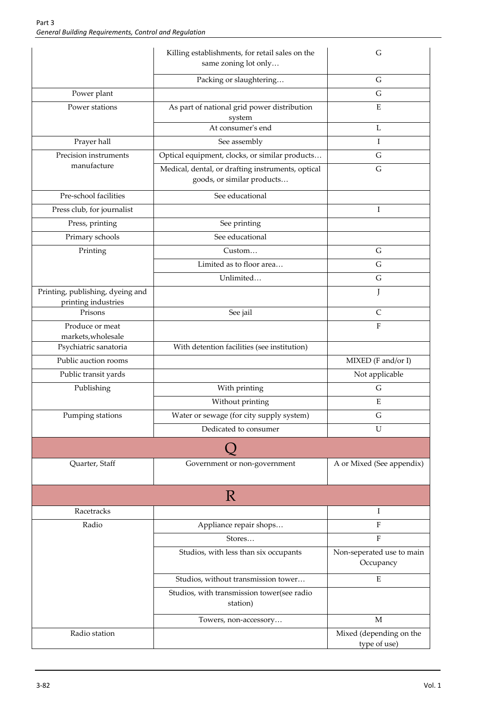|                                                         | Killing establishments, for retail sales on the<br>same zoning lot only         | G                                       |
|---------------------------------------------------------|---------------------------------------------------------------------------------|-----------------------------------------|
|                                                         | Packing or slaughtering                                                         | G                                       |
| Power plant                                             |                                                                                 | G                                       |
| Power stations                                          | As part of national grid power distribution<br>system                           | ${\bf E}$                               |
|                                                         | At consumer's end                                                               | L                                       |
| Prayer hall                                             | See assembly                                                                    | Ι                                       |
| Precision instruments                                   | Optical equipment, clocks, or similar products                                  | G                                       |
| manufacture                                             | Medical, dental, or drafting instruments, optical<br>goods, or similar products | G                                       |
| Pre-school facilities                                   | See educational                                                                 |                                         |
| Press club, for journalist                              |                                                                                 | Ι                                       |
| Press, printing                                         | See printing                                                                    |                                         |
| Primary schools                                         | See educational                                                                 |                                         |
| Printing                                                | Custom                                                                          | G                                       |
|                                                         | Limited as to floor area                                                        | G                                       |
|                                                         | Unlimited                                                                       | $\mathsf G$                             |
| Printing, publishing, dyeing and<br>printing industries |                                                                                 | J                                       |
| Prisons                                                 | See jail                                                                        | $\mathsf{C}$                            |
| Produce or meat<br>markets, wholesale                   |                                                                                 | $\rm F$                                 |
| Psychiatric sanatoria                                   | With detention facilities (see institution)                                     |                                         |
| Public auction rooms                                    |                                                                                 | MIXED (F and/or I)                      |
| Public transit yards                                    |                                                                                 | Not applicable                          |
| Publishing                                              | With printing                                                                   | G                                       |
|                                                         | Without printing                                                                | E                                       |
| Pumping stations                                        | Water or sewage (for city supply system)                                        | G                                       |
|                                                         | Dedicated to consumer                                                           | U                                       |
|                                                         |                                                                                 |                                         |
| Quarter, Staff                                          | Government or non-government                                                    | A or Mixed (See appendix)               |
|                                                         | $\mathbb{R}$                                                                    |                                         |
| Racetracks                                              |                                                                                 | Ι                                       |
| Radio                                                   | Appliance repair shops                                                          | $\rm F$                                 |
|                                                         | Stores                                                                          | ${\bf F}$                               |
|                                                         | Studios, with less than six occupants                                           | Non-seperated use to main<br>Occupancy  |
|                                                         | Studios, without transmission tower                                             | E                                       |
|                                                         | Studios, with transmission tower(see radio<br>station)                          |                                         |
|                                                         | Towers, non-accessory                                                           | M                                       |
| Radio station                                           |                                                                                 | Mixed (depending on the<br>type of use) |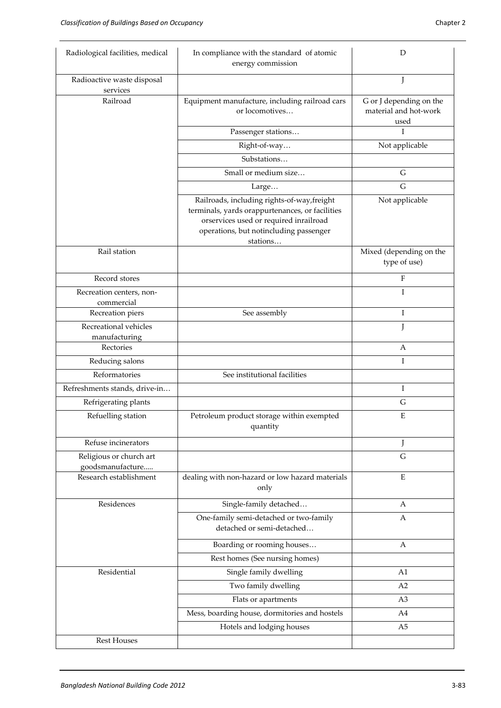| Radiological facilities, medical            | In compliance with the standard of atomic<br>energy commission                                                                                                                                 | D                                                        |
|---------------------------------------------|------------------------------------------------------------------------------------------------------------------------------------------------------------------------------------------------|----------------------------------------------------------|
| Radioactive waste disposal<br>services      |                                                                                                                                                                                                |                                                          |
| Railroad                                    | Equipment manufacture, including railroad cars<br>or locomotives                                                                                                                               | G or J depending on the<br>material and hot-work<br>used |
|                                             | Passenger stations                                                                                                                                                                             | T                                                        |
|                                             | Right-of-way                                                                                                                                                                                   | Not applicable                                           |
|                                             | Substations                                                                                                                                                                                    |                                                          |
|                                             | Small or medium size                                                                                                                                                                           | G                                                        |
|                                             | Large                                                                                                                                                                                          | G                                                        |
|                                             | Railroads, including rights-of-way, freight<br>terminals, yards orappurtenances, or facilities<br>orservices used or required inrailroad<br>operations, but notincluding passenger<br>stations | Not applicable                                           |
| Rail station                                |                                                                                                                                                                                                | Mixed (depending on the<br>type of use)                  |
| Record stores                               |                                                                                                                                                                                                | F                                                        |
| Recreation centers, non-                    |                                                                                                                                                                                                | I                                                        |
| commercial<br>Recreation piers              | See assembly                                                                                                                                                                                   | I                                                        |
| Recreational vehicles                       |                                                                                                                                                                                                | J                                                        |
| manufacturing                               |                                                                                                                                                                                                |                                                          |
| Rectories                                   |                                                                                                                                                                                                | A                                                        |
| Reducing salons                             |                                                                                                                                                                                                | I                                                        |
| Reformatories                               | See institutional facilities                                                                                                                                                                   |                                                          |
| Refreshments stands, drive-in               |                                                                                                                                                                                                | Ι                                                        |
| Refrigerating plants                        |                                                                                                                                                                                                | G                                                        |
| Refuelling station                          | Petroleum product storage within exempted<br>quantity                                                                                                                                          | E                                                        |
| Refuse incinerators                         |                                                                                                                                                                                                | J                                                        |
| Religious or church art<br>goodsmanufacture |                                                                                                                                                                                                | $\mathsf G$                                              |
| Research establishment                      | dealing with non-hazard or low hazard materials<br>only                                                                                                                                        | E                                                        |
| Residences                                  | Single-family detached                                                                                                                                                                         | A                                                        |
|                                             | One-family semi-detached or two-family<br>detached or semi-detached                                                                                                                            | A                                                        |
|                                             | Boarding or rooming houses                                                                                                                                                                     | A                                                        |
|                                             | Rest homes (See nursing homes)                                                                                                                                                                 |                                                          |
| Residential                                 | Single family dwelling                                                                                                                                                                         | A1                                                       |
|                                             | Two family dwelling                                                                                                                                                                            | A2                                                       |
|                                             | Flats or apartments                                                                                                                                                                            | A <sub>3</sub>                                           |
|                                             | Mess, boarding house, dormitories and hostels                                                                                                                                                  | A4                                                       |
|                                             | Hotels and lodging houses                                                                                                                                                                      | A <sub>5</sub>                                           |
| <b>Rest Houses</b>                          |                                                                                                                                                                                                |                                                          |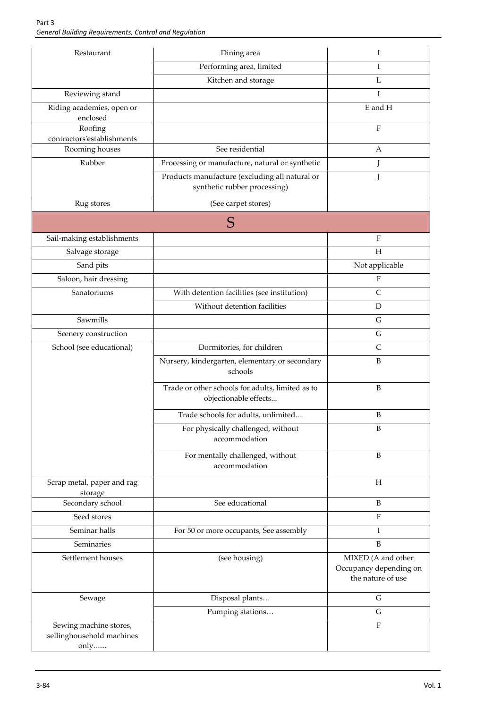| Restaurant                                                  | Dining area                                                                    | Ι                                                                 |
|-------------------------------------------------------------|--------------------------------------------------------------------------------|-------------------------------------------------------------------|
|                                                             | Performing area, limited                                                       | Ι                                                                 |
|                                                             | Kitchen and storage                                                            | L                                                                 |
| Reviewing stand                                             |                                                                                | I                                                                 |
| Riding academies, open or<br>enclosed                       |                                                                                | E and H                                                           |
| Roofing<br>contractors'establishments                       |                                                                                | $\rm F$                                                           |
| Rooming houses                                              | See residential                                                                | А                                                                 |
| Rubber                                                      | Processing or manufacture, natural or synthetic                                | J                                                                 |
|                                                             | Products manufacture (excluding all natural or<br>synthetic rubber processing) |                                                                   |
| Rug stores                                                  | (See carpet stores)                                                            |                                                                   |
|                                                             | S                                                                              |                                                                   |
| Sail-making establishments                                  |                                                                                | $\mathbf{F}$                                                      |
| Salvage storage                                             |                                                                                | H                                                                 |
| Sand pits                                                   |                                                                                | Not applicable                                                    |
| Saloon, hair dressing                                       |                                                                                | F                                                                 |
| Sanatoriums                                                 | With detention facilities (see institution)                                    | $\mathsf{C}$                                                      |
|                                                             | Without detention facilities                                                   | D                                                                 |
| Sawmills                                                    |                                                                                | $\mathsf G$                                                       |
| Scenery construction                                        |                                                                                | G                                                                 |
| School (see educational)                                    | Dormitories, for children                                                      | $\mathsf{C}$                                                      |
|                                                             | Nursery, kindergarten, elementary or secondary<br>schools                      | B                                                                 |
|                                                             | Trade or other schools for adults, limited as to<br>objectionable effects      | B                                                                 |
|                                                             | Trade schools for adults, unlimited                                            | B                                                                 |
|                                                             | For physically challenged, without<br>accommodation                            | B                                                                 |
|                                                             | For mentally challenged, without<br>accommodation                              | B                                                                 |
| Scrap metal, paper and rag<br>storage                       |                                                                                | H                                                                 |
| Secondary school                                            | See educational                                                                | B                                                                 |
| Seed stores                                                 |                                                                                | $\rm F$                                                           |
| Seminar halls                                               | For 50 or more occupants, See assembly                                         | Ι                                                                 |
| Seminaries                                                  |                                                                                | $\mathbf B$                                                       |
| Settlement houses                                           | (see housing)                                                                  | MIXED (A and other<br>Occupancy depending on<br>the nature of use |
| Sewage                                                      | Disposal plants                                                                | G                                                                 |
|                                                             | Pumping stations                                                               | $\mathsf G$                                                       |
| Sewing machine stores,<br>sellinghousehold machines<br>only |                                                                                | $\rm F$                                                           |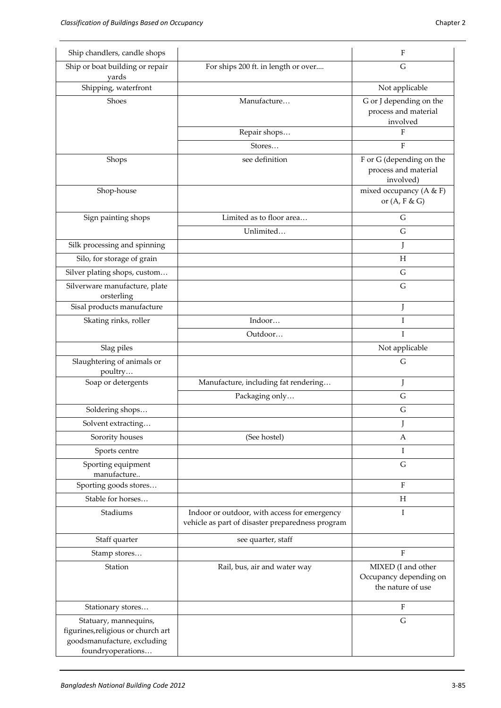| Ship chandlers, candle shops                                                                                    |                                                                                                  | F                                                                 |
|-----------------------------------------------------------------------------------------------------------------|--------------------------------------------------------------------------------------------------|-------------------------------------------------------------------|
| Ship or boat building or repair<br>yards                                                                        | For ships 200 ft. in length or over                                                              | G                                                                 |
| Shipping, waterfront                                                                                            |                                                                                                  | Not applicable                                                    |
| Shoes                                                                                                           | Manufacture                                                                                      | G or J depending on the<br>process and material<br>involved       |
|                                                                                                                 | Repair shops                                                                                     | F                                                                 |
|                                                                                                                 | Stores                                                                                           | F                                                                 |
| Shops                                                                                                           | see definition                                                                                   | F or G (depending on the<br>process and material<br>involved)     |
| Shop-house                                                                                                      |                                                                                                  | mixed occupancy ( $A & F$ )<br>or $(A, F & G)$                    |
| Sign painting shops                                                                                             | Limited as to floor area                                                                         | G                                                                 |
|                                                                                                                 | Unlimited                                                                                        | G                                                                 |
| Silk processing and spinning                                                                                    |                                                                                                  | J                                                                 |
| Silo, for storage of grain                                                                                      |                                                                                                  | Η                                                                 |
| Silver plating shops, custom                                                                                    |                                                                                                  | G                                                                 |
| Silverware manufacture, plate<br>orsterling                                                                     |                                                                                                  | G                                                                 |
| Sisal products manufacture                                                                                      |                                                                                                  | J                                                                 |
| Skating rinks, roller                                                                                           | Indoor                                                                                           | $\rm I$                                                           |
|                                                                                                                 | Outdoor                                                                                          | I                                                                 |
| Slag piles                                                                                                      |                                                                                                  | Not applicable                                                    |
| Slaughtering of animals or<br>poultry                                                                           |                                                                                                  | G                                                                 |
| Soap or detergents                                                                                              | Manufacture, including fat rendering                                                             | J                                                                 |
|                                                                                                                 | Packaging only                                                                                   | ${\bf G}$                                                         |
| Soldering shops                                                                                                 |                                                                                                  | G                                                                 |
| Solvent extracting                                                                                              |                                                                                                  | J                                                                 |
| Sorority houses                                                                                                 | (See hostel)                                                                                     | A                                                                 |
| Sports centre                                                                                                   |                                                                                                  | Ι.                                                                |
| Sporting equipment<br>manufacture                                                                               |                                                                                                  | $\mathsf G$                                                       |
| Sporting goods stores                                                                                           |                                                                                                  | $F_{\rm}$                                                         |
| Stable for horses                                                                                               |                                                                                                  | H                                                                 |
| Stadiums                                                                                                        | Indoor or outdoor, with access for emergency<br>vehicle as part of disaster preparedness program | Ι                                                                 |
| Staff quarter                                                                                                   | see quarter, staff                                                                               |                                                                   |
| Stamp stores                                                                                                    |                                                                                                  | F                                                                 |
| Station                                                                                                         | Rail, bus, air and water way                                                                     | MIXED (I and other<br>Occupancy depending on<br>the nature of use |
| Stationary stores                                                                                               |                                                                                                  | F                                                                 |
| Statuary, mannequins,<br>figurines, religious or church art<br>goodsmanufacture, excluding<br>foundryoperations |                                                                                                  | $\mathsf G$                                                       |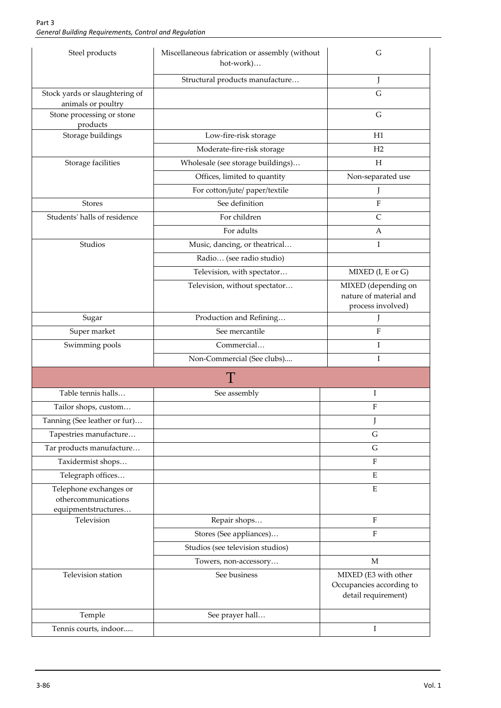| Steel products                                                       | Miscellaneous fabrication or assembly (without<br>hot-work) | G                                                                       |
|----------------------------------------------------------------------|-------------------------------------------------------------|-------------------------------------------------------------------------|
|                                                                      | Structural products manufacture                             | J                                                                       |
| Stock yards or slaughtering of<br>animals or poultry                 |                                                             | $\overline{G}$                                                          |
| Stone processing or stone<br>products                                |                                                             | G                                                                       |
| Storage buildings                                                    | Low-fire-risk storage                                       | H1                                                                      |
|                                                                      | Moderate-fire-risk storage                                  | H2                                                                      |
| Storage facilities                                                   | Wholesale (see storage buildings)                           | Н                                                                       |
|                                                                      | Offices, limited to quantity                                | Non-separated use                                                       |
|                                                                      | For cotton/jute/ paper/textile                              |                                                                         |
| <b>Stores</b>                                                        | See definition                                              | $\mathbf{F}$                                                            |
| Students' halls of residence                                         | For children                                                | $\mathsf{C}$                                                            |
|                                                                      | For adults                                                  | A                                                                       |
| Studios                                                              | Music, dancing, or theatrical                               | Ι                                                                       |
|                                                                      | Radio (see radio studio)                                    |                                                                         |
|                                                                      | Television, with spectator                                  | MIXED (I, E or G)                                                       |
|                                                                      | Television, without spectator                               | MIXED (depending on                                                     |
|                                                                      |                                                             | nature of material and<br>process involved)                             |
| Sugar                                                                | Production and Refining                                     |                                                                         |
| Super market                                                         | See mercantile                                              | $\rm F$                                                                 |
| Swimming pools                                                       | Commercial                                                  | I                                                                       |
|                                                                      | Non-Commercial (See clubs)                                  | I                                                                       |
|                                                                      | Т                                                           |                                                                         |
| Table tennis halls                                                   | See assembly                                                | I                                                                       |
| Tailor shops, custom                                                 |                                                             | F                                                                       |
| Tanning (See leather or fur)                                         |                                                             | J                                                                       |
| Tapestries manufacture                                               |                                                             | G                                                                       |
| Tar products manufacture                                             |                                                             | G                                                                       |
| Taxidermist shops                                                    |                                                             | $\rm F$                                                                 |
| Telegraph offices                                                    |                                                             | E                                                                       |
| Telephone exchanges or<br>othercommunications<br>equipmentstructures |                                                             | ${\bf E}$                                                               |
| Television                                                           | Repair shops                                                | F                                                                       |
|                                                                      | Stores (See appliances)                                     | $\rm F$                                                                 |
|                                                                      | Studios (see television studios)                            |                                                                         |
|                                                                      | Towers, non-accessory                                       | М                                                                       |
| Television station                                                   | See business                                                | MIXED (E3 with other<br>Occupancies according to<br>detail requirement) |
| Temple                                                               | See prayer hall                                             |                                                                         |
| Tennis courts, indoor                                                |                                                             | I                                                                       |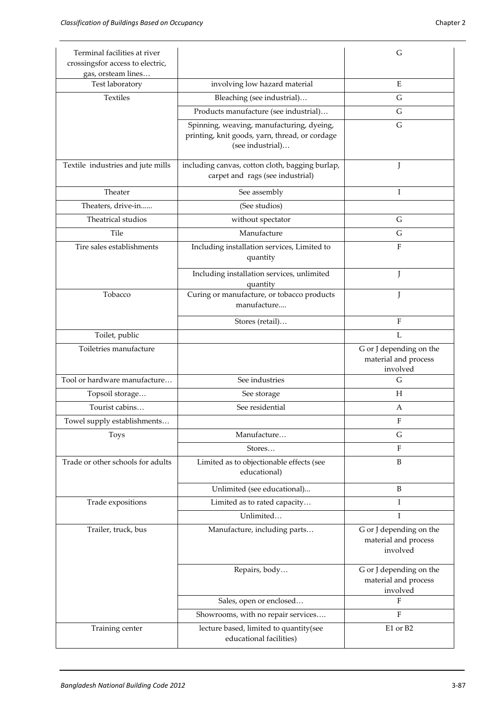| Terminal facilities at river<br>crossingsfor access to electric,<br>gas, orsteam lines |                                                                                                                 | G                                                           |
|----------------------------------------------------------------------------------------|-----------------------------------------------------------------------------------------------------------------|-------------------------------------------------------------|
| Test laboratory                                                                        | involving low hazard material                                                                                   | E                                                           |
| <b>Textiles</b>                                                                        | Bleaching (see industrial)                                                                                      | G                                                           |
|                                                                                        | Products manufacture (see industrial)                                                                           | G                                                           |
|                                                                                        | Spinning, weaving, manufacturing, dyeing,<br>printing, knit goods, yarn, thread, or cordage<br>(see industrial) | G                                                           |
| Textile industries and jute mills                                                      | including canvas, cotton cloth, bagging burlap,<br>carpet and rags (see industrial)                             | J                                                           |
| Theater                                                                                | See assembly                                                                                                    | I                                                           |
| Theaters, drive-in                                                                     | (See studios)                                                                                                   |                                                             |
| Theatrical studios                                                                     | without spectator                                                                                               | G                                                           |
| Tile                                                                                   | Manufacture                                                                                                     | G                                                           |
| Tire sales establishments                                                              | Including installation services, Limited to<br>quantity                                                         | F                                                           |
|                                                                                        | Including installation services, unlimited<br>quantity                                                          | J                                                           |
| Tobacco                                                                                | Curing or manufacture, or tobacco products<br>manufacture                                                       | J                                                           |
|                                                                                        | Stores (retail)                                                                                                 | F                                                           |
| Toilet, public                                                                         |                                                                                                                 | L                                                           |
| Toiletries manufacture                                                                 |                                                                                                                 | G or J depending on the<br>material and process<br>involved |
| Tool or hardware manufacture                                                           | See industries                                                                                                  | G                                                           |
| Topsoil storage                                                                        | See storage                                                                                                     | Н                                                           |
| Tourist cabins                                                                         | See residential                                                                                                 | A                                                           |
| Towel supply establishments                                                            |                                                                                                                 | F                                                           |
| <b>Toys</b>                                                                            | Manufacture                                                                                                     | G                                                           |
|                                                                                        | Stores                                                                                                          | $\mathbf{F}$                                                |
| Trade or other schools for adults                                                      | Limited as to objectionable effects (see<br>educational)                                                        | B                                                           |
|                                                                                        | Unlimited (see educational)                                                                                     | B                                                           |
| Trade expositions                                                                      | Limited as to rated capacity                                                                                    | I                                                           |
|                                                                                        | Unlimited                                                                                                       | T                                                           |
| Trailer, truck, bus                                                                    | Manufacture, including parts                                                                                    | G or J depending on the<br>material and process<br>involved |
|                                                                                        | Repairs, body                                                                                                   | G or J depending on the<br>material and process<br>involved |
|                                                                                        | Sales, open or enclosed                                                                                         | F                                                           |
|                                                                                        | Showrooms, with no repair services                                                                              | $\rm F$                                                     |
| Training center                                                                        | lecture based, limited to quantity(see<br>educational facilities)                                               | E1 or B2                                                    |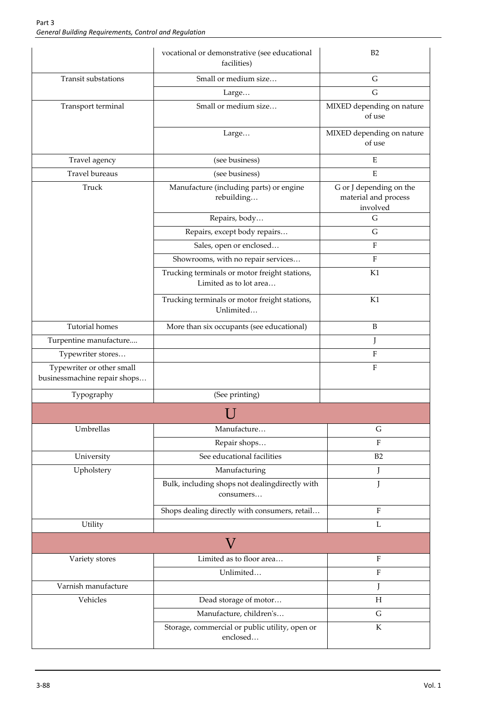|                                                           | vocational or demonstrative (see educational<br>facilities)             | B2                                                          |
|-----------------------------------------------------------|-------------------------------------------------------------------------|-------------------------------------------------------------|
| Transit substations                                       | Small or medium size                                                    | G                                                           |
|                                                           | Large                                                                   | G                                                           |
| Transport terminal                                        | Small or medium size                                                    | MIXED depending on nature<br>of use                         |
|                                                           | Large                                                                   | MIXED depending on nature<br>of use                         |
| Travel agency                                             | (see business)                                                          | E                                                           |
| <b>Travel bureaus</b>                                     | (see business)                                                          | E                                                           |
| Truck                                                     | Manufacture (including parts) or engine<br>rebuilding                   | G or J depending on the<br>material and process<br>involved |
|                                                           | Repairs, body                                                           | G                                                           |
|                                                           | Repairs, except body repairs                                            | G                                                           |
|                                                           | Sales, open or enclosed                                                 | F                                                           |
|                                                           | Showrooms, with no repair services                                      | F                                                           |
|                                                           | Trucking terminals or motor freight stations,<br>Limited as to lot area | K1                                                          |
|                                                           | Trucking terminals or motor freight stations,<br>Unlimited              | K1                                                          |
| <b>Tutorial homes</b>                                     | More than six occupants (see educational)                               | B                                                           |
| Turpentine manufacture                                    |                                                                         | J                                                           |
| Typewriter stores                                         |                                                                         | F                                                           |
| Typewriter or other small<br>businessmachine repair shops |                                                                         | F                                                           |
| Typography                                                | (See printing)                                                          |                                                             |
|                                                           |                                                                         |                                                             |
| Umbrellas                                                 | Manufacture                                                             | G                                                           |
|                                                           | Repair shops                                                            | F                                                           |
| University                                                | See educational facilities                                              | B2                                                          |
| Upholstery                                                | Manufacturing                                                           | J                                                           |
|                                                           | Bulk, including shops not dealingdirectly with<br>consumers             |                                                             |
|                                                           | Shops dealing directly with consumers, retail                           | F                                                           |
| Utility                                                   |                                                                         | L                                                           |
|                                                           | V                                                                       |                                                             |
| Variety stores                                            | Limited as to floor area                                                | $\rm F$                                                     |
|                                                           | Unlimited                                                               | $\rm F$                                                     |
| Varnish manufacture                                       |                                                                         | J                                                           |
| Vehicles                                                  | Dead storage of motor                                                   | H                                                           |
|                                                           | Manufacture, children's                                                 | $\mathsf G$                                                 |
|                                                           | Storage, commercial or public utility, open or<br>enclosed              | ${\bf K}$                                                   |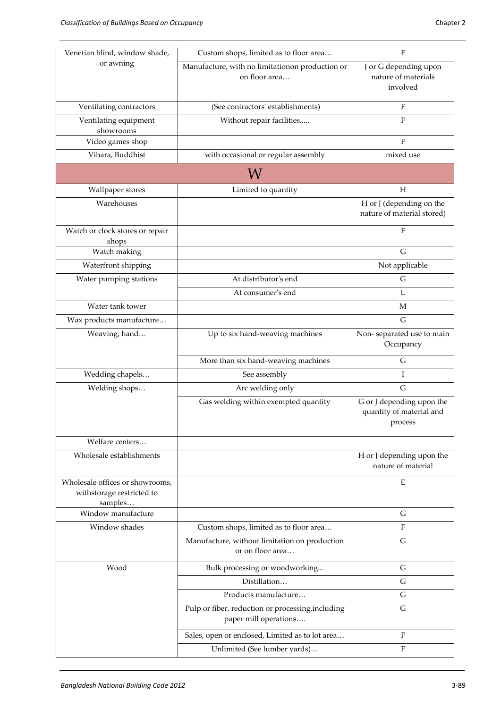| Venetian blind, window shade,                                           | Custom shops, limited as to floor area                                     | F                                                                |
|-------------------------------------------------------------------------|----------------------------------------------------------------------------|------------------------------------------------------------------|
| or awning                                                               | Manufacture, with no limitationon production or<br>on floor area           | J or G depending upon<br>nature of materials<br>involved         |
| Ventilating contractors                                                 | (See contractors' establishments)                                          | $\mathbf{F}$                                                     |
| Ventilating equipment<br>showrooms                                      | Without repair facilities                                                  | $\overline{F}$                                                   |
| Video games shop                                                        |                                                                            | F                                                                |
| Vihara, Buddhist                                                        | with occasional or regular assembly                                        | mixed use                                                        |
|                                                                         | W                                                                          |                                                                  |
| Wallpaper stores                                                        | Limited to quantity                                                        | $H_{\rm}$                                                        |
| Warehouses                                                              |                                                                            | H or J (depending on the<br>nature of material stored)           |
| Watch or clock stores or repair<br>shops                                |                                                                            | $\rm F$                                                          |
| Watch making                                                            |                                                                            | G                                                                |
| Waterfront shipping                                                     |                                                                            | Not applicable                                                   |
| Water pumping stations                                                  | At distributor's end                                                       | G                                                                |
|                                                                         | At consumer's end                                                          | L                                                                |
| Water tank tower                                                        |                                                                            | M                                                                |
| Wax products manufacture                                                |                                                                            | G                                                                |
| Weaving, hand                                                           | Up to six hand-weaving machines                                            | Non-separated use to main<br>Occupancy                           |
|                                                                         | More than six hand-weaving machines                                        | G                                                                |
| Wedding chapels                                                         | See assembly                                                               | Ι                                                                |
| Welding shops                                                           | Arc welding only                                                           | $\mathsf G$                                                      |
|                                                                         | Gas welding within exempted quantity                                       | G or J depending upon the<br>quantity of material and<br>process |
| Welfare centers                                                         |                                                                            |                                                                  |
| Wholesale establishments                                                |                                                                            | H or J depending upon the<br>nature of material                  |
| Wholesale offices or showrooms,<br>withstorage restricted to<br>samples |                                                                            | Ε                                                                |
| Window manufacture                                                      |                                                                            | ${\bf G}$                                                        |
| Window shades                                                           | Custom shops, limited as to floor area                                     | $\boldsymbol{\mathrm{F}}$                                        |
|                                                                         | Manufacture, without limitation on production<br>or on floor area          | G                                                                |
| Wood                                                                    | Bulk processing or woodworking                                             | ${\bf G}$                                                        |
|                                                                         | Distillation                                                               | G                                                                |
|                                                                         | Products manufacture                                                       | G                                                                |
|                                                                         | Pulp or fiber, reduction or processing, including<br>paper mill operations | $\mathsf G$                                                      |
|                                                                         |                                                                            |                                                                  |
|                                                                         | Sales, open or enclosed, Limited as to lot area                            | $\mathbf{F}$                                                     |